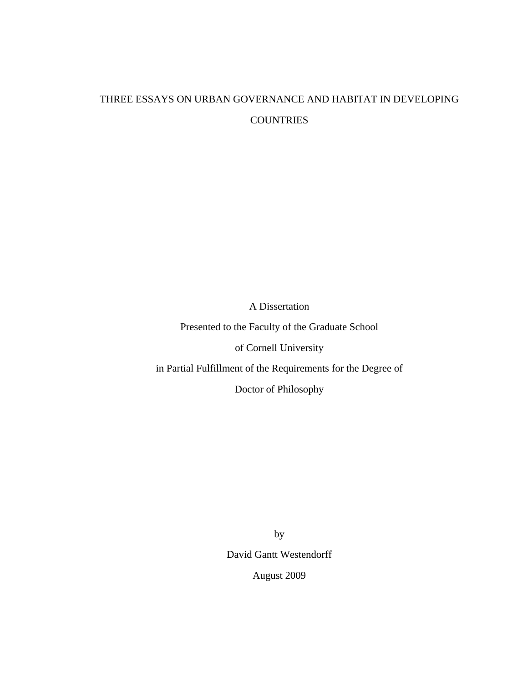## THREE ESSAYS ON URBAN GOVERNANCE AND HABITAT IN DEVELOPING **COUNTRIES**

A Dissertation

Presented to the Faculty of the Graduate School

of Cornell University

in Partial Fulfillment of the Requirements for the Degree of

Doctor of Philosophy

by David Gantt Westendorff August 2009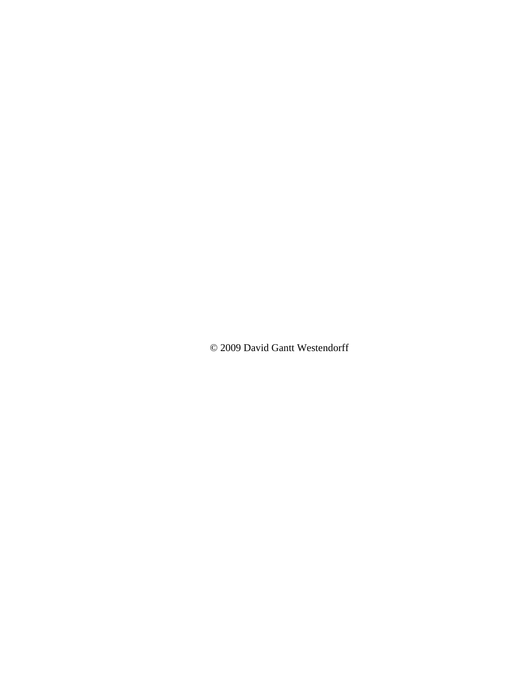© 2009 David Gantt Westendorff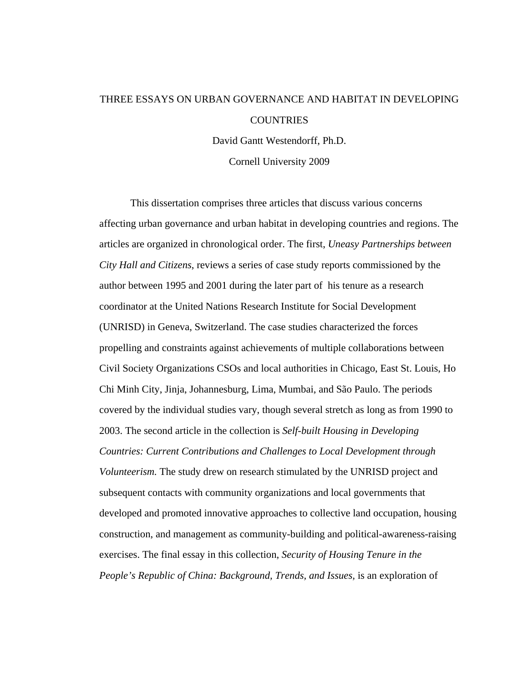# THREE ESSAYS ON URBAN GOVERNANCE AND HABITAT IN DEVELOPING COUNTRIES

David Gantt Westendorff, Ph.D.

Cornell University 2009

This dissertation comprises three articles that discuss various concerns affecting urban governance and urban habitat in developing countries and regions. The articles are organized in chronological order. The first, *Uneasy Partnerships between City Hall and Citizens*, reviews a series of case study reports commissioned by the author between 1995 and 2001 during the later part of his tenure as a research coordinator at the United Nations Research Institute for Social Development (UNRISD) in Geneva, Switzerland. The case studies characterized the forces propelling and constraints against achievements of multiple collaborations between Civil Society Organizations CSOs and local authorities in Chicago, East St. Louis, Ho Chi Minh City, Jinja, Johannesburg, Lima, Mumbai, and São Paulo. The periods covered by the individual studies vary, though several stretch as long as from 1990 to 2003. The second article in the collection is *Self-built Housing in Developing Countries: Current Contributions and Challenges to Local Development through Volunteerism.* The study drew on research stimulated by the UNRISD project and subsequent contacts with community organizations and local governments that developed and promoted innovative approaches to collective land occupation, housing construction, and management as community-building and political-awareness-raising exercises. The final essay in this collection, *Security of Housing Tenure in the People's Republic of China: Background, Trends, and Issues,* is an exploration of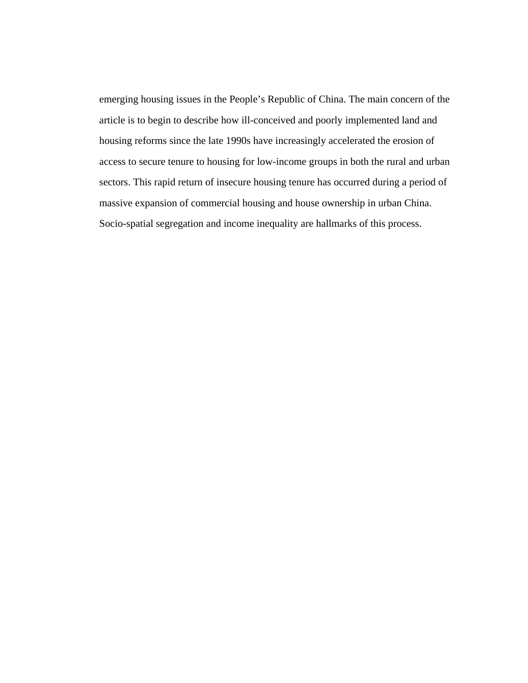emerging housing issues in the People's Republic of China. The main concern of the article is to begin to describe how ill-conceived and poorly implemented land and housing reforms since the late 1990s have increasingly accelerated the erosion of access to secure tenure to housing for low-income groups in both the rural and urban sectors. This rapid return of insecure housing tenure has occurred during a period of massive expansion of commercial housing and house ownership in urban China. Socio-spatial segregation and income inequality are hallmarks of this process.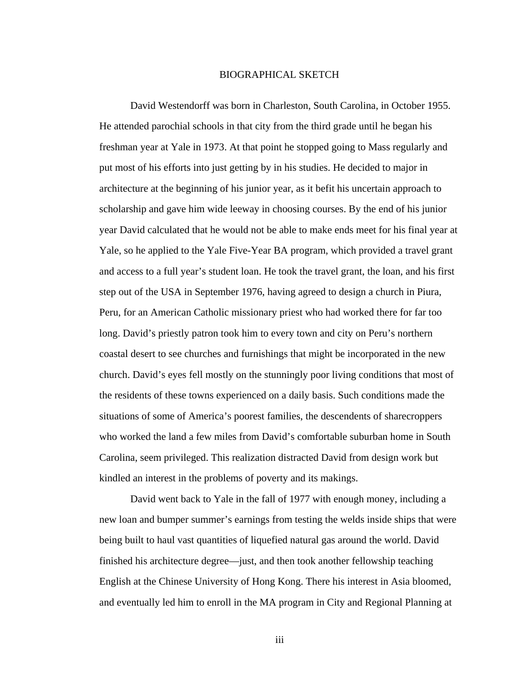#### BIOGRAPHICAL SKETCH

<span id="page-4-0"></span>David Westendorff was born in Charleston, South Carolina, in October 1955. He attended parochial schools in that city from the third grade until he began his freshman year at Yale in 1973. At that point he stopped going to Mass regularly and put most of his efforts into just getting by in his studies. He decided to major in architecture at the beginning of his junior year, as it befit his uncertain approach to scholarship and gave him wide leeway in choosing courses. By the end of his junior year David calculated that he would not be able to make ends meet for his final year at Yale, so he applied to the Yale Five-Year BA program, which provided a travel grant and access to a full year's student loan. He took the travel grant, the loan, and his first step out of the USA in September 1976, having agreed to design a church in Piura, Peru, for an American Catholic missionary priest who had worked there for far too long. David's priestly patron took him to every town and city on Peru's northern coastal desert to see churches and furnishings that might be incorporated in the new church. David's eyes fell mostly on the stunningly poor living conditions that most of the residents of these towns experienced on a daily basis. Such conditions made the situations of some of America's poorest families, the descendents of sharecroppers who worked the land a few miles from David's comfortable suburban home in South Carolina, seem privileged. This realization distracted David from design work but kindled an interest in the problems of poverty and its makings.

David went back to Yale in the fall of 1977 with enough money, including a new loan and bumper summer's earnings from testing the welds inside ships that were being built to haul vast quantities of liquefied natural gas around the world. David finished his architecture degree—just, and then took another fellowship teaching English at the Chinese University of Hong Kong. There his interest in Asia bloomed, and eventually led him to enroll in the MA program in City and Regional Planning at

iii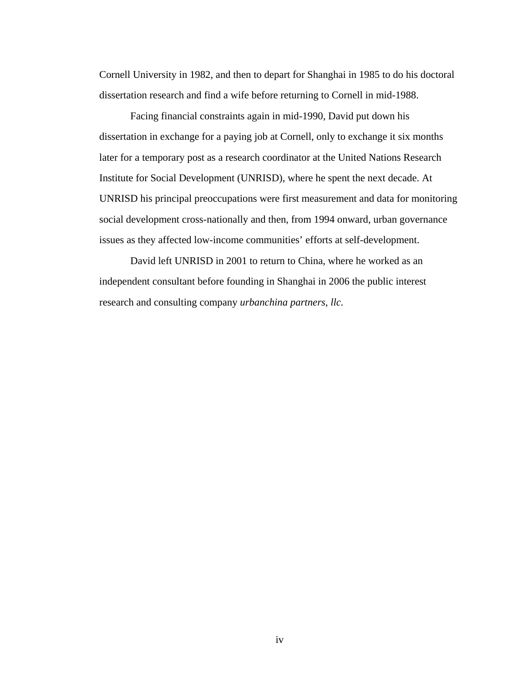Cornell University in 1982, and then to depart for Shanghai in 1985 to do his doctoral dissertation research and find a wife before returning to Cornell in mid-1988.

Facing financial constraints again in mid-1990, David put down his dissertation in exchange for a paying job at Cornell, only to exchange it six months later for a temporary post as a research coordinator at the United Nations Research Institute for Social Development (UNRISD), where he spent the next decade. At UNRISD his principal preoccupations were first measurement and data for monitoring social development cross-nationally and then, from 1994 onward, urban governance issues as they affected low-income communities' efforts at self-development.

David left UNRISD in 2001 to return to China, where he worked as an independent consultant before founding in Shanghai in 2006 the public interest research and consulting company *urbanchina partners, llc.*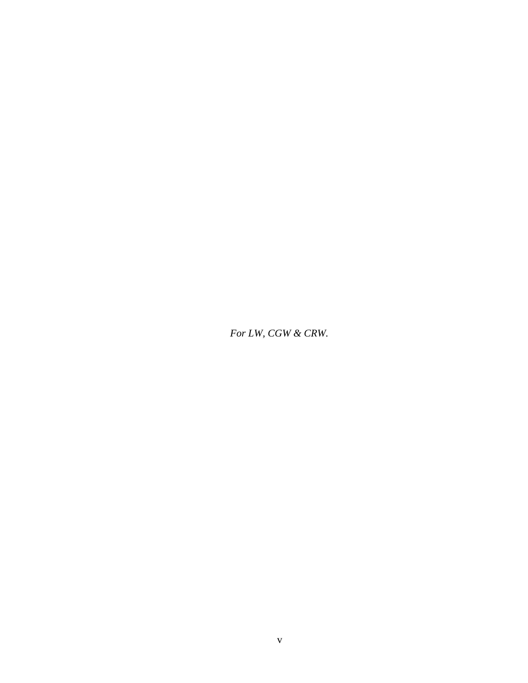<span id="page-6-0"></span>*For LW, CGW & CRW.*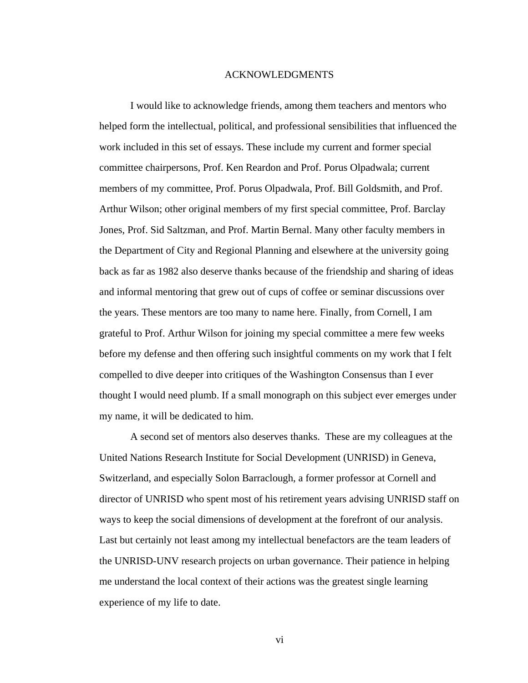#### ACKNOWLEDGMENTS

<span id="page-7-0"></span>I would like to acknowledge friends, among them teachers and mentors who helped form the intellectual, political, and professional sensibilities that influenced the work included in this set of essays. These include my current and former special committee chairpersons, Prof. Ken Reardon and Prof. Porus Olpadwala; current members of my committee, Prof. Porus Olpadwala, Prof. Bill Goldsmith, and Prof. Arthur Wilson; other original members of my first special committee, Prof. Barclay Jones, Prof. Sid Saltzman, and Prof. Martin Bernal. Many other faculty members in the Department of City and Regional Planning and elsewhere at the university going back as far as 1982 also deserve thanks because of the friendship and sharing of ideas and informal mentoring that grew out of cups of coffee or seminar discussions over the years. These mentors are too many to name here. Finally, from Cornell, I am grateful to Prof. Arthur Wilson for joining my special committee a mere few weeks before my defense and then offering such insightful comments on my work that I felt compelled to dive deeper into critiques of the Washington Consensus than I ever thought I would need plumb. If a small monograph on this subject ever emerges under my name, it will be dedicated to him.

A second set of mentors also deserves thanks. These are my colleagues at the United Nations Research Institute for Social Development (UNRISD) in Geneva, Switzerland, and especially Solon Barraclough, a former professor at Cornell and director of UNRISD who spent most of his retirement years advising UNRISD staff on ways to keep the social dimensions of development at the forefront of our analysis. Last but certainly not least among my intellectual benefactors are the team leaders of the UNRISD-UNV research projects on urban governance. Their patience in helping me understand the local context of their actions was the greatest single learning experience of my life to date.

vi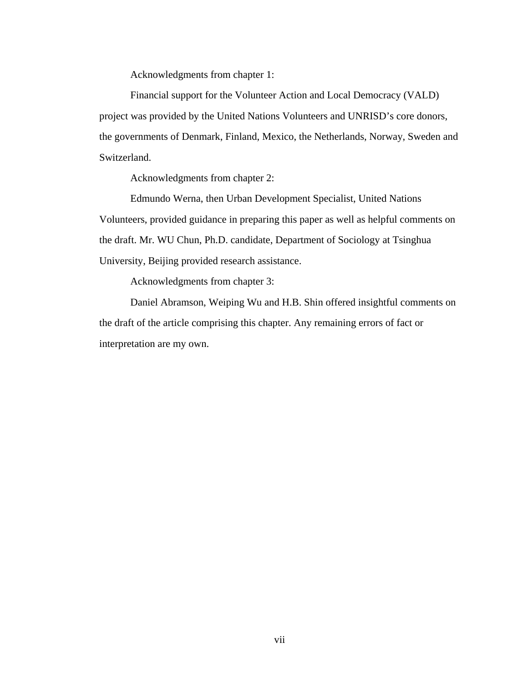Acknowledgments from chapter 1:

Financial support for the Volunteer Action and Local Democracy (VALD) project was provided by the United Nations Volunteers and UNRISD's core donors, the governments of Denmark, Finland, Mexico, the Netherlands, Norway, Sweden and Switzerland.

Acknowledgments from chapter 2:

Edmundo Werna, then Urban Development Specialist, United Nations Volunteers, provided guidance in preparing this paper as well as helpful comments on the draft. Mr. WU Chun, Ph.D. candidate, Department of Sociology at Tsinghua University, Beijing provided research assistance.

Acknowledgments from chapter 3:

Daniel Abramson, Weiping Wu and H.B. Shin offered insightful comments on the draft of the article comprising this chapter. Any remaining errors of fact or interpretation are my own.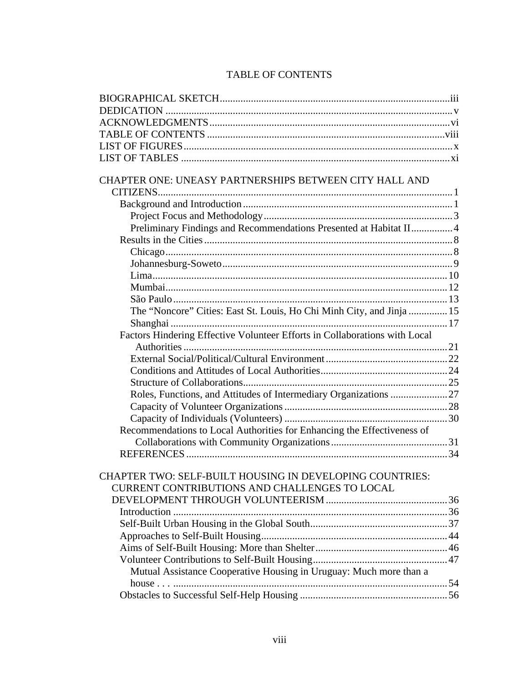### TABLE OF CONTENTS

<span id="page-9-0"></span>

| CHAPTER ONE: UNEASY PARTNERSHIPS BETWEEN CITY HALL AND                     |  |
|----------------------------------------------------------------------------|--|
|                                                                            |  |
|                                                                            |  |
|                                                                            |  |
| Preliminary Findings and Recommendations Presented at Habitat II 4         |  |
|                                                                            |  |
|                                                                            |  |
|                                                                            |  |
|                                                                            |  |
|                                                                            |  |
|                                                                            |  |
| The "Noncore" Cities: East St. Louis, Ho Chi Minh City, and Jinja  15      |  |
|                                                                            |  |
| Factors Hindering Effective Volunteer Efforts in Collaborations with Local |  |
|                                                                            |  |
|                                                                            |  |
|                                                                            |  |
|                                                                            |  |
| Roles, Functions, and Attitudes of Intermediary Organizations  27          |  |
|                                                                            |  |
|                                                                            |  |
| Recommendations to Local Authorities for Enhancing the Effectiveness of    |  |
|                                                                            |  |
|                                                                            |  |
|                                                                            |  |
| CHAPTER TWO: SELF-BUILT HOUSING IN DEVELOPING COUNTRIES:                   |  |
| <b>CURRENT CONTRIBUTIONS AND CHALLENGES TO LOCAL</b>                       |  |
|                                                                            |  |
|                                                                            |  |
|                                                                            |  |
|                                                                            |  |
|                                                                            |  |
|                                                                            |  |
| Mutual Assistance Cooperative Housing in Uruguay: Much more than a         |  |
|                                                                            |  |
|                                                                            |  |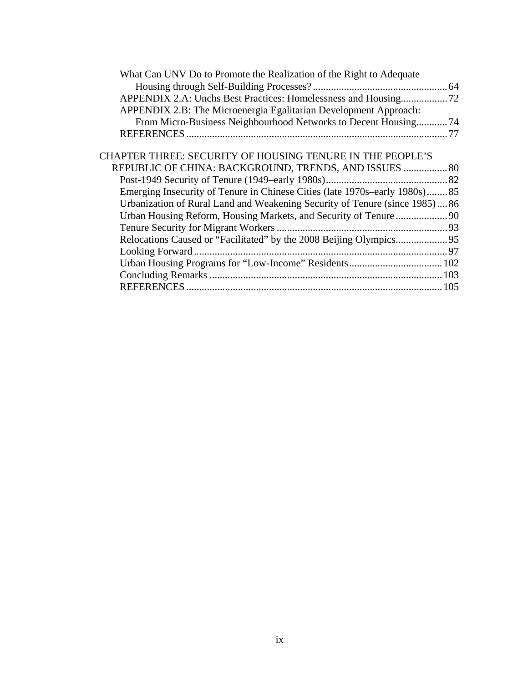| What Can UNV Do to Promote the Realization of the Right to Adequate        |  |
|----------------------------------------------------------------------------|--|
|                                                                            |  |
| APPENDIX 2.A: Unchs Best Practices: Homelessness and Housing72             |  |
| APPENDIX 2.B: The Microenergia Egalitarian Development Approach:           |  |
| From Micro-Business Neighbourhood Networks to Decent Housing74             |  |
|                                                                            |  |
|                                                                            |  |
| CHAPTER THREE: SECURITY OF HOUSING TENURE IN THE PEOPLE'S                  |  |
| REPUBLIC OF CHINA: BACKGROUND, TRENDS, AND ISSUES  80                      |  |
|                                                                            |  |
| Emerging Insecurity of Tenure in Chinese Cities (late 1970s–early 1980s)85 |  |
| Urbanization of Rural Land and Weakening Security of Tenure (since 1985)86 |  |
|                                                                            |  |
|                                                                            |  |
|                                                                            |  |
|                                                                            |  |
|                                                                            |  |
|                                                                            |  |
|                                                                            |  |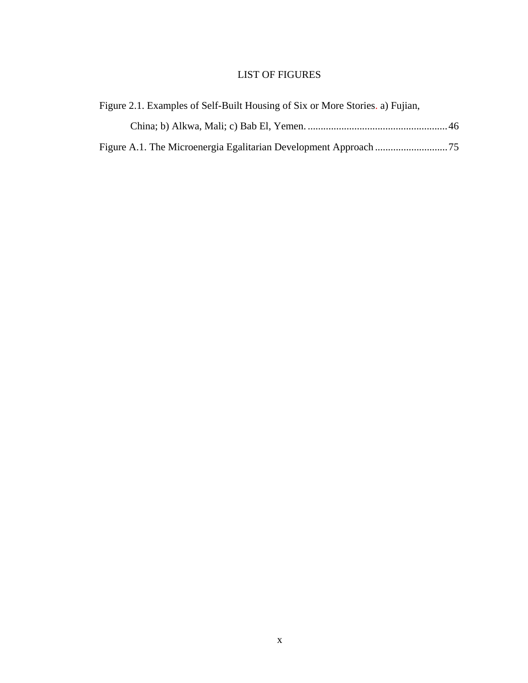## LIST OF FIGURES

<span id="page-11-0"></span>

| Figure 2.1. Examples of Self-Built Housing of Six or More Stories. a) Fujian, |  |
|-------------------------------------------------------------------------------|--|
|                                                                               |  |
|                                                                               |  |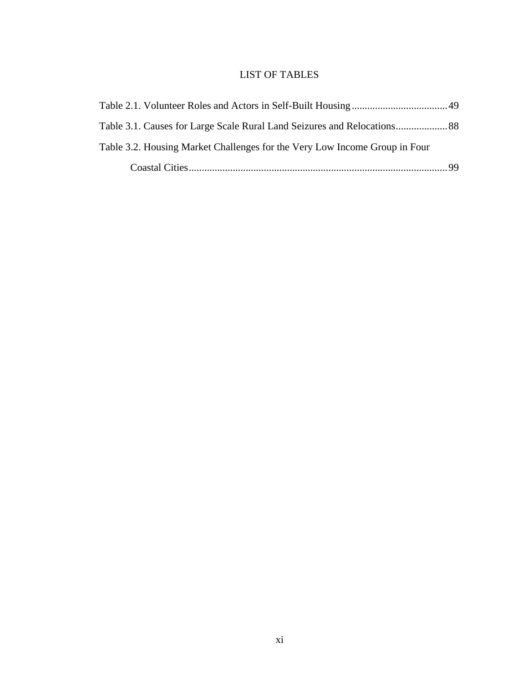## LIST OF TABLES

<span id="page-12-0"></span>

| Table 3.2. Housing Market Challenges for the Very Low Income Group in Four |  |
|----------------------------------------------------------------------------|--|
|                                                                            |  |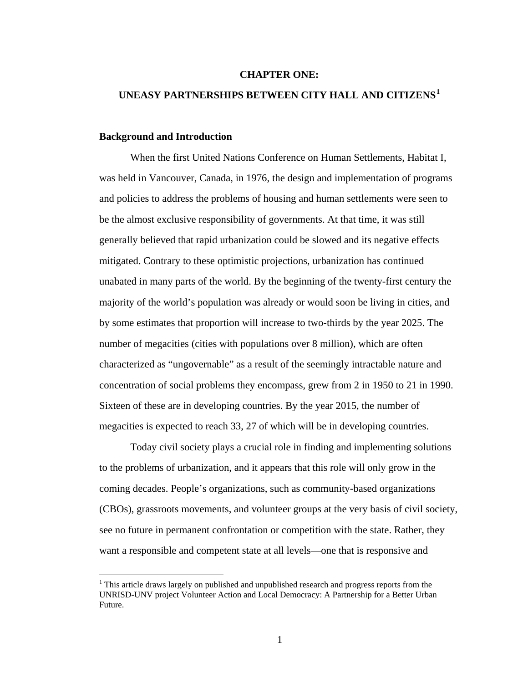#### **CHAPTER ONE:**

#### <span id="page-13-0"></span>**UNEASY PARTNERSHIPS BETWEEN CITY HALL AND CITIZENS[1](#page-13-1)**

#### **Background and Introduction**

 $\overline{a}$ 

When the first United Nations Conference on Human Settlements, Habitat I, was held in Vancouver, Canada, in 1976, the design and implementation of programs and policies to address the problems of housing and human settlements were seen to be the almost exclusive responsibility of governments. At that time, it was still generally believed that rapid urbanization could be slowed and its negative effects mitigated. Contrary to these optimistic projections, urbanization has continued unabated in many parts of the world. By the beginning of the twenty-first century the majority of the world's population was already or would soon be living in cities, and by some estimates that proportion will increase to two-thirds by the year 2025. The number of megacities (cities with populations over 8 million), which are often characterized as "ungovernable" as a result of the seemingly intractable nature and concentration of social problems they encompass, grew from 2 in 1950 to 21 in 1990. Sixteen of these are in developing countries. By the year 2015, the number of megacities is expected to reach 33, 27 of which will be in developing countries.

Today civil society plays a crucial role in finding and implementing solutions to the problems of urbanization, and it appears that this role will only grow in the coming decades. People's organizations, such as community-based organizations (CBOs), grassroots movements, and volunteer groups at the very basis of civil society, see no future in permanent confrontation or competition with the state. Rather, they want a responsible and competent state at all levels—one that is responsive and

<span id="page-13-1"></span><sup>&</sup>lt;sup>1</sup> This article draws largely on published and unpublished research and progress reports from the UNRISD-UNV project Volunteer Action and Local Democracy: A Partnership for a Better Urban Future.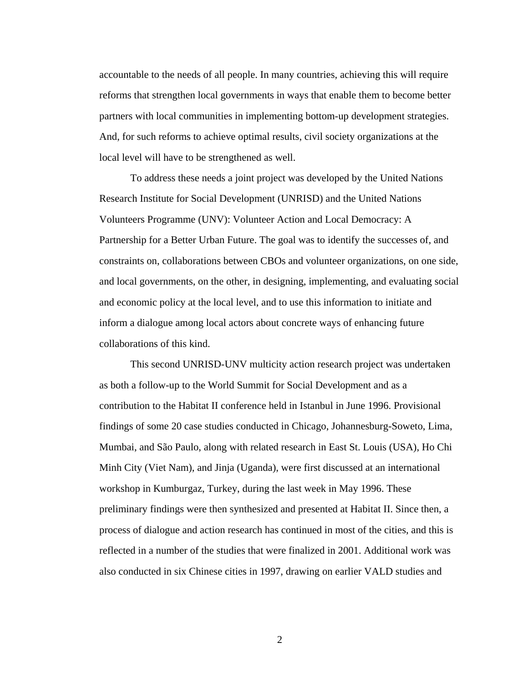accountable to the needs of all people. In many countries, achieving this will require reforms that strengthen local governments in ways that enable them to become better partners with local communities in implementing bottom-up development strategies. And, for such reforms to achieve optimal results, civil society organizations at the local level will have to be strengthened as well.

To address these needs a joint project was developed by the United Nations Research Institute for Social Development (UNRISD) and the United Nations Volunteers Programme (UNV): Volunteer Action and Local Democracy: A Partnership for a Better Urban Future. The goal was to identify the successes of, and constraints on, collaborations between CBOs and volunteer organizations, on one side, and local governments, on the other, in designing, implementing, and evaluating social and economic policy at the local level, and to use this information to initiate and inform a dialogue among local actors about concrete ways of enhancing future collaborations of this kind.

This second UNRISD-UNV multicity action research project was undertaken as both a follow-up to the World Summit for Social Development and as a contribution to the Habitat II conference held in Istanbul in June 1996. Provisional findings of some 20 case studies conducted in Chicago, Johannesburg-Soweto, Lima, Mumbai, and São Paulo, along with related research in East St. Louis (USA), Ho Chi Minh City (Viet Nam), and Jinja (Uganda), were first discussed at an international workshop in Kumburgaz, Turkey, during the last week in May 1996. These preliminary findings were then synthesized and presented at Habitat II. Since then, a process of dialogue and action research has continued in most of the cities, and this is reflected in a number of the studies that were finalized in 2001. Additional work was also conducted in six Chinese cities in 1997, drawing on earlier VALD studies and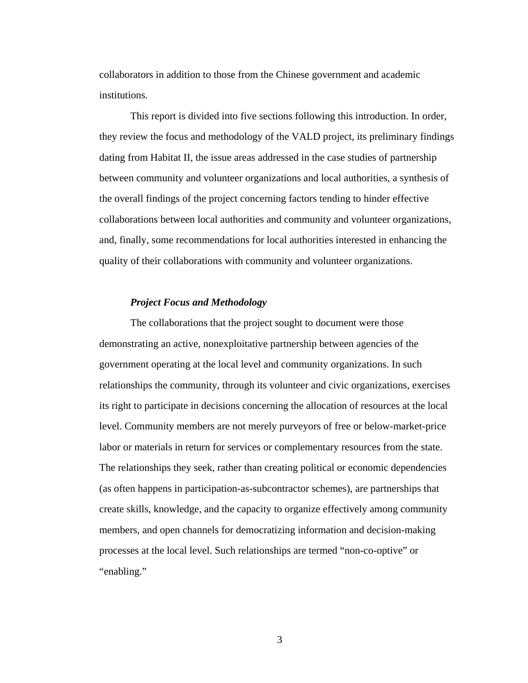<span id="page-15-0"></span>collaborators in addition to those from the Chinese government and academic institutions.

This report is divided into five sections following this introduction. In order, they review the focus and methodology of the VALD project, its preliminary findings dating from Habitat II, the issue areas addressed in the case studies of partnership between community and volunteer organizations and local authorities, a synthesis of the overall findings of the project concerning factors tending to hinder effective collaborations between local authorities and community and volunteer organizations, and, finally, some recommendations for local authorities interested in enhancing the quality of their collaborations with community and volunteer organizations.

#### *Project Focus and Methodology*

The collaborations that the project sought to document were those demonstrating an active, nonexploitative partnership between agencies of the government operating at the local level and community organizations. In such relationships the community, through its volunteer and civic organizations, exercises its right to participate in decisions concerning the allocation of resources at the local level. Community members are not merely purveyors of free or below-market-price labor or materials in return for services or complementary resources from the state. The relationships they seek, rather than creating political or economic dependencies (as often happens in participation-as-subcontractor schemes), are partnerships that create skills, knowledge, and the capacity to organize effectively among community members, and open channels for democratizing information and decision-making processes at the local level. Such relationships are termed "non-co-optive" or "enabling."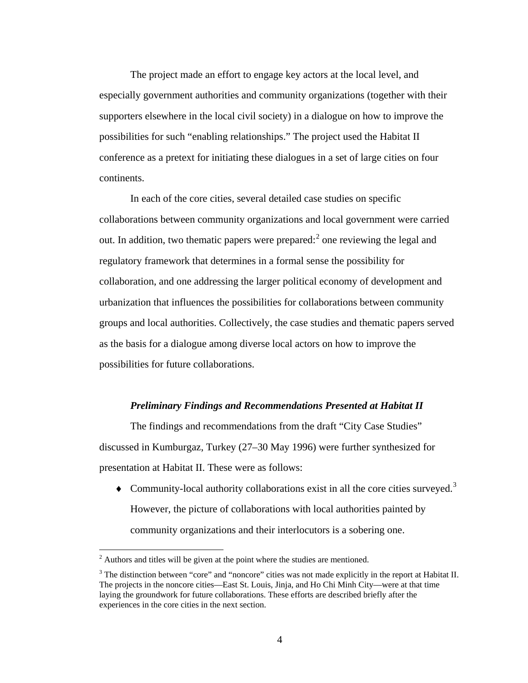<span id="page-16-0"></span>The project made an effort to engage key actors at the local level, and especially government authorities and community organizations (together with their supporters elsewhere in the local civil society) in a dialogue on how to improve the possibilities for such "enabling relationships." The project used the Habitat II conference as a pretext for initiating these dialogues in a set of large cities on four continents.

In each of the core cities, several detailed case studies on specific collaborations between community organizations and local government were carried out. In addition, two thematic papers were prepared: $2$  one reviewing the legal and regulatory framework that determines in a formal sense the possibility for collaboration, and one addressing the larger political economy of development and urbanization that influences the possibilities for collaborations between community groups and local authorities. Collectively, the case studies and thematic papers served as the basis for a dialogue among diverse local actors on how to improve the possibilities for future collaborations.

#### *Preliminary Findings and Recommendations Presented at Habitat II*

The findings and recommendations from the draft "City Case Studies" discussed in Kumburgaz, Turkey (27–30 May 1996) were further synthesized for presentation at Habitat II. These were as follows:

 $\blacklozenge$  Community-local authority collaborations exist in all the core cities surveyed.<sup>[3](#page-16-2)</sup> However, the picture of collaborations with local authorities painted by community organizations and their interlocutors is a sobering one.

<span id="page-16-1"></span><sup>&</sup>lt;sup>2</sup> Authors and titles will be given at the point where the studies are mentioned.

<span id="page-16-2"></span><sup>&</sup>lt;sup>3</sup> The distinction between "core" and "noncore" cities was not made explicitly in the report at Habitat II. The projects in the noncore cities—East St. Louis, Jinja, and Ho Chi Minh City—were at that time laying the groundwork for future collaborations. These efforts are described briefly after the experiences in the core cities in the next section.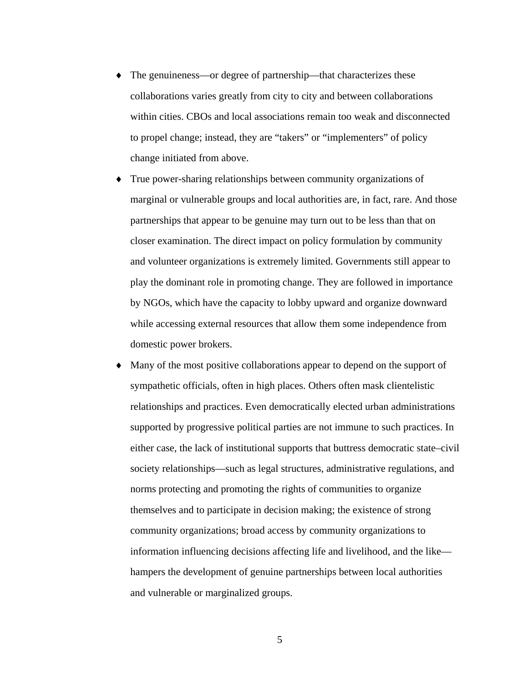- ♦ The genuineness—or degree of partnership—that characterizes these collaborations varies greatly from city to city and between collaborations within cities. CBOs and local associations remain too weak and disconnected to propel change; instead, they are "takers" or "implementers" of policy change initiated from above.
- True power-sharing relationships between community organizations of marginal or vulnerable groups and local authorities are, in fact, rare. And those partnerships that appear to be genuine may turn out to be less than that on closer examination. The direct impact on policy formulation by community and volunteer organizations is extremely limited. Governments still appear to play the dominant role in promoting change. They are followed in importance by NGOs, which have the capacity to lobby upward and organize downward while accessing external resources that allow them some independence from domestic power brokers.
- Many of the most positive collaborations appear to depend on the support of sympathetic officials, often in high places. Others often mask clientelistic relationships and practices. Even democratically elected urban administrations supported by progressive political parties are not immune to such practices. In either case, the lack of institutional supports that buttress democratic state–civil society relationships—such as legal structures, administrative regulations, and norms protecting and promoting the rights of communities to organize themselves and to participate in decision making; the existence of strong community organizations; broad access by community organizations to information influencing decisions affecting life and livelihood, and the like hampers the development of genuine partnerships between local authorities and vulnerable or marginalized groups.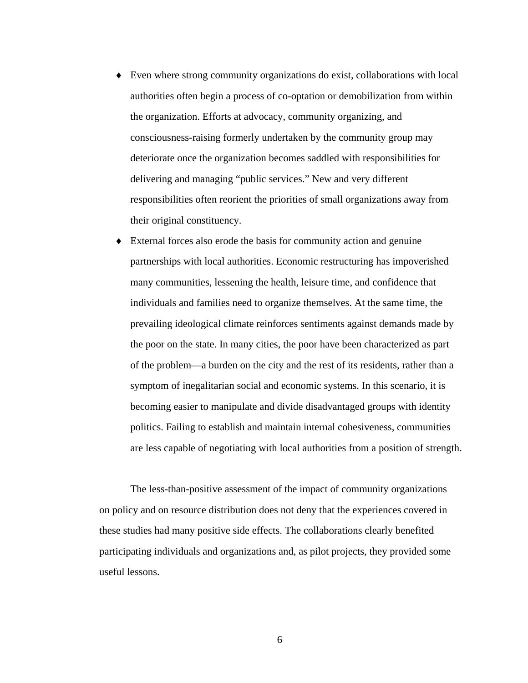- ♦ Even where strong community organizations do exist, collaborations with local authorities often begin a process of co-optation or demobilization from within the organization. Efforts at advocacy, community organizing, and consciousness-raising formerly undertaken by the community group may deteriorate once the organization becomes saddled with responsibilities for delivering and managing "public services." New and very different responsibilities often reorient the priorities of small organizations away from their original constituency.
- ♦ External forces also erode the basis for community action and genuine partnerships with local authorities. Economic restructuring has impoverished many communities, lessening the health, leisure time, and confidence that individuals and families need to organize themselves. At the same time, the prevailing ideological climate reinforces sentiments against demands made by the poor on the state. In many cities, the poor have been characterized as part of the problem—a burden on the city and the rest of its residents, rather than a symptom of inegalitarian social and economic systems. In this scenario, it is becoming easier to manipulate and divide disadvantaged groups with identity politics. Failing to establish and maintain internal cohesiveness, communities are less capable of negotiating with local authorities from a position of strength.

The less-than-positive assessment of the impact of community organizations on policy and on resource distribution does not deny that the experiences covered in these studies had many positive side effects. The collaborations clearly benefited participating individuals and organizations and, as pilot projects, they provided some useful lessons.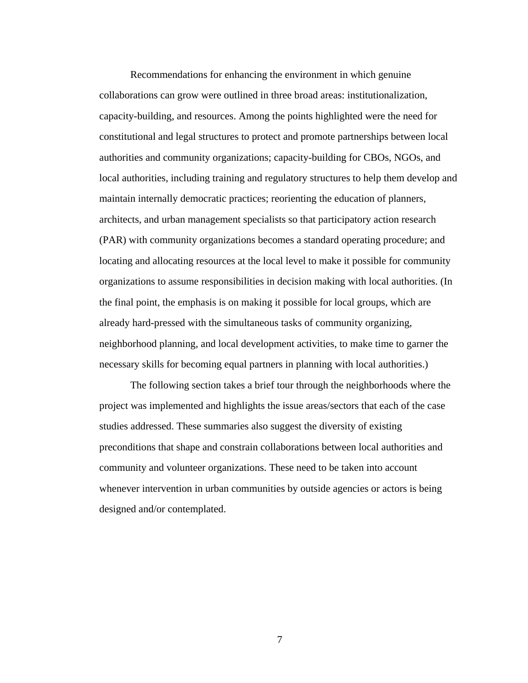Recommendations for enhancing the environment in which genuine collaborations can grow were outlined in three broad areas: institutionalization, capacity-building, and resources. Among the points highlighted were the need for constitutional and legal structures to protect and promote partnerships between local authorities and community organizations; capacity-building for CBOs, NGOs, and local authorities, including training and regulatory structures to help them develop and maintain internally democratic practices; reorienting the education of planners, architects, and urban management specialists so that participatory action research (PAR) with community organizations becomes a standard operating procedure; and locating and allocating resources at the local level to make it possible for community organizations to assume responsibilities in decision making with local authorities. (In the final point, the emphasis is on making it possible for local groups, which are already hard-pressed with the simultaneous tasks of community organizing, neighborhood planning, and local development activities, to make time to garner the necessary skills for becoming equal partners in planning with local authorities.)

The following section takes a brief tour through the neighborhoods where the project was implemented and highlights the issue areas/sectors that each of the case studies addressed. These summaries also suggest the diversity of existing preconditions that shape and constrain collaborations between local authorities and community and volunteer organizations. These need to be taken into account whenever intervention in urban communities by outside agencies or actors is being designed and/or contemplated.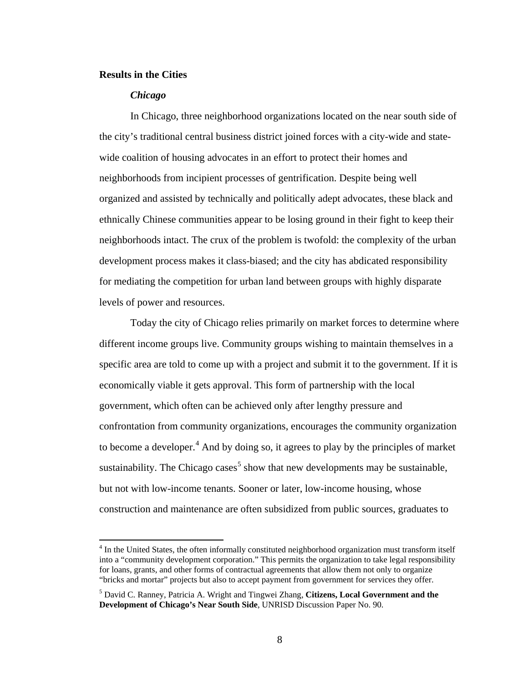#### <span id="page-20-0"></span>**Results in the Cities**

 $\overline{a}$ 

#### *Chicago*

In Chicago, three neighborhood organizations located on the near south side of the city's traditional central business district joined forces with a city-wide and statewide coalition of housing advocates in an effort to protect their homes and neighborhoods from incipient processes of gentrification. Despite being well organized and assisted by technically and politically adept advocates, these black and ethnically Chinese communities appear to be losing ground in their fight to keep their neighborhoods intact. The crux of the problem is twofold: the complexity of the urban development process makes it class-biased; and the city has abdicated responsibility for mediating the competition for urban land between groups with highly disparate levels of power and resources.

Today the city of Chicago relies primarily on market forces to determine where different income groups live. Community groups wishing to maintain themselves in a specific area are told to come up with a project and submit it to the government. If it is economically viable it gets approval. This form of partnership with the local government, which often can be achieved only after lengthy pressure and confrontation from community organizations, encourages the community organization to become a developer. $<sup>4</sup>$  $<sup>4</sup>$  $<sup>4</sup>$  And by doing so, it agrees to play by the principles of market</sup> sustainability. The Chicago cases<sup>[5](#page-20-2)</sup> show that new developments may be sustainable, but not with low-income tenants. Sooner or later, low-income housing, whose construction and maintenance are often subsidized from public sources, graduates to

<span id="page-20-1"></span><sup>&</sup>lt;sup>4</sup> In the United States, the often informally constituted neighborhood organization must transform itself into a "community development corporation." This permits the organization to take legal responsibility for loans, grants, and other forms of contractual agreements that allow them not only to organize "bricks and mortar" projects but also to accept payment from government for services they offer.

<span id="page-20-2"></span><sup>5</sup> David C. Ranney, Patricia A. Wright and Tingwei Zhang, **Citizens, Local Government and the Development of Chicago's Near South Side**, UNRISD Discussion Paper No. 90.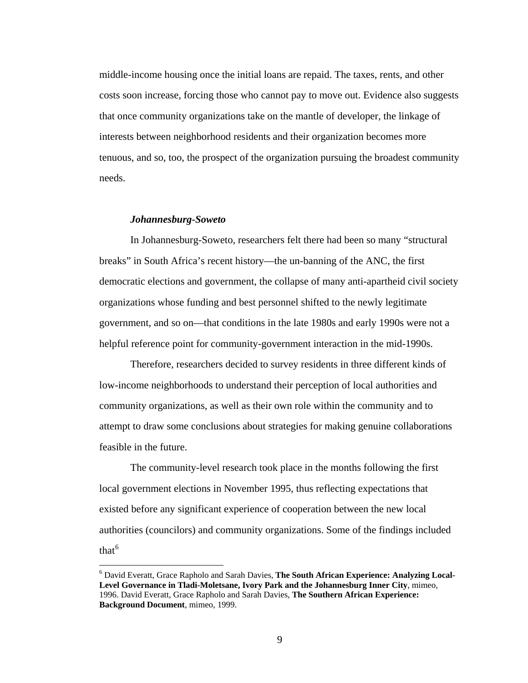<span id="page-21-0"></span>middle-income housing once the initial loans are repaid. The taxes, rents, and other costs soon increase, forcing those who cannot pay to move out. Evidence also suggests that once community organizations take on the mantle of developer, the linkage of interests between neighborhood residents and their organization becomes more tenuous, and so, too, the prospect of the organization pursuing the broadest community needs.

#### *Johannesburg-Soweto*

 $\overline{a}$ 

In Johannesburg-Soweto, researchers felt there had been so many "structural breaks" in South Africa's recent history—the un-banning of the ANC, the first democratic elections and government, the collapse of many anti-apartheid civil society organizations whose funding and best personnel shifted to the newly legitimate government, and so on—that conditions in the late 1980s and early 1990s were not a helpful reference point for community-government interaction in the mid-1990s.

Therefore, researchers decided to survey residents in three different kinds of low-income neighborhoods to understand their perception of local authorities and community organizations, as well as their own role within the community and to attempt to draw some conclusions about strategies for making genuine collaborations feasible in the future.

The community-level research took place in the months following the first local government elections in November 1995, thus reflecting expectations that existed before any significant experience of cooperation between the new local authorities (councilors) and community organizations. Some of the findings included that $<sup>6</sup>$ </sup>

<span id="page-21-1"></span><sup>6</sup> David Everatt, Grace Rapholo and Sarah Davies, **The South African Experience: Analyzing Local-Level Governance in Tladi-Moletsane, Ivory Park and the Johannesburg Inner City**, mimeo, 1996. David Everatt, Grace Rapholo and Sarah Davies, **The Southern African Experience: Background Document**, mimeo, 1999.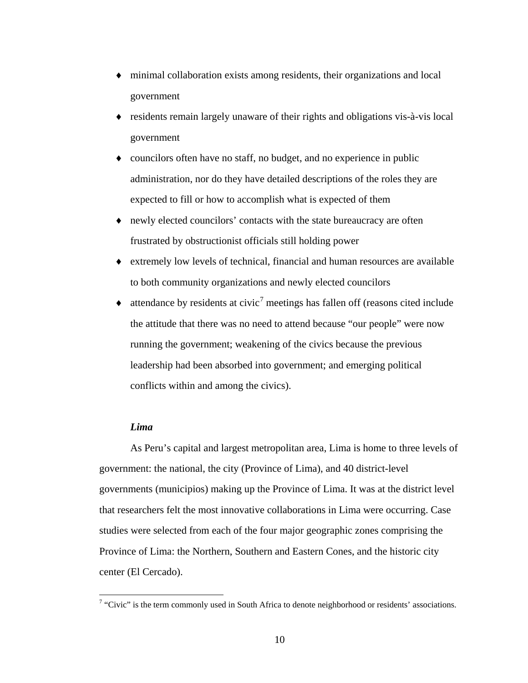- <span id="page-22-0"></span>♦ minimal collaboration exists among residents, their organizations and local government
- ♦ residents remain largely unaware of their rights and obligations vis-à-vis local government
- ♦ councilors often have no staff, no budget, and no experience in public administration, nor do they have detailed descriptions of the roles they are expected to fill or how to accomplish what is expected of them
- ♦ newly elected councilors' contacts with the state bureaucracy are often frustrated by obstructionist officials still holding power
- ♦ extremely low levels of technical, financial and human resources are available to both community organizations and newly elected councilors
- $\bullet$  attendance by residents at civic<sup>[7](#page-22-1)</sup> meetings has fallen off (reasons cited include the attitude that there was no need to attend because "our people" were now running the government; weakening of the civics because the previous leadership had been absorbed into government; and emerging political conflicts within and among the civics).

#### *Lima*

As Peru's capital and largest metropolitan area, Lima is home to three levels of government: the national, the city (Province of Lima), and 40 district-level governments (municipios) making up the Province of Lima. It was at the district level that researchers felt the most innovative collaborations in Lima were occurring. Case studies were selected from each of the four major geographic zones comprising the Province of Lima: the Northern, Southern and Eastern Cones, and the historic city center (El Cercado).

<span id="page-22-1"></span><sup>&</sup>lt;sup>7</sup> "Civic" is the term commonly used in South Africa to denote neighborhood or residents' associations.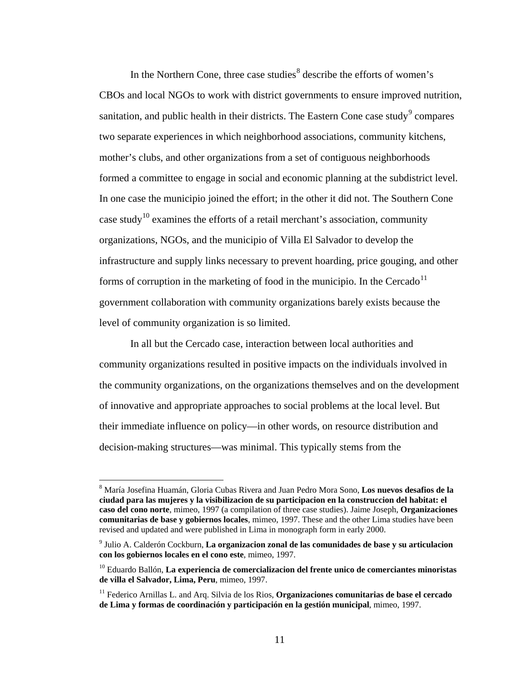In the Northern Cone, three case studies<sup>[8](#page-23-0)</sup> describe the efforts of women's CBOs and local NGOs to work with district governments to ensure improved nutrition, sanitation, and public health in their districts. The Eastern Cone case study<sup>[9](#page-23-1)</sup> compares two separate experiences in which neighborhood associations, community kitchens, mother's clubs, and other organizations from a set of contiguous neighborhoods formed a committee to engage in social and economic planning at the subdistrict level. In one case the municipio joined the effort; in the other it did not. The Southern Cone case study<sup>[1](#page-23-2)0</sup> examines the efforts of a retail merchant's association, community organizations, NGOs, and the municipio of Villa El Salvador to develop the infrastructure and supply links necessary to prevent hoarding, price gouging, and other forms of corruption in the marketing of food in the municipio. In the Cercado<sup>[11](#page-23-3)</sup> government collaboration with community organizations barely exists because the level of community organization is so limited.

In all but the Cercado case, interaction between local authorities and community organizations resulted in positive impacts on the individuals involved in the community organizations, on the organizations themselves and on the development of innovative and appropriate approaches to social problems at the local level. But their immediate influence on policy—in other words, on resource distribution and decision-making structures—was minimal. This typically stems from the

 $\overline{a}$ 

<span id="page-23-0"></span><sup>8</sup> María Josefina Huamán, Gloria Cubas Rivera and Juan Pedro Mora Sono, **Los nuevos desafios de la ciudad para las mujeres y la visibilizacion de su participacion en la construccion del habitat: el caso del cono norte**, mimeo, 1997 (a compilation of three case studies). Jaime Joseph, **Organizaciones comunitarias de base y gobiernos locales**, mimeo, 1997. These and the other Lima studies have been revised and updated and were published in Lima in monograph form in early 2000.

<span id="page-23-1"></span><sup>9</sup> Julio A. Calderón Cockburn, **La organizacion zonal de las comunidades de base y su articulacion con los gobiernos locales en el cono este**, mimeo, 1997.

<span id="page-23-2"></span><sup>10</sup> Eduardo Ballón, **La experiencia de comercializacion del frente unico de comerciantes minoristas de villa el Salvador, Lima, Peru**, mimeo, 1997.

<span id="page-23-3"></span><sup>11</sup> Federico Arnillas L. and Arq. Silvia de los Rios, **Organizaciones comunitarias de base el cercado de Lima y formas de coordinación y participación en la gestión municipal**, mimeo, 1997.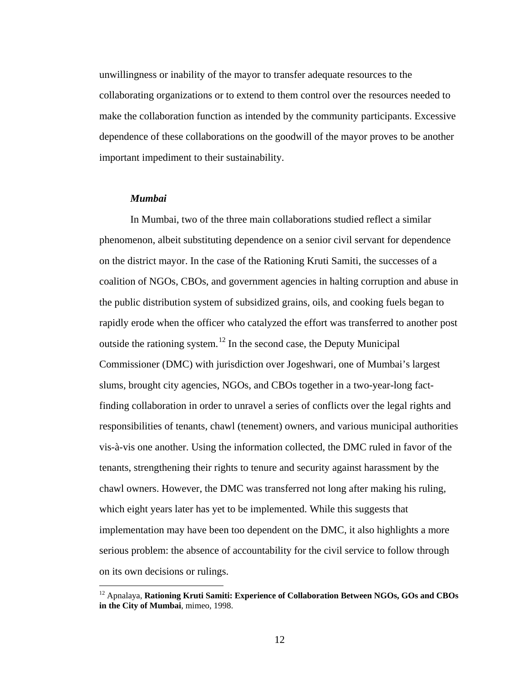<span id="page-24-0"></span>unwillingness or inability of the mayor to transfer adequate resources to the collaborating organizations or to extend to them control over the resources needed to make the collaboration function as intended by the community participants. Excessive dependence of these collaborations on the goodwill of the mayor proves to be another important impediment to their sustainability.

#### *Mumbai*

 $\overline{a}$ 

In Mumbai, two of the three main collaborations studied reflect a similar phenomenon, albeit substituting dependence on a senior civil servant for dependence on the district mayor. In the case of the Rationing Kruti Samiti, the successes of a coalition of NGOs, CBOs, and government agencies in halting corruption and abuse in the public distribution system of subsidized grains, oils, and cooking fuels began to rapidly erode when the officer who catalyzed the effort was transferred to another post outside the rationing system.<sup>[12](#page-24-1)</sup> In the second case, the Deputy Municipal Commissioner (DMC) with jurisdiction over Jogeshwari, one of Mumbai's largest slums, brought city agencies, NGOs, and CBOs together in a two-year-long factfinding collaboration in order to unravel a series of conflicts over the legal rights and responsibilities of tenants, chawl (tenement) owners, and various municipal authorities vis-à-vis one another. Using the information collected, the DMC ruled in favor of the tenants, strengthening their rights to tenure and security against harassment by the chawl owners. However, the DMC was transferred not long after making his ruling, which eight years later has yet to be implemented. While this suggests that implementation may have been too dependent on the DMC, it also highlights a more serious problem: the absence of accountability for the civil service to follow through on its own decisions or rulings.

<span id="page-24-1"></span><sup>&</sup>lt;sup>12</sup> Apnalaya, Rationing Kruti Samiti: Experience of Collaboration Between NGOs, GOs and CBOs **in the City of Mumbai**, mimeo, 1998.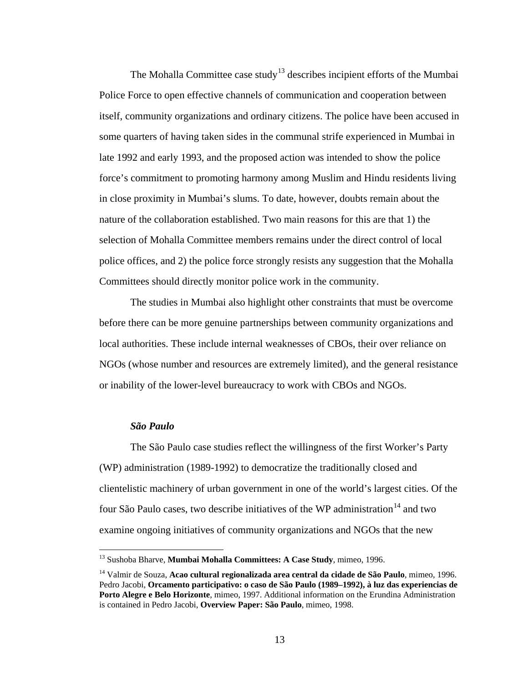<span id="page-25-0"></span>The Mohalla Committee case study<sup>[1](#page-25-1)3</sup> describes incipient efforts of the Mumbai Police Force to open effective channels of communication and cooperation between itself, community organizations and ordinary citizens. The police have been accused in some quarters of having taken sides in the communal strife experienced in Mumbai in late 1992 and early 1993, and the proposed action was intended to show the police force's commitment to promoting harmony among Muslim and Hindu residents living in close proximity in Mumbai's slums. To date, however, doubts remain about the nature of the collaboration established. Two main reasons for this are that 1) the selection of Mohalla Committee members remains under the direct control of local police offices, and 2) the police force strongly resists any suggestion that the Mohalla Committees should directly monitor police work in the community.

The studies in Mumbai also highlight other constraints that must be overcome before there can be more genuine partnerships between community organizations and local authorities. These include internal weaknesses of CBOs, their over reliance on NGOs (whose number and resources are extremely limited), and the general resistance or inability of the lower-level bureaucracy to work with CBOs and NGOs.

#### *São Paulo*

 $\overline{a}$ 

The São Paulo case studies reflect the willingness of the first Worker's Party (WP) administration (1989-1992) to democratize the traditionally closed and clientelistic machinery of urban government in one of the world's largest cities. Of the four São Paulo cases, two describe initiatives of the WP administration<sup>[14](#page-25-2)</sup> and two examine ongoing initiatives of community organizations and NGOs that the new

<sup>13</sup> Sushoba Bharve, **Mumbai Mohalla Committees: A Case Study**, mimeo, 1996.

<span id="page-25-2"></span><span id="page-25-1"></span><sup>14</sup> Valmir de Souza, **Acao cultural regionalizada area central da cidade de São Paulo**, mimeo, 1996. Pedro Jacobi, **Orcamento participativo: o caso de São Paulo (1989–1992), à luz das experiencias de Porto Alegre e Belo Horizonte**, mimeo, 1997. Additional information on the Erundina Administration is contained in Pedro Jacobi, **Overview Paper: São Paulo**, mimeo, 1998.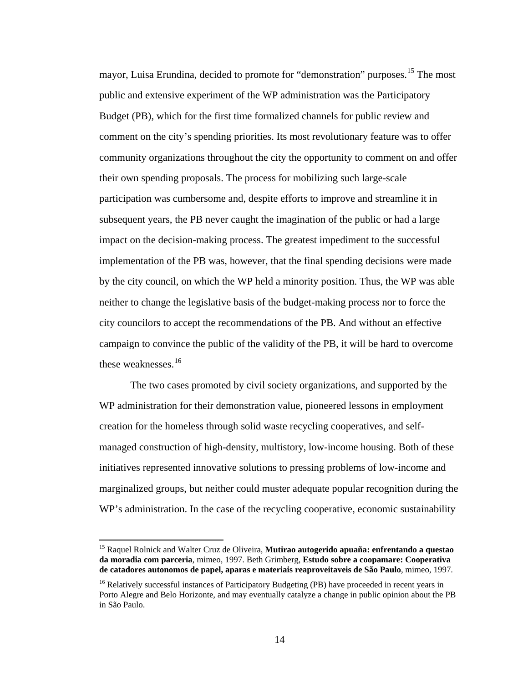mayor, Luisa Erundina, decided to promote for "demonstration" purposes.<sup>[15](#page-26-0)</sup> The most public and extensive experiment of the WP administration was the Participatory Budget (PB), which for the first time formalized channels for public review and comment on the city's spending priorities. Its most revolutionary feature was to offer community organizations throughout the city the opportunity to comment on and offer their own spending proposals. The process for mobilizing such large-scale participation was cumbersome and, despite efforts to improve and streamline it in subsequent years, the PB never caught the imagination of the public or had a large impact on the decision-making process. The greatest impediment to the successful implementation of the PB was, however, that the final spending decisions were made by the city council, on which the WP held a minority position. Thus, the WP was able neither to change the legislative basis of the budget-making process nor to force the city councilors to accept the recommendations of the PB. And without an effective campaign to convince the public of the validity of the PB, it will be hard to overcome these weaknesses.<sup>[1](#page-26-1)6</sup>

The two cases promoted by civil society organizations, and supported by the WP administration for their demonstration value, pioneered lessons in employment creation for the homeless through solid waste recycling cooperatives, and selfmanaged construction of high-density, multistory, low-income housing. Both of these initiatives represented innovative solutions to pressing problems of low-income and marginalized groups, but neither could muster adequate popular recognition during the WP's administration. In the case of the recycling cooperative, economic sustainability

 $\overline{a}$ 

<span id="page-26-0"></span><sup>15</sup> Raquel Rolnick and Walter Cruz de Oliveira, **Mutirao autogerido apuaña: enfrentando a questao da moradia com parceria**, mimeo, 1997. Beth Grimberg, **Estudo sobre a coopamare: Cooperativa de catadores autonomos de papel, aparas e materiais reaproveitaveis de São Paulo**, mimeo, 1997.

<span id="page-26-1"></span><sup>&</sup>lt;sup>16</sup> Relatively successful instances of Participatory Budgeting (PB) have proceeded in recent years in Porto Alegre and Belo Horizonte, and may eventually catalyze a change in public opinion about the PB in São Paulo.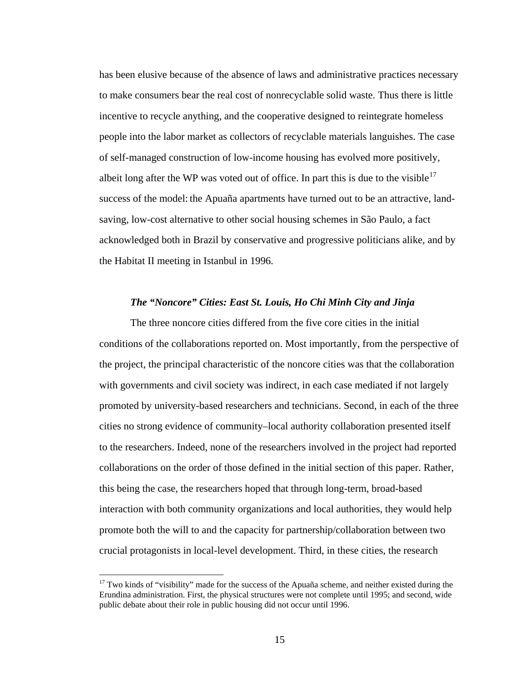<span id="page-27-0"></span>has been elusive because of the absence of laws and administrative practices necessary to make consumers bear the real cost of nonrecyclable solid waste. Thus there is little incentive to recycle anything, and the cooperative designed to reintegrate homeless people into the labor market as collectors of recyclable materials languishes. The case of self-managed construction of low-income housing has evolved more positively, albeit long after the WP was voted out of office. In part this is due to the visible<sup>[1](#page-27-1)7</sup> success of the model: the Apuaña apartments have turned out to be an attractive, landsaving, low-cost alternative to other social housing schemes in São Paulo, a fact acknowledged both in Brazil by conservative and progressive politicians alike, and by the Habitat II meeting in Istanbul in 1996.

#### *The "Noncore" Cities: East St. Louis, Ho Chi Minh City and Jinja*

The three noncore cities differed from the five core cities in the initial conditions of the collaborations reported on. Most importantly, from the perspective of the project, the principal characteristic of the noncore cities was that the collaboration with governments and civil society was indirect, in each case mediated if not largely promoted by university-based researchers and technicians. Second, in each of the three cities no strong evidence of community–local authority collaboration presented itself to the researchers. Indeed, none of the researchers involved in the project had reported collaborations on the order of those defined in the initial section of this paper. Rather, this being the case, the researchers hoped that through long-term, broad-based interaction with both community organizations and local authorities, they would help promote both the will to and the capacity for partnership/collaboration between two crucial protagonists in local-level development. Third, in these cities, the research

 $\overline{a}$ 

<span id="page-27-1"></span> $17$  Two kinds of "visibility" made for the success of the Apuaña scheme, and neither existed during the Erundina administration. First, the physical structures were not complete until 1995; and second, wide public debate about their role in public housing did not occur until 1996.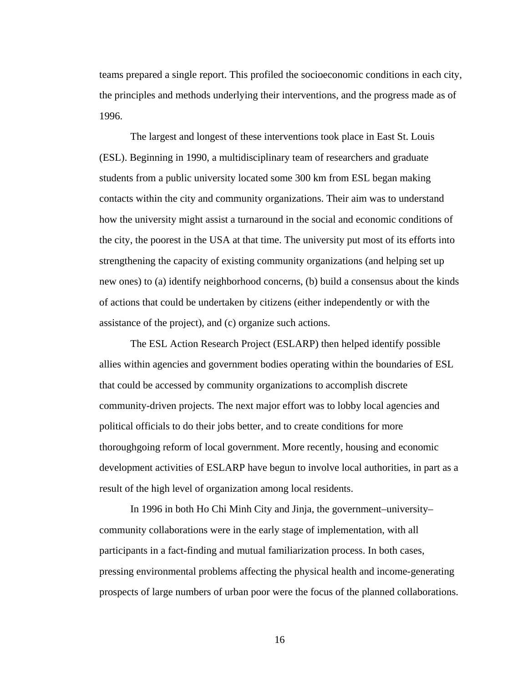teams prepared a single report. This profiled the socioeconomic conditions in each city, the principles and methods underlying their interventions, and the progress made as of 1996.

The largest and longest of these interventions took place in East St. Louis (ESL). Beginning in 1990, a multidisciplinary team of researchers and graduate students from a public university located some 300 km from ESL began making contacts within the city and community organizations. Their aim was to understand how the university might assist a turnaround in the social and economic conditions of the city, the poorest in the USA at that time. The university put most of its efforts into strengthening the capacity of existing community organizations (and helping set up new ones) to (a) identify neighborhood concerns, (b) build a consensus about the kinds of actions that could be undertaken by citizens (either independently or with the assistance of the project), and (c) organize such actions.

The ESL Action Research Project (ESLARP) then helped identify possible allies within agencies and government bodies operating within the boundaries of ESL that could be accessed by community organizations to accomplish discrete community-driven projects. The next major effort was to lobby local agencies and political officials to do their jobs better, and to create conditions for more thoroughgoing reform of local government. More recently, housing and economic development activities of ESLARP have begun to involve local authorities, in part as a result of the high level of organization among local residents.

In 1996 in both Ho Chi Minh City and Jinja, the government–university– community collaborations were in the early stage of implementation, with all participants in a fact-finding and mutual familiarization process. In both cases, pressing environmental problems affecting the physical health and income-generating prospects of large numbers of urban poor were the focus of the planned collaborations.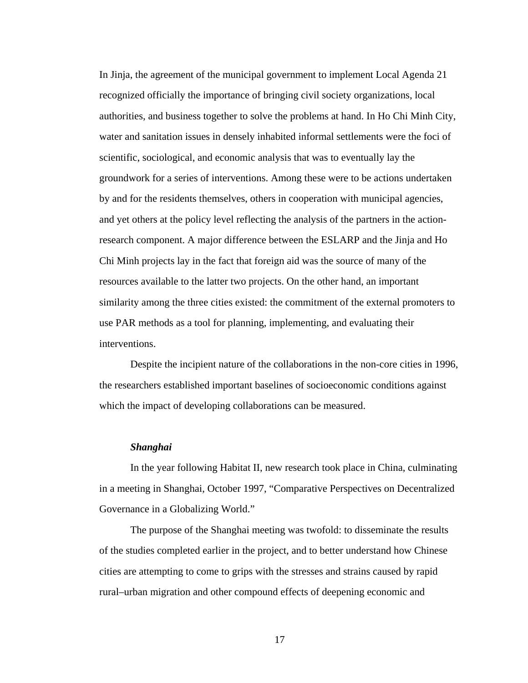<span id="page-29-0"></span>In Jinja, the agreement of the municipal government to implement Local Agenda 21 recognized officially the importance of bringing civil society organizations, local authorities, and business together to solve the problems at hand. In Ho Chi Minh City, water and sanitation issues in densely inhabited informal settlements were the foci of scientific, sociological, and economic analysis that was to eventually lay the groundwork for a series of interventions. Among these were to be actions undertaken by and for the residents themselves, others in cooperation with municipal agencies, and yet others at the policy level reflecting the analysis of the partners in the actionresearch component. A major difference between the ESLARP and the Jinja and Ho Chi Minh projects lay in the fact that foreign aid was the source of many of the resources available to the latter two projects. On the other hand, an important similarity among the three cities existed: the commitment of the external promoters to use PAR methods as a tool for planning, implementing, and evaluating their interventions.

Despite the incipient nature of the collaborations in the non-core cities in 1996, the researchers established important baselines of socioeconomic conditions against which the impact of developing collaborations can be measured.

#### *Shanghai*

In the year following Habitat II, new research took place in China, culminating in a meeting in Shanghai, October 1997, "Comparative Perspectives on Decentralized Governance in a Globalizing World."

The purpose of the Shanghai meeting was twofold: to disseminate the results of the studies completed earlier in the project, and to better understand how Chinese cities are attempting to come to grips with the stresses and strains caused by rapid rural–urban migration and other compound effects of deepening economic and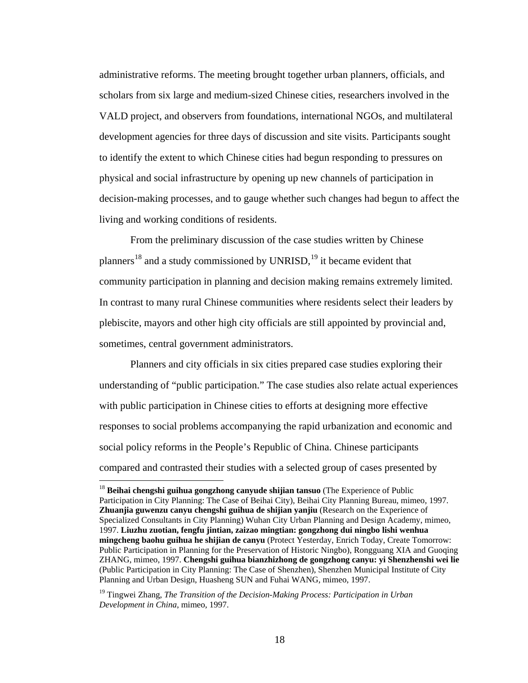administrative reforms. The meeting brought together urban planners, officials, and scholars from six large and medium-sized Chinese cities, researchers involved in the VALD project, and observers from foundations, international NGOs, and multilateral development agencies for three days of discussion and site visits. Participants sought to identify the extent to which Chinese cities had begun responding to pressures on physical and social infrastructure by opening up new channels of participation in decision-making processes, and to gauge whether such changes had begun to affect the living and working conditions of residents.

From the preliminary discussion of the case studies written by Chinese planners<sup>[1](#page-30-0)8</sup> and a study commissioned by UNRISD,<sup>[19](#page-30-1)</sup> it became evident that community participation in planning and decision making remains extremely limited. In contrast to many rural Chinese communities where residents select their leaders by plebiscite, mayors and other high city officials are still appointed by provincial and, sometimes, central government administrators.

Planners and city officials in six cities prepared case studies exploring their understanding of "public participation." The case studies also relate actual experiences with public participation in Chinese cities to efforts at designing more effective responses to social problems accompanying the rapid urbanization and economic and social policy reforms in the People's Republic of China. Chinese participants compared and contrasted their studies with a selected group of cases presented by

 $\overline{a}$ 

<span id="page-30-0"></span><sup>18</sup> **Beihai chengshi guihua gongzhong canyude shijian tansuo** (The Experience of Public Participation in City Planning: The Case of Beihai City), Beihai City Planning Bureau, mimeo, 1997. **Zhuanjia guwenzu canyu chengshi guihua de shijian yanjiu** (Research on the Experience of Specialized Consultants in City Planning) Wuhan City Urban Planning and Design Academy, mimeo, 1997. **Liuzhu zuotian, fengfu jintian, zaizao mingtian: gongzhong dui ningbo lishi wenhua mingcheng baohu guihua he shijian de canyu** (Protect Yesterday, Enrich Today, Create Tomorrow: Public Participation in Planning for the Preservation of Historic Ningbo), Rongguang XIA and Guoqing ZHANG, mimeo, 1997. **Chengshi guihua bianzhizhong de gongzhong canyu: yi Shenzhenshi wei lie** (Public Participation in City Planning: The Case of Shenzhen), Shenzhen Municipal Institute of City Planning and Urban Design, Huasheng SUN and Fuhai WANG, mimeo, 1997.

<span id="page-30-1"></span><sup>19</sup> Tingwei Zhang, *The Transition of the Decision-Making Process: Participation in Urban Development in China*, mimeo, 1997.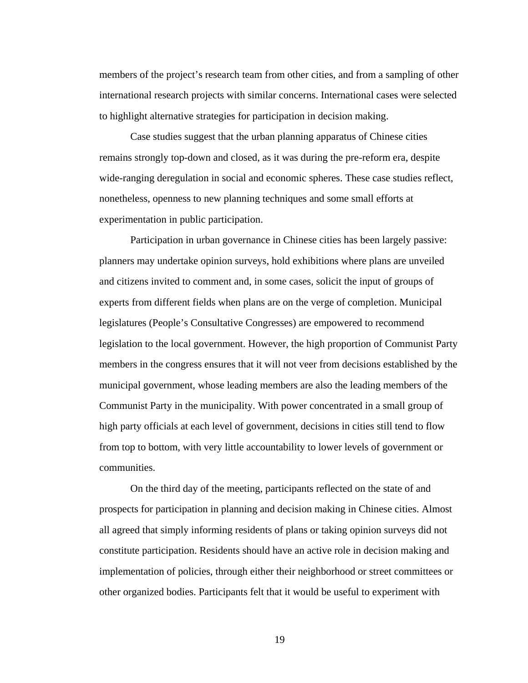members of the project's research team from other cities, and from a sampling of other international research projects with similar concerns. International cases were selected to highlight alternative strategies for participation in decision making.

Case studies suggest that the urban planning apparatus of Chinese cities remains strongly top-down and closed, as it was during the pre-reform era, despite wide-ranging deregulation in social and economic spheres. These case studies reflect, nonetheless, openness to new planning techniques and some small efforts at experimentation in public participation.

Participation in urban governance in Chinese cities has been largely passive: planners may undertake opinion surveys, hold exhibitions where plans are unveiled and citizens invited to comment and, in some cases, solicit the input of groups of experts from different fields when plans are on the verge of completion. Municipal legislatures (People's Consultative Congresses) are empowered to recommend legislation to the local government. However, the high proportion of Communist Party members in the congress ensures that it will not veer from decisions established by the municipal government, whose leading members are also the leading members of the Communist Party in the municipality. With power concentrated in a small group of high party officials at each level of government, decisions in cities still tend to flow from top to bottom, with very little accountability to lower levels of government or communities.

On the third day of the meeting, participants reflected on the state of and prospects for participation in planning and decision making in Chinese cities. Almost all agreed that simply informing residents of plans or taking opinion surveys did not constitute participation. Residents should have an active role in decision making and implementation of policies, through either their neighborhood or street committees or other organized bodies. Participants felt that it would be useful to experiment with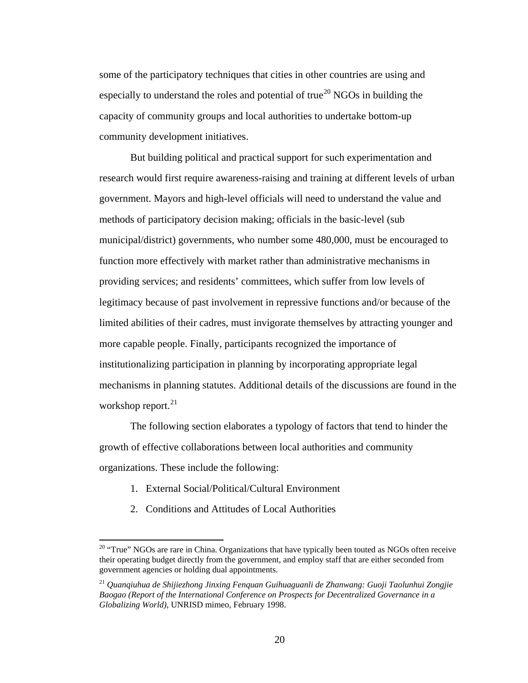some of the participatory techniques that cities in other countries are using and especially to understand the roles and potential of true<sup>[20](#page-32-0)</sup> NGOs in building the capacity of community groups and local authorities to undertake bottom-up community development initiatives.

But building political and practical support for such experimentation and research would first require awareness-raising and training at different levels of urban government. Mayors and high-level officials will need to understand the value and methods of participatory decision making; officials in the basic-level (sub municipal/district) governments, who number some 480,000, must be encouraged to function more effectively with market rather than administrative mechanisms in providing services; and residents' committees, which suffer from low levels of legitimacy because of past involvement in repressive functions and/or because of the limited abilities of their cadres, must invigorate themselves by attracting younger and more capable people. Finally, participants recognized the importance of institutionalizing participation in planning by incorporating appropriate legal mechanisms in planning statutes. Additional details of the discussions are found in the workshop report. $^{21}$  $^{21}$  $^{21}$ 

The following section elaborates a typology of factors that tend to hinder the growth of effective collaborations between local authorities and community organizations. These include the following:

- 1. External Social/Political/Cultural Environment
- 2. Conditions and Attitudes of Local Authorities

 $\overline{a}$ 

<span id="page-32-0"></span> $20$  "True" NGOs are rare in China. Organizations that have typically been touted as NGOs often receive their operating budget directly from the government, and employ staff that are either seconded from government agencies or holding dual appointments.

<span id="page-32-1"></span><sup>21</sup> *Quanqiuhua de Shijiezhong Jinxing Fenquan Guihuaguanli de Zhanwang: Guoji Taolunhui Zongjie Baogao (Report of the International Conference on Prospects for Decentralized Governance in a Globalizing World)*, UNRISD mimeo, February 1998.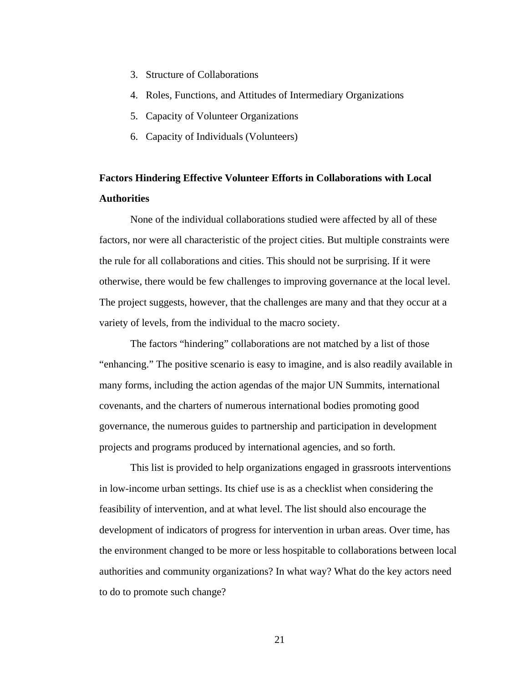- <span id="page-33-0"></span>3. Structure of Collaborations
- 4. Roles, Functions, and Attitudes of Intermediary Organizations
- 5. Capacity of Volunteer Organizations
- 6. Capacity of Individuals (Volunteers)

## **Factors Hindering Effective Volunteer Efforts in Collaborations with Local Authorities**

None of the individual collaborations studied were affected by all of these factors, nor were all characteristic of the project cities. But multiple constraints were the rule for all collaborations and cities. This should not be surprising. If it were otherwise, there would be few challenges to improving governance at the local level. The project suggests, however, that the challenges are many and that they occur at a variety of levels, from the individual to the macro society.

The factors "hindering" collaborations are not matched by a list of those "enhancing." The positive scenario is easy to imagine, and is also readily available in many forms, including the action agendas of the major UN Summits, international covenants, and the charters of numerous international bodies promoting good governance, the numerous guides to partnership and participation in development projects and programs produced by international agencies, and so forth.

This list is provided to help organizations engaged in grassroots interventions in low-income urban settings. Its chief use is as a checklist when considering the feasibility of intervention, and at what level. The list should also encourage the development of indicators of progress for intervention in urban areas. Over time, has the environment changed to be more or less hospitable to collaborations between local authorities and community organizations? In what way? What do the key actors need to do to promote such change?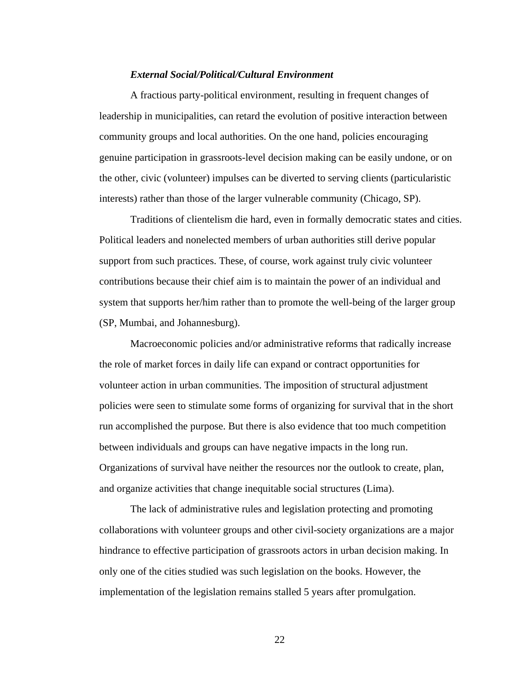#### *External Social/Political/Cultural Environment*

<span id="page-34-0"></span>A fractious party-political environment, resulting in frequent changes of leadership in municipalities, can retard the evolution of positive interaction between community groups and local authorities. On the one hand, policies encouraging genuine participation in grassroots-level decision making can be easily undone, or on the other, civic (volunteer) impulses can be diverted to serving clients (particularistic interests) rather than those of the larger vulnerable community (Chicago, SP).

Traditions of clientelism die hard, even in formally democratic states and cities. Political leaders and nonelected members of urban authorities still derive popular support from such practices. These, of course, work against truly civic volunteer contributions because their chief aim is to maintain the power of an individual and system that supports her/him rather than to promote the well-being of the larger group (SP, Mumbai, and Johannesburg).

Macroeconomic policies and/or administrative reforms that radically increase the role of market forces in daily life can expand or contract opportunities for volunteer action in urban communities. The imposition of structural adjustment policies were seen to stimulate some forms of organizing for survival that in the short run accomplished the purpose. But there is also evidence that too much competition between individuals and groups can have negative impacts in the long run. Organizations of survival have neither the resources nor the outlook to create, plan, and organize activities that change inequitable social structures (Lima).

The lack of administrative rules and legislation protecting and promoting collaborations with volunteer groups and other civil-society organizations are a major hindrance to effective participation of grassroots actors in urban decision making. In only one of the cities studied was such legislation on the books. However, the implementation of the legislation remains stalled 5 years after promulgation.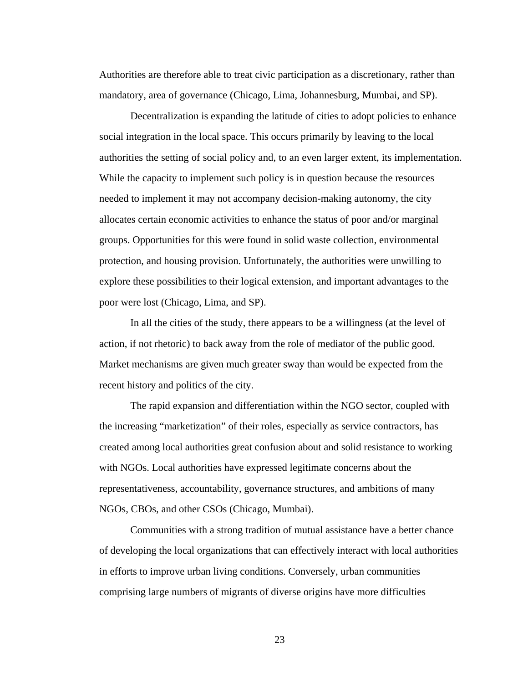Authorities are therefore able to treat civic participation as a discretionary, rather than mandatory, area of governance (Chicago, Lima, Johannesburg, Mumbai, and SP).

Decentralization is expanding the latitude of cities to adopt policies to enhance social integration in the local space. This occurs primarily by leaving to the local authorities the setting of social policy and, to an even larger extent, its implementation. While the capacity to implement such policy is in question because the resources needed to implement it may not accompany decision-making autonomy, the city allocates certain economic activities to enhance the status of poor and/or marginal groups. Opportunities for this were found in solid waste collection, environmental protection, and housing provision. Unfortunately, the authorities were unwilling to explore these possibilities to their logical extension, and important advantages to the poor were lost (Chicago, Lima, and SP).

In all the cities of the study, there appears to be a willingness (at the level of action, if not rhetoric) to back away from the role of mediator of the public good. Market mechanisms are given much greater sway than would be expected from the recent history and politics of the city.

The rapid expansion and differentiation within the NGO sector, coupled with the increasing "marketization" of their roles, especially as service contractors, has created among local authorities great confusion about and solid resistance to working with NGOs. Local authorities have expressed legitimate concerns about the representativeness, accountability, governance structures, and ambitions of many NGOs, CBOs, and other CSOs (Chicago, Mumbai).

Communities with a strong tradition of mutual assistance have a better chance of developing the local organizations that can effectively interact with local authorities in efforts to improve urban living conditions. Conversely, urban communities comprising large numbers of migrants of diverse origins have more difficulties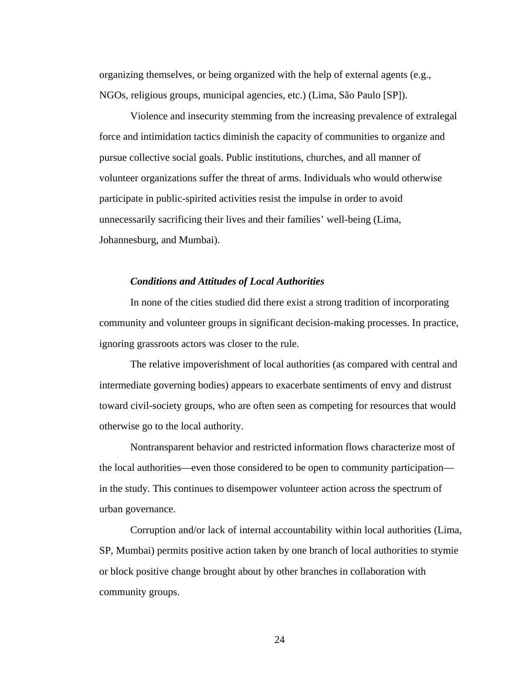organizing themselves, or being organized with the help of external agents (e.g., NGOs, religious groups, municipal agencies, etc.) (Lima, São Paulo [SP]).

Violence and insecurity stemming from the increasing prevalence of extralegal force and intimidation tactics diminish the capacity of communities to organize and pursue collective social goals. Public institutions, churches, and all manner of volunteer organizations suffer the threat of arms. Individuals who would otherwise participate in public-spirited activities resist the impulse in order to avoid unnecessarily sacrificing their lives and their families' well-being (Lima, Johannesburg, and Mumbai).

#### *Conditions and Attitudes of Local Authorities*

In none of the cities studied did there exist a strong tradition of incorporating community and volunteer groups in significant decision-making processes. In practice, ignoring grassroots actors was closer to the rule.

The relative impoverishment of local authorities (as compared with central and intermediate governing bodies) appears to exacerbate sentiments of envy and distrust toward civil-society groups, who are often seen as competing for resources that would otherwise go to the local authority.

Nontransparent behavior and restricted information flows characterize most of the local authorities—even those considered to be open to community participation in the study. This continues to disempower volunteer action across the spectrum of urban governance.

Corruption and/or lack of internal accountability within local authorities (Lima, SP, Mumbai) permits positive action taken by one branch of local authorities to stymie or block positive change brought about by other branches in collaboration with community groups.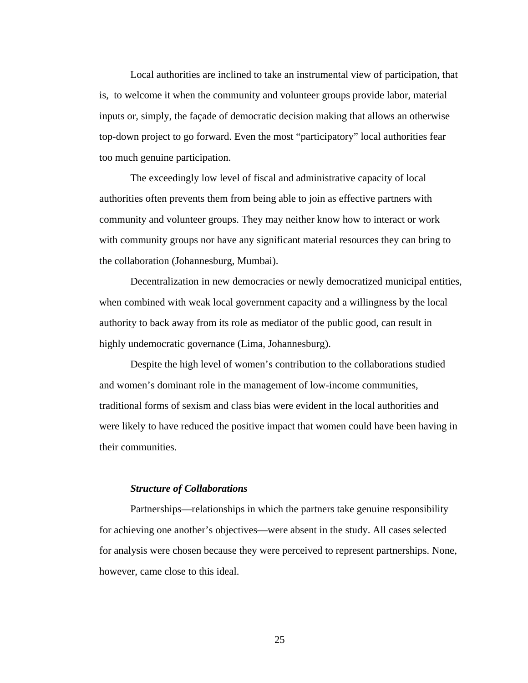Local authorities are inclined to take an instrumental view of participation, that is, to welcome it when the community and volunteer groups provide labor, material inputs or, simply, the façade of democratic decision making that allows an otherwise top-down project to go forward. Even the most "participatory" local authorities fear too much genuine participation.

The exceedingly low level of fiscal and administrative capacity of local authorities often prevents them from being able to join as effective partners with community and volunteer groups. They may neither know how to interact or work with community groups nor have any significant material resources they can bring to the collaboration (Johannesburg, Mumbai).

Decentralization in new democracies or newly democratized municipal entities, when combined with weak local government capacity and a willingness by the local authority to back away from its role as mediator of the public good, can result in highly undemocratic governance (Lima, Johannesburg).

Despite the high level of women's contribution to the collaborations studied and women's dominant role in the management of low-income communities, traditional forms of sexism and class bias were evident in the local authorities and were likely to have reduced the positive impact that women could have been having in their communities.

#### *Structure of Collaborations*

Partnerships—relationships in which the partners take genuine responsibility for achieving one another's objectives—were absent in the study. All cases selected for analysis were chosen because they were perceived to represent partnerships. None, however, came close to this ideal.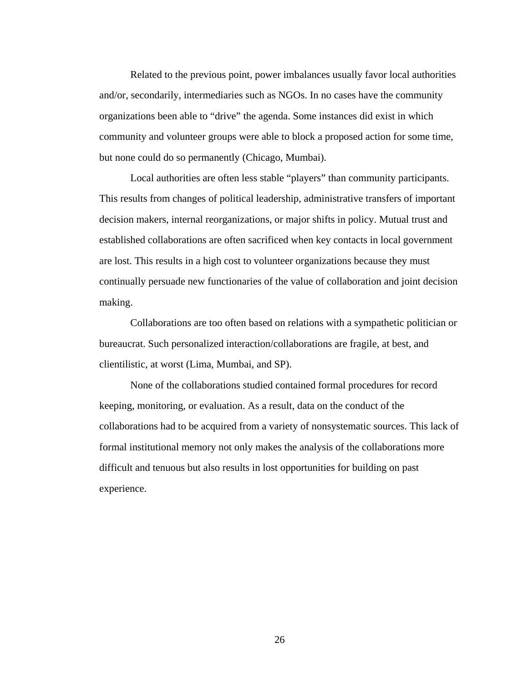Related to the previous point, power imbalances usually favor local authorities and/or, secondarily, intermediaries such as NGOs. In no cases have the community organizations been able to "drive" the agenda. Some instances did exist in which community and volunteer groups were able to block a proposed action for some time, but none could do so permanently (Chicago, Mumbai).

Local authorities are often less stable "players" than community participants. This results from changes of political leadership, administrative transfers of important decision makers, internal reorganizations, or major shifts in policy. Mutual trust and established collaborations are often sacrificed when key contacts in local government are lost. This results in a high cost to volunteer organizations because they must continually persuade new functionaries of the value of collaboration and joint decision making.

Collaborations are too often based on relations with a sympathetic politician or bureaucrat. Such personalized interaction/collaborations are fragile, at best, and clientilistic, at worst (Lima, Mumbai, and SP).

None of the collaborations studied contained formal procedures for record keeping, monitoring, or evaluation. As a result, data on the conduct of the collaborations had to be acquired from a variety of nonsystematic sources. This lack of formal institutional memory not only makes the analysis of the collaborations more difficult and tenuous but also results in lost opportunities for building on past experience.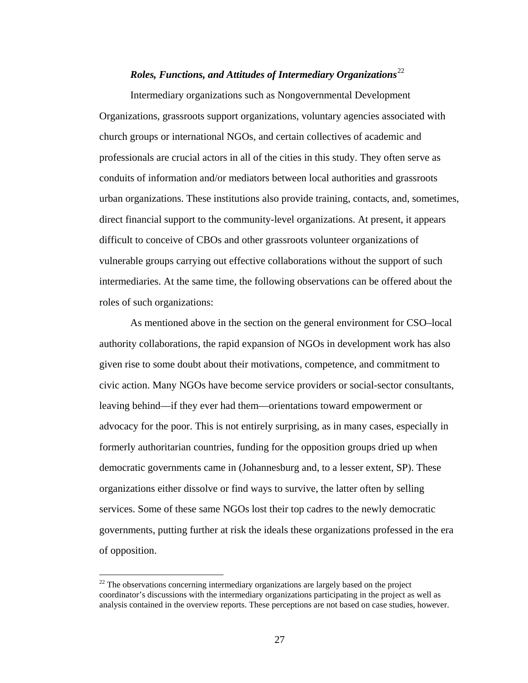## *Roles, Functions, and Attitudes of Intermediary Organizations*<sup>[2](#page-39-0)2</sup>

Intermediary organizations such as Nongovernmental Development Organizations, grassroots support organizations, voluntary agencies associated with church groups or international NGOs, and certain collectives of academic and professionals are crucial actors in all of the cities in this study. They often serve as conduits of information and/or mediators between local authorities and grassroots urban organizations. These institutions also provide training, contacts, and, sometimes, direct financial support to the community-level organizations. At present, it appears difficult to conceive of CBOs and other grassroots volunteer organizations of vulnerable groups carrying out effective collaborations without the support of such intermediaries. At the same time, the following observations can be offered about the roles of such organizations:

As mentioned above in the section on the general environment for CSO–local authority collaborations, the rapid expansion of NGOs in development work has also given rise to some doubt about their motivations, competence, and commitment to civic action. Many NGOs have become service providers or social-sector consultants, leaving behind—if they ever had them—orientations toward empowerment or advocacy for the poor. This is not entirely surprising, as in many cases, especially in formerly authoritarian countries, funding for the opposition groups dried up when democratic governments came in (Johannesburg and, to a lesser extent, SP). These organizations either dissolve or find ways to survive, the latter often by selling services. Some of these same NGOs lost their top cadres to the newly democratic governments, putting further at risk the ideals these organizations professed in the era of opposition.

<span id="page-39-0"></span><sup>&</sup>lt;sup>22</sup> The observations concerning intermediary organizations are largely based on the project coordinator's discussions with the intermediary organizations participating in the project as well as analysis contained in the overview reports. These perceptions are not based on case studies, however.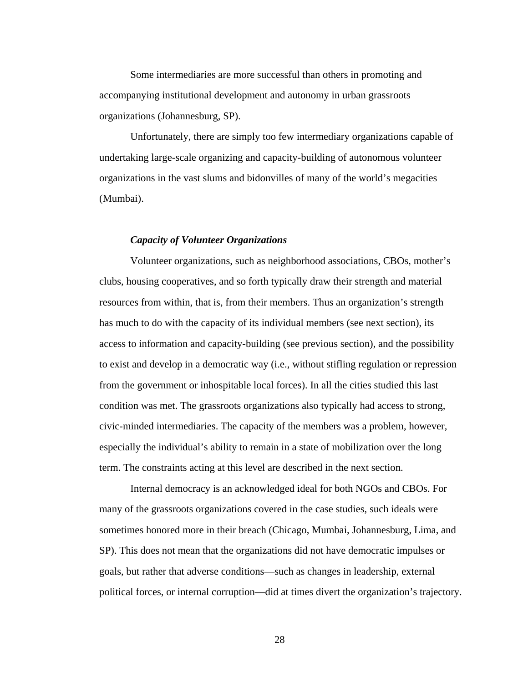Some intermediaries are more successful than others in promoting and accompanying institutional development and autonomy in urban grassroots organizations (Johannesburg, SP).

Unfortunately, there are simply too few intermediary organizations capable of undertaking large-scale organizing and capacity-building of autonomous volunteer organizations in the vast slums and bidonvilles of many of the world's megacities (Mumbai).

#### *Capacity of Volunteer Organizations*

Volunteer organizations, such as neighborhood associations, CBOs, mother's clubs, housing cooperatives, and so forth typically draw their strength and material resources from within, that is, from their members. Thus an organization's strength has much to do with the capacity of its individual members (see next section), its access to information and capacity-building (see previous section), and the possibility to exist and develop in a democratic way (i.e., without stifling regulation or repression from the government or inhospitable local forces). In all the cities studied this last condition was met. The grassroots organizations also typically had access to strong, civic-minded intermediaries. The capacity of the members was a problem, however, especially the individual's ability to remain in a state of mobilization over the long term. The constraints acting at this level are described in the next section.

Internal democracy is an acknowledged ideal for both NGOs and CBOs. For many of the grassroots organizations covered in the case studies, such ideals were sometimes honored more in their breach (Chicago, Mumbai, Johannesburg, Lima, and SP). This does not mean that the organizations did not have democratic impulses or goals, but rather that adverse conditions—such as changes in leadership, external political forces, or internal corruption—did at times divert the organization's trajectory.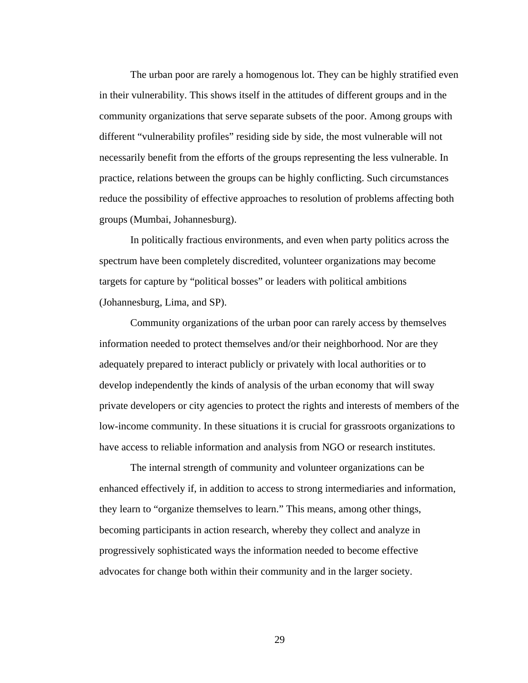The urban poor are rarely a homogenous lot. They can be highly stratified even in their vulnerability. This shows itself in the attitudes of different groups and in the community organizations that serve separate subsets of the poor. Among groups with different "vulnerability profiles" residing side by side, the most vulnerable will not necessarily benefit from the efforts of the groups representing the less vulnerable. In practice, relations between the groups can be highly conflicting. Such circumstances reduce the possibility of effective approaches to resolution of problems affecting both groups (Mumbai, Johannesburg).

In politically fractious environments, and even when party politics across the spectrum have been completely discredited, volunteer organizations may become targets for capture by "political bosses" or leaders with political ambitions (Johannesburg, Lima, and SP).

Community organizations of the urban poor can rarely access by themselves information needed to protect themselves and/or their neighborhood. Nor are they adequately prepared to interact publicly or privately with local authorities or to develop independently the kinds of analysis of the urban economy that will sway private developers or city agencies to protect the rights and interests of members of the low-income community. In these situations it is crucial for grassroots organizations to have access to reliable information and analysis from NGO or research institutes.

The internal strength of community and volunteer organizations can be enhanced effectively if, in addition to access to strong intermediaries and information, they learn to "organize themselves to learn." This means, among other things, becoming participants in action research, whereby they collect and analyze in progressively sophisticated ways the information needed to become effective advocates for change both within their community and in the larger society.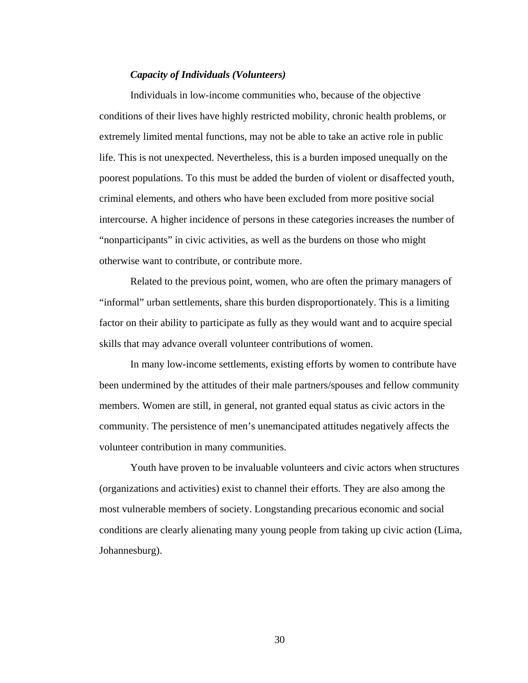#### *Capacity of Individuals (Volunteers)*

Individuals in low-income communities who, because of the objective conditions of their lives have highly restricted mobility, chronic health problems, or extremely limited mental functions, may not be able to take an active role in public life. This is not unexpected. Nevertheless, this is a burden imposed unequally on the poorest populations. To this must be added the burden of violent or disaffected youth, criminal elements, and others who have been excluded from more positive social intercourse. A higher incidence of persons in these categories increases the number of "nonparticipants" in civic activities, as well as the burdens on those who might otherwise want to contribute, or contribute more.

Related to the previous point, women, who are often the primary managers of "informal" urban settlements, share this burden disproportionately. This is a limiting factor on their ability to participate as fully as they would want and to acquire special skills that may advance overall volunteer contributions of women.

In many low-income settlements, existing efforts by women to contribute have been undermined by the attitudes of their male partners/spouses and fellow community members. Women are still, in general, not granted equal status as civic actors in the community. The persistence of men's unemancipated attitudes negatively affects the volunteer contribution in many communities.

Youth have proven to be invaluable volunteers and civic actors when structures (organizations and activities) exist to channel their efforts. They are also among the most vulnerable members of society. Longstanding precarious economic and social conditions are clearly alienating many young people from taking up civic action (Lima, Johannesburg).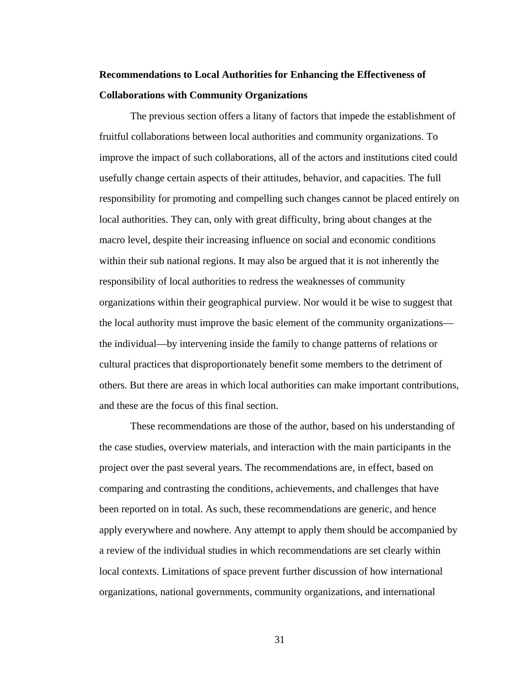## **Recommendations to Local Authorities for Enhancing the Effectiveness of Collaborations with Community Organizations**

The previous section offers a litany of factors that impede the establishment of fruitful collaborations between local authorities and community organizations. To improve the impact of such collaborations, all of the actors and institutions cited could usefully change certain aspects of their attitudes, behavior, and capacities. The full responsibility for promoting and compelling such changes cannot be placed entirely on local authorities. They can, only with great difficulty, bring about changes at the macro level, despite their increasing influence on social and economic conditions within their sub national regions. It may also be argued that it is not inherently the responsibility of local authorities to redress the weaknesses of community organizations within their geographical purview. Nor would it be wise to suggest that the local authority must improve the basic element of the community organizations the individual—by intervening inside the family to change patterns of relations or cultural practices that disproportionately benefit some members to the detriment of others. But there are areas in which local authorities can make important contributions, and these are the focus of this final section.

These recommendations are those of the author, based on his understanding of the case studies, overview materials, and interaction with the main participants in the project over the past several years. The recommendations are, in effect, based on comparing and contrasting the conditions, achievements, and challenges that have been reported on in total. As such, these recommendations are generic, and hence apply everywhere and nowhere. Any attempt to apply them should be accompanied by a review of the individual studies in which recommendations are set clearly within local contexts. Limitations of space prevent further discussion of how international organizations, national governments, community organizations, and international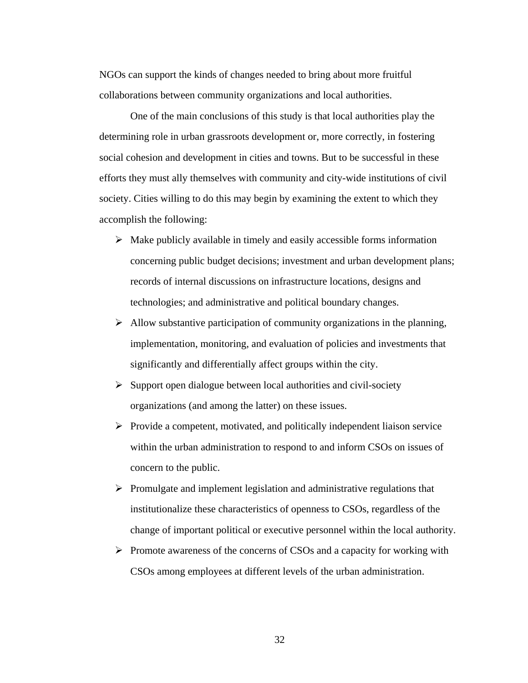NGOs can support the kinds of changes needed to bring about more fruitful collaborations between community organizations and local authorities.

One of the main conclusions of this study is that local authorities play the determining role in urban grassroots development or, more correctly, in fostering social cohesion and development in cities and towns. But to be successful in these efforts they must ally themselves with community and city-wide institutions of civil society. Cities willing to do this may begin by examining the extent to which they accomplish the following:

- $\triangleright$  Make publicly available in timely and easily accessible forms information concerning public budget decisions; investment and urban development plans; records of internal discussions on infrastructure locations, designs and technologies; and administrative and political boundary changes.
- $\triangleright$  Allow substantive participation of community organizations in the planning, implementation, monitoring, and evaluation of policies and investments that significantly and differentially affect groups within the city.
- $\triangleright$  Support open dialogue between local authorities and civil-society organizations (and among the latter) on these issues.
- $\triangleright$  Provide a competent, motivated, and politically independent liaison service within the urban administration to respond to and inform CSOs on issues of concern to the public.
- $\triangleright$  Promulgate and implement legislation and administrative regulations that institutionalize these characteristics of openness to CSOs, regardless of the change of important political or executive personnel within the local authority.
- $\triangleright$  Promote awareness of the concerns of CSOs and a capacity for working with CSOs among employees at different levels of the urban administration.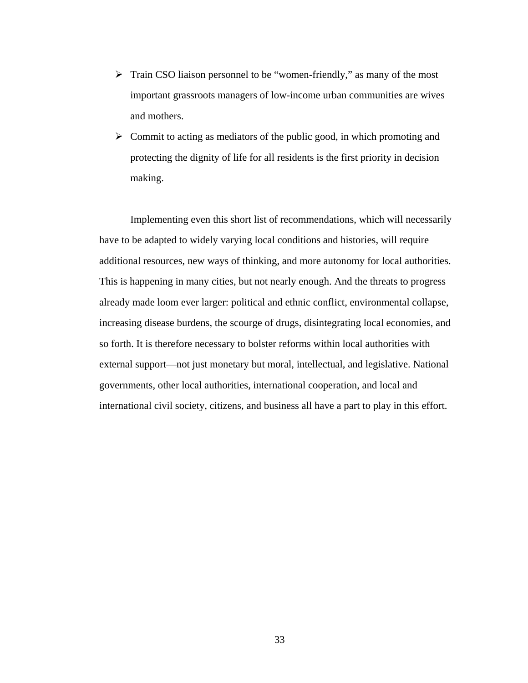- $\triangleright$  Train CSO liaison personnel to be "women-friendly," as many of the most important grassroots managers of low-income urban communities are wives and mothers.
- $\triangleright$  Commit to acting as mediators of the public good, in which promoting and protecting the dignity of life for all residents is the first priority in decision making.

Implementing even this short list of recommendations, which will necessarily have to be adapted to widely varying local conditions and histories, will require additional resources, new ways of thinking, and more autonomy for local authorities. This is happening in many cities, but not nearly enough. And the threats to progress already made loom ever larger: political and ethnic conflict, environmental collapse, increasing disease burdens, the scourge of drugs, disintegrating local economies, and so forth. It is therefore necessary to bolster reforms within local authorities with external support—not just monetary but moral, intellectual, and legislative. National governments, other local authorities, international cooperation, and local and international civil society, citizens, and business all have a part to play in this effort.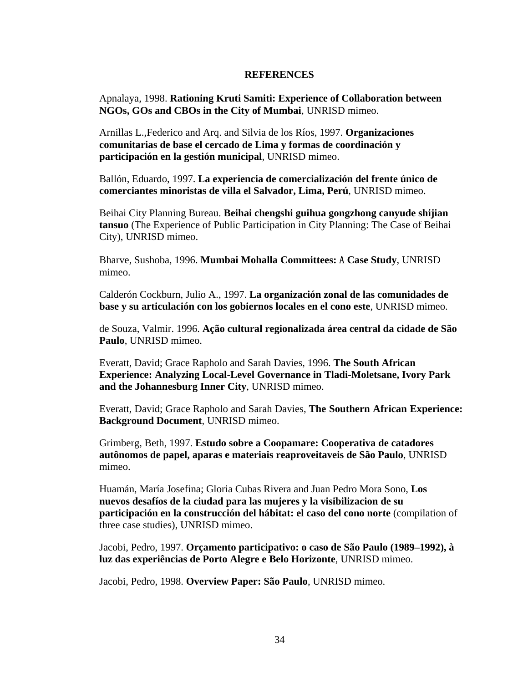#### **REFERENCES**

Apnalaya, 1998. **Rationing Kruti Samiti: Experience of Collaboration between NGOs, GOs and CBOs in the City of Mumbai**, UNRISD mimeo.

Arnillas L.,Federico and Arq. and Silvia de los Ríos, 1997. **Organizaciones comunitarias de base el cercado de Lima y formas de coordinación y participación en la gestión municipal**, UNRISD mimeo.

Ballón, Eduardo, 1997. **La experiencia de comercialización del frente único de comerciantes minoristas de villa el Salvador, Lima, Perú**, UNRISD mimeo.

Beihai City Planning Bureau. **Beihai chengshi guihua gongzhong canyude shijian tansuo** (The Experience of Public Participation in City Planning: The Case of Beihai City), UNRISD mimeo.

Bharve, Sushoba, 1996. **Mumbai Mohalla Committees:** A **Case Study**, UNRISD mimeo.

Calderón Cockburn, Julio A., 1997. **La organización zonal de las comunidades de base y su articulación con los gobiernos locales en el cono este**, UNRISD mimeo.

de Souza, Valmir. 1996. **Ação cultural regionalizada área central da cidade de São Paulo**, UNRISD mimeo.

Everatt, David; Grace Rapholo and Sarah Davies, 1996. **The South African Experience: Analyzing Local-Level Governance in Tladi-Moletsane, Ivory Park and the Johannesburg Inner City**, UNRISD mimeo.

Everatt, David; Grace Rapholo and Sarah Davies, **The Southern African Experience: Background Document**, UNRISD mimeo.

Grimberg, Beth, 1997. **Estudo sobre a Coopamare: Cooperativa de catadores autônomos de papel, aparas e materiais reaproveitaveis de São Paulo**, UNRISD mimeo.

Huamán, María Josefina; Gloria Cubas Rivera and Juan Pedro Mora Sono, **Los nuevos desafíos de la ciudad para las mujeres y la visibilizacion de su participación en la construcción del hábitat: el caso del cono norte** (compilation of three case studies), UNRISD mimeo.

Jacobi, Pedro, 1997. **Orçamento participativo: o caso de São Paulo (1989–1992), à luz das experiências de Porto Alegre e Belo Horizonte**, UNRISD mimeo.

Jacobi, Pedro, 1998. **Overview Paper: São Paulo**, UNRISD mimeo.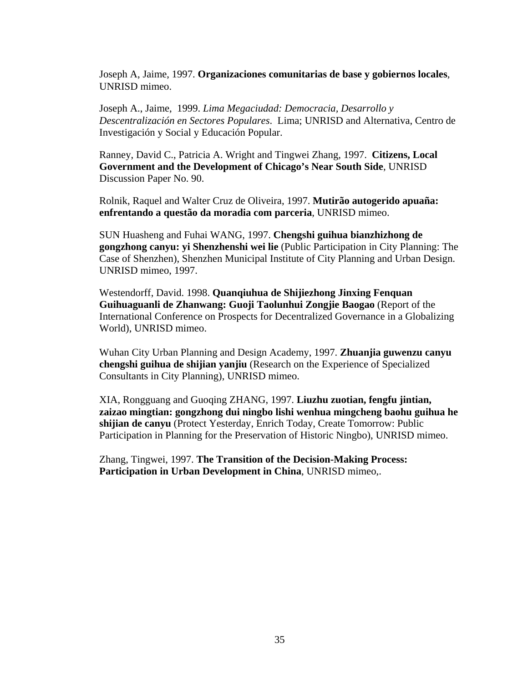Joseph A, Jaime, 1997. **Organizaciones comunitarias de base y gobiernos locales**, UNRISD mimeo.

Joseph A., Jaime, 1999. *Lima Megaciudad: Democracia, Desarrollo y Descentralización en Sectores Populares*. Lima; UNRISD and Alternativa, Centro de Investigación y Social y Educación Popular.

Ranney, David C., Patricia A. Wright and Tingwei Zhang, 1997. **Citizens, Local Government and the Development of Chicago's Near South Side**, UNRISD Discussion Paper No. 90.

Rolnik, Raquel and Walter Cruz de Oliveira, 1997. **Mutirão autogerido apuaña: enfrentando a questão da moradia com parceria**, UNRISD mimeo.

SUN Huasheng and Fuhai WANG, 1997. **Chengshi guihua bianzhizhong de gongzhong canyu: yi Shenzhenshi wei lie** (Public Participation in City Planning: The Case of Shenzhen), Shenzhen Municipal Institute of City Planning and Urban Design. UNRISD mimeo, 1997.

Westendorff, David. 1998. **Quanqiuhua de Shijiezhong Jinxing Fenquan Guihuaguanli de Zhanwang: Guoji Taolunhui Zongjie Baogao** (Report of the International Conference on Prospects for Decentralized Governance in a Globalizing World), UNRISD mimeo.

Wuhan City Urban Planning and Design Academy, 1997. **Zhuanjia guwenzu canyu chengshi guihua de shijian yanjiu** (Research on the Experience of Specialized Consultants in City Planning), UNRISD mimeo.

XIA, Rongguang and Guoqing ZHANG, 1997. **Liuzhu zuotian, fengfu jintian, zaizao mingtian: gongzhong dui ningbo lishi wenhua mingcheng baohu guihua he shijian de canyu** (Protect Yesterday, Enrich Today, Create Tomorrow: Public Participation in Planning for the Preservation of Historic Ningbo), UNRISD mimeo.

Zhang, Tingwei, 1997. **The Transition of the Decision-Making Process: Participation in Urban Development in China**, UNRISD mimeo,.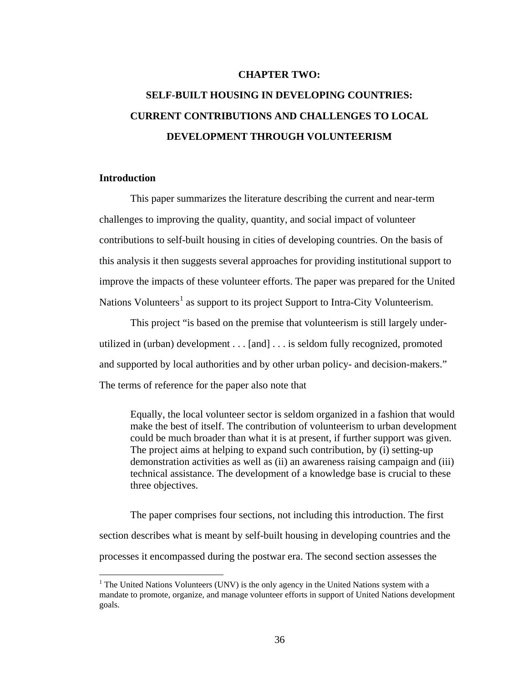#### **CHAPTER TWO:**

# **SELF-BUILT HOUSING IN DEVELOPING COUNTRIES: CURRENT CONTRIBUTIONS AND CHALLENGES TO LOCAL DEVELOPMENT THROUGH VOLUNTEERISM**

#### **Introduction**

 $\overline{a}$ 

This paper summarizes the literature describing the current and near-term challenges to improving the quality, quantity, and social impact of volunteer contributions to self-built housing in cities of developing countries. On the basis of this analysis it then suggests several approaches for providing institutional support to improve the impacts of these volunteer efforts. The paper was prepared for the United Nations Volunteers<sup>[1](#page-48-0)</sup> as support to its project Support to Intra-City Volunteerism.

This project "is based on the premise that volunteerism is still largely underutilized in (urban) development . . . [and] . . . is seldom fully recognized, promoted and supported by local authorities and by other urban policy- and decision-makers." The terms of reference for the paper also note that

Equally, the local volunteer sector is seldom organized in a fashion that would make the best of itself. The contribution of volunteerism to urban development could be much broader than what it is at present, if further support was given. The project aims at helping to expand such contribution, by (i) setting-up demonstration activities as well as (ii) an awareness raising campaign and (iii) technical assistance. The development of a knowledge base is crucial to these three objectives.

The paper comprises four sections, not including this introduction. The first section describes what is meant by self-built housing in developing countries and the processes it encompassed during the postwar era. The second section assesses the

<span id="page-48-0"></span> $1$  The United Nations Volunteers (UNV) is the only agency in the United Nations system with a mandate to promote, organize, and manage volunteer efforts in support of United Nations development goals.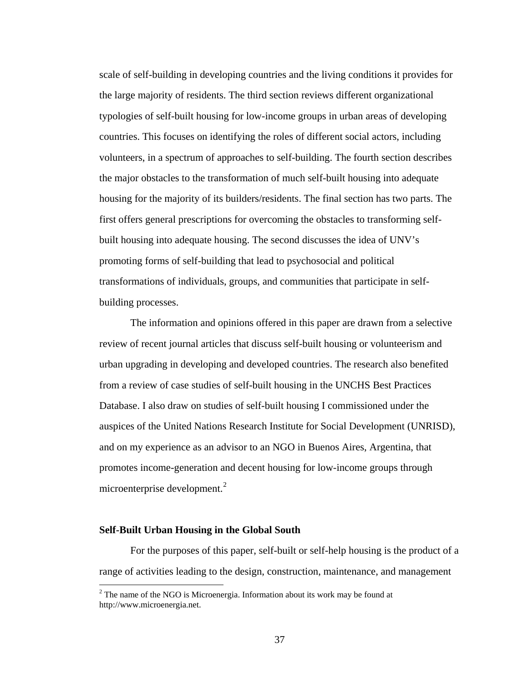scale of self-building in developing countries and the living conditions it provides for the large majority of residents. The third section reviews different organizational typologies of self-built housing for low-income groups in urban areas of developing countries. This focuses on identifying the roles of different social actors, including volunteers, in a spectrum of approaches to self-building. The fourth section describes the major obstacles to the transformation of much self-built housing into adequate housing for the majority of its builders/residents. The final section has two parts. The first offers general prescriptions for overcoming the obstacles to transforming selfbuilt housing into adequate housing. The second discusses the idea of UNV's promoting forms of self-building that lead to psychosocial and political transformations of individuals, groups, and communities that participate in selfbuilding processes.

The information and opinions offered in this paper are drawn from a selective review of recent journal articles that discuss self-built housing or volunteerism and urban upgrading in developing and developed countries. The research also benefited from a review of case studies of self-built housing in the UNCHS Best Practices Database. I also draw on studies of self-built housing I commissioned under the auspices of the United Nations Research Institute for Social Development (UNRISD), and on my experience as an advisor to an NGO in Buenos Aires, Argentina, that promotes income-generation and decent housing for low-income groups through microenterprise development.<sup>[2](#page-49-0)</sup>

#### **Self-Built Urban Housing in the Global South**

 $\overline{a}$ 

For the purposes of this paper, self-built or self-help housing is the product of a range of activities leading to the design, construction, maintenance, and management

<span id="page-49-0"></span> $2^2$  The name of the NGO is Microenergia. Information about its work may be found at http://www.microenergia.net.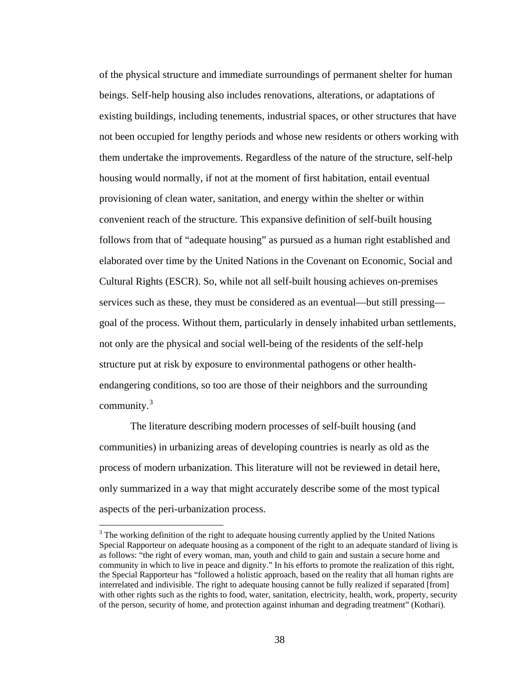of the physical structure and immediate surroundings of permanent shelter for human beings. Self-help housing also includes renovations, alterations, or adaptations of existing buildings, including tenements, industrial spaces, or other structures that have not been occupied for lengthy periods and whose new residents or others working with them undertake the improvements. Regardless of the nature of the structure, self-help housing would normally, if not at the moment of first habitation, entail eventual provisioning of clean water, sanitation, and energy within the shelter or within convenient reach of the structure. This expansive definition of self-built housing follows from that of "adequate housing" as pursued as a human right established and elaborated over time by the United Nations in the Covenant on Economic, Social and Cultural Rights (ESCR). So, while not all self-built housing achieves on-premises services such as these, they must be considered as an eventual—but still pressing goal of the process. Without them, particularly in densely inhabited urban settlements, not only are the physical and social well-being of the residents of the self-help structure put at risk by exposure to environmental pathogens or other healthendangering conditions, so too are those of their neighbors and the surrounding community. $3$ 

The literature describing modern processes of self-built housing (and communities) in urbanizing areas of developing countries is nearly as old as the process of modern urbanization. This literature will not be reviewed in detail here, only summarized in a way that might accurately describe some of the most typical aspects of the peri-urbanization process.

<span id="page-50-0"></span> $3$  The working definition of the right to adequate housing currently applied by the United Nations Special Rapporteur on adequate housing as a component of the right to an adequate standard of living is as follows: "the right of every woman, man, youth and child to gain and sustain a secure home and community in which to live in peace and dignity." In his efforts to promote the realization of this right, the Special Rapporteur has "followed a holistic approach, based on the reality that all human rights are interrelated and indivisible. The right to adequate housing cannot be fully realized if separated [from] with other rights such as the rights to food, water, sanitation, electricity, health, work, property, security of the person, security of home, and protection against inhuman and degrading treatment" (Kothari).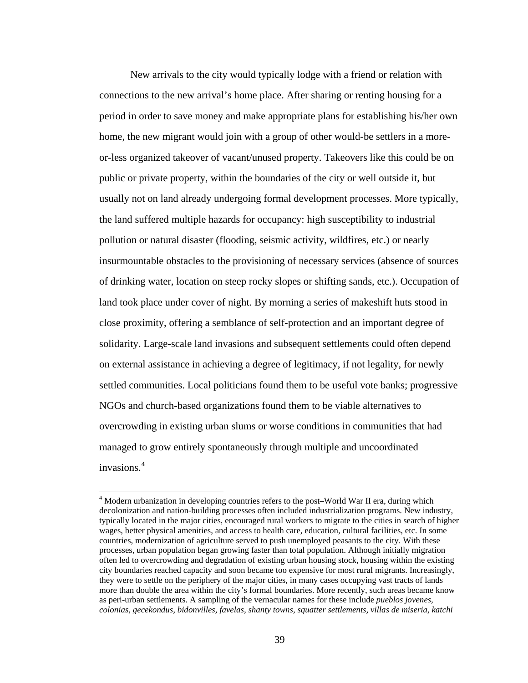New arrivals to the city would typically lodge with a friend or relation with connections to the new arrival's home place. After sharing or renting housing for a period in order to save money and make appropriate plans for establishing his/her own home, the new migrant would join with a group of other would-be settlers in a moreor-less organized takeover of vacant/unused property. Takeovers like this could be on public or private property, within the boundaries of the city or well outside it, but usually not on land already undergoing formal development processes. More typically, the land suffered multiple hazards for occupancy: high susceptibility to industrial pollution or natural disaster (flooding, seismic activity, wildfires, etc.) or nearly insurmountable obstacles to the provisioning of necessary services (absence of sources of drinking water, location on steep rocky slopes or shifting sands, etc.). Occupation of land took place under cover of night. By morning a series of makeshift huts stood in close proximity, offering a semblance of self-protection and an important degree of solidarity. Large-scale land invasions and subsequent settlements could often depend on external assistance in achieving a degree of legitimacy, if not legality, for newly settled communities. Local politicians found them to be useful vote banks; progressive NGOs and church-based organizations found them to be viable alternatives to overcrowding in existing urban slums or worse conditions in communities that had managed to grow entirely spontaneously through multiple and uncoordinated invasions.[4](#page-51-0)

<span id="page-51-0"></span><sup>&</sup>lt;sup>4</sup> Modern urbanization in developing countries refers to the post–World War II era, during which decolonization and nation-building processes often included industrialization programs. New industry, typically located in the major cities, encouraged rural workers to migrate to the cities in search of higher wages, better physical amenities, and access to health care, education, cultural facilities, etc. In some countries, modernization of agriculture served to push unemployed peasants to the city. With these processes, urban population began growing faster than total population. Although initially migration often led to overcrowding and degradation of existing urban housing stock, housing within the existing city boundaries reached capacity and soon became too expensive for most rural migrants. Increasingly, they were to settle on the periphery of the major cities, in many cases occupying vast tracts of lands more than double the area within the city's formal boundaries. More recently, such areas became know as peri-urban settlements. A sampling of the vernacular names for these include *pueblos jovenes, colonias, gecekondus, bidonvilles, favelas, shanty towns, squatter settlements, villas de miseria, katchi*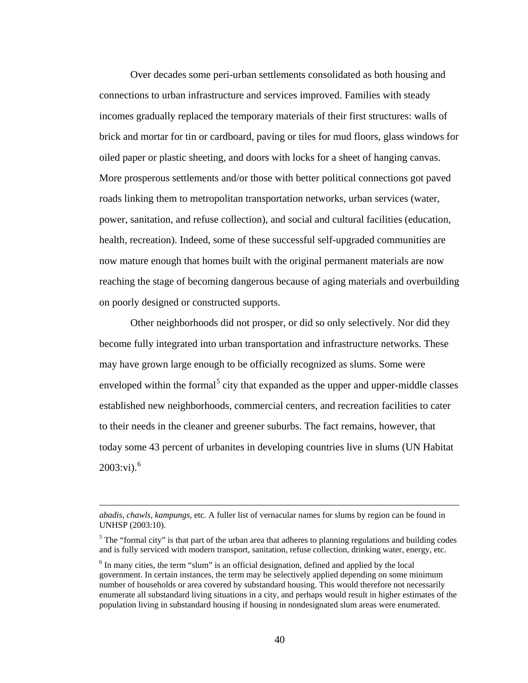Over decades some peri-urban settlements consolidated as both housing and connections to urban infrastructure and services improved. Families with steady incomes gradually replaced the temporary materials of their first structures: walls of brick and mortar for tin or cardboard, paving or tiles for mud floors, glass windows for oiled paper or plastic sheeting, and doors with locks for a sheet of hanging canvas. More prosperous settlements and/or those with better political connections got paved roads linking them to metropolitan transportation networks, urban services (water, power, sanitation, and refuse collection), and social and cultural facilities (education, health, recreation). Indeed, some of these successful self-upgraded communities are now mature enough that homes built with the original permanent materials are now reaching the stage of becoming dangerous because of aging materials and overbuilding on poorly designed or constructed supports.

Other neighborhoods did not prosper, or did so only selectively. Nor did they become fully integrated into urban transportation and infrastructure networks. These may have grown large enough to be officially recognized as slums. Some were enveloped within the formal<sup>[5](#page-52-0)</sup> city that expanded as the upper and upper-middle classes established new neighborhoods, commercial centers, and recreation facilities to cater to their needs in the cleaner and greener suburbs. The fact remains, however, that today some 43 percent of urbanites in developing countries live in slums (UN Habitat  $2003$ :vi).<sup>[6](#page-52-1)</sup>

*abadis, chawls, kampungs,* etc*.* A fuller list of vernacular names for slums by region can be found in UNHSP (2003:10).

<span id="page-52-0"></span> $<sup>5</sup>$  The "formal city" is that part of the urban area that adheres to planning regulations and building codes</sup> and is fully serviced with modern transport, sanitation, refuse collection, drinking water, energy, etc.

<span id="page-52-1"></span> $6$  In many cities, the term "slum" is an official designation, defined and applied by the local government. In certain instances, the term may be selectively applied depending on some minimum number of households or area covered by substandard housing. This would therefore not necessarily enumerate all substandard living situations in a city, and perhaps would result in higher estimates of the population living in substandard housing if housing in nondesignated slum areas were enumerated.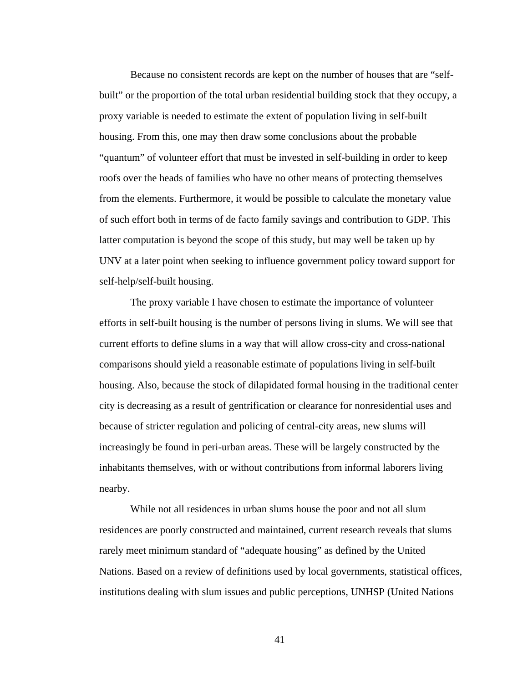Because no consistent records are kept on the number of houses that are "selfbuilt" or the proportion of the total urban residential building stock that they occupy, a proxy variable is needed to estimate the extent of population living in self-built housing. From this, one may then draw some conclusions about the probable "quantum" of volunteer effort that must be invested in self-building in order to keep roofs over the heads of families who have no other means of protecting themselves from the elements. Furthermore, it would be possible to calculate the monetary value of such effort both in terms of de facto family savings and contribution to GDP. This latter computation is beyond the scope of this study, but may well be taken up by UNV at a later point when seeking to influence government policy toward support for self-help/self-built housing.

The proxy variable I have chosen to estimate the importance of volunteer efforts in self-built housing is the number of persons living in slums. We will see that current efforts to define slums in a way that will allow cross-city and cross-national comparisons should yield a reasonable estimate of populations living in self-built housing. Also, because the stock of dilapidated formal housing in the traditional center city is decreasing as a result of gentrification or clearance for nonresidential uses and because of stricter regulation and policing of central-city areas, new slums will increasingly be found in peri-urban areas. These will be largely constructed by the inhabitants themselves, with or without contributions from informal laborers living nearby.

While not all residences in urban slums house the poor and not all slum residences are poorly constructed and maintained, current research reveals that slums rarely meet minimum standard of "adequate housing" as defined by the United Nations. Based on a review of definitions used by local governments, statistical offices, institutions dealing with slum issues and public perceptions, UNHSP (United Nations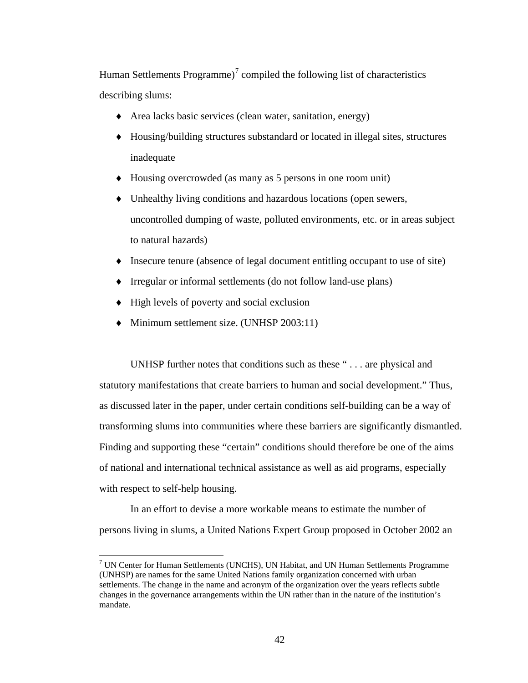Human Settlements Programme)<sup>[7](#page-54-0)</sup> compiled the following list of characteristics describing slums:

- ♦ Area lacks basic services (clean water, sanitation, energy)
- ♦ Housing/building structures substandard or located in illegal sites, structures inadequate
- ♦ Housing overcrowded (as many as 5 persons in one room unit)
- ♦ Unhealthy living conditions and hazardous locations (open sewers, uncontrolled dumping of waste, polluted environments, etc. or in areas subject to natural hazards)
- ♦ Insecure tenure (absence of legal document entitling occupant to use of site)
- ♦ Irregular or informal settlements (do not follow land-use plans)
- High levels of poverty and social exclusion

 $\overline{a}$ 

♦ Minimum settlement size. (UNHSP 2003:11)

UNHSP further notes that conditions such as these " . . . are physical and statutory manifestations that create barriers to human and social development." Thus, as discussed later in the paper, under certain conditions self-building can be a way of transforming slums into communities where these barriers are significantly dismantled. Finding and supporting these "certain" conditions should therefore be one of the aims of national and international technical assistance as well as aid programs, especially with respect to self-help housing.

In an effort to devise a more workable means to estimate the number of persons living in slums, a United Nations Expert Group proposed in October 2002 an

<span id="page-54-0"></span> $7$  UN Center for Human Settlements (UNCHS), UN Habitat, and UN Human Settlements Programme (UNHSP) are names for the same United Nations family organization concerned with urban settlements. The change in the name and acronym of the organization over the years reflects subtle changes in the governance arrangements within the UN rather than in the nature of the institution's mandate.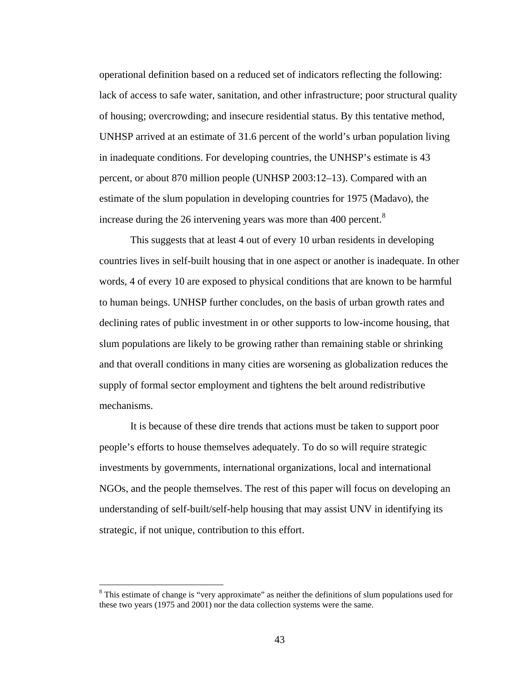operational definition based on a reduced set of indicators reflecting the following: lack of access to safe water, sanitation, and other infrastructure; poor structural quality of housing; overcrowding; and insecure residential status. By this tentative method, UNHSP arrived at an estimate of 31.6 percent of the world's urban population living in inadequate conditions. For developing countries, the UNHSP's estimate is 43 percent, or about 870 million people (UNHSP 2003:12–13). Compared with an estimate of the slum population in developing countries for 1975 (Madavo), the increase during the 26 intervening years was more than 400 percent.<sup>[8](#page-55-0)</sup>

This suggests that at least 4 out of every 10 urban residents in developing countries lives in self-built housing that in one aspect or another is inadequate. In other words, 4 of every 10 are exposed to physical conditions that are known to be harmful to human beings. UNHSP further concludes, on the basis of urban growth rates and declining rates of public investment in or other supports to low-income housing, that slum populations are likely to be growing rather than remaining stable or shrinking and that overall conditions in many cities are worsening as globalization reduces the supply of formal sector employment and tightens the belt around redistributive mechanisms.

It is because of these dire trends that actions must be taken to support poor people's efforts to house themselves adequately. To do so will require strategic investments by governments, international organizations, local and international NGOs, and the people themselves. The rest of this paper will focus on developing an understanding of self-built/self-help housing that may assist UNV in identifying its strategic, if not unique, contribution to this effort.

<span id="page-55-0"></span><sup>&</sup>lt;sup>8</sup> This estimate of change is "very approximate" as neither the definitions of slum populations used for these two years (1975 and 2001) nor the data collection systems were the same.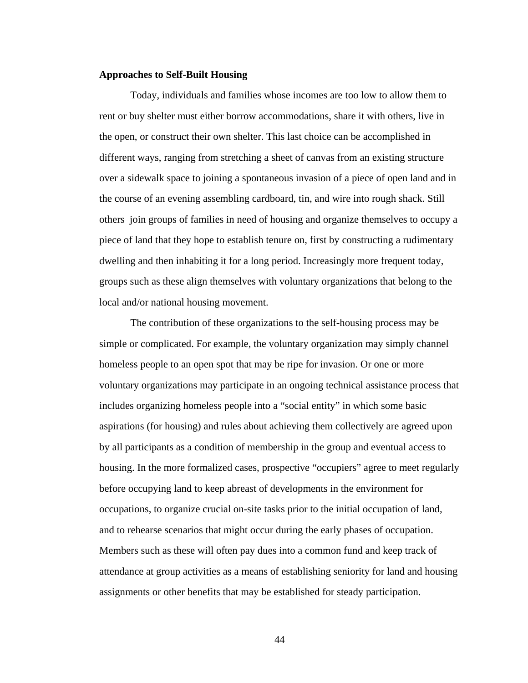#### **Approaches to Self-Built Housing**

Today, individuals and families whose incomes are too low to allow them to rent or buy shelter must either borrow accommodations, share it with others, live in the open, or construct their own shelter. This last choice can be accomplished in different ways, ranging from stretching a sheet of canvas from an existing structure over a sidewalk space to joining a spontaneous invasion of a piece of open land and in the course of an evening assembling cardboard, tin, and wire into rough shack. Still others join groups of families in need of housing and organize themselves to occupy a piece of land that they hope to establish tenure on, first by constructing a rudimentary dwelling and then inhabiting it for a long period. Increasingly more frequent today, groups such as these align themselves with voluntary organizations that belong to the local and/or national housing movement.

The contribution of these organizations to the self-housing process may be simple or complicated. For example, the voluntary organization may simply channel homeless people to an open spot that may be ripe for invasion. Or one or more voluntary organizations may participate in an ongoing technical assistance process that includes organizing homeless people into a "social entity" in which some basic aspirations (for housing) and rules about achieving them collectively are agreed upon by all participants as a condition of membership in the group and eventual access to housing. In the more formalized cases, prospective "occupiers" agree to meet regularly before occupying land to keep abreast of developments in the environment for occupations, to organize crucial on-site tasks prior to the initial occupation of land, and to rehearse scenarios that might occur during the early phases of occupation. Members such as these will often pay dues into a common fund and keep track of attendance at group activities as a means of establishing seniority for land and housing assignments or other benefits that may be established for steady participation.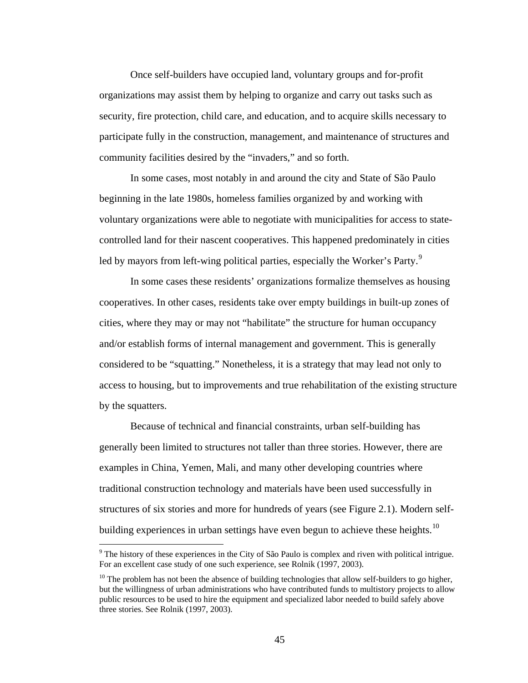Once self-builders have occupied land, voluntary groups and for-profit organizations may assist them by helping to organize and carry out tasks such as security, fire protection, child care, and education, and to acquire skills necessary to participate fully in the construction, management, and maintenance of structures and community facilities desired by the "invaders," and so forth.

In some cases, most notably in and around the city and State of São Paulo beginning in the late 1980s, homeless families organized by and working with voluntary organizations were able to negotiate with municipalities for access to statecontrolled land for their nascent cooperatives. This happened predominately in cities led by mayors from left-wing political parties, especially the Worker's Party.<sup>[9](#page-57-0)</sup>

In some cases these residents' organizations formalize themselves as housing cooperatives. In other cases, residents take over empty buildings in built-up zones of cities, where they may or may not "habilitate" the structure for human occupancy and/or establish forms of internal management and government. This is generally considered to be "squatting." Nonetheless, it is a strategy that may lead not only to access to housing, but to improvements and true rehabilitation of the existing structure by the squatters.

Because of technical and financial constraints, urban self-building has generally been limited to structures not taller than three stories. However, there are examples in China, Yemen, Mali, and many other developing countries where traditional construction technology and materials have been used successfully in structures of six stories and more for hundreds of years (see Figure 2.1). Modern self-building experiences in urban settings have even begun to achieve these heights.<sup>[10](#page-57-1)</sup>

<span id="page-57-0"></span> $9$  The history of these experiences in the City of São Paulo is complex and riven with political intrigue. For an excellent case study of one such experience, see Rolnik (1997, 2003).

<span id="page-57-1"></span> $10$  The problem has not been the absence of building technologies that allow self-builders to go higher, but the willingness of urban administrations who have contributed funds to multistory projects to allow public resources to be used to hire the equipment and specialized labor needed to build safely above three stories. See Rolnik (1997, 2003).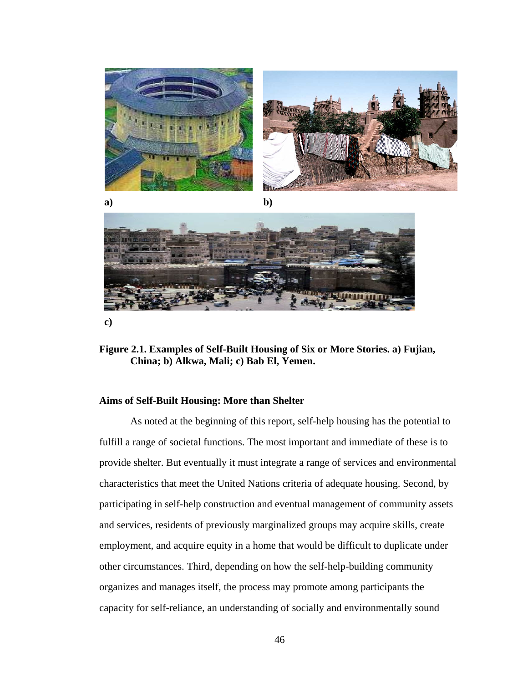

**Figure 2.1. Examples of Self-Built Housing of Six or More Stories. a) Fujian, China; b) Alkwa, Mali; c) Bab El, Yemen.** 

#### **Aims of Self-Built Housing: More than Shelter**

As noted at the beginning of this report, self-help housing has the potential to fulfill a range of societal functions. The most important and immediate of these is to provide shelter. But eventually it must integrate a range of services and environmental characteristics that meet the United Nations criteria of adequate housing. Second, by participating in self-help construction and eventual management of community assets and services, residents of previously marginalized groups may acquire skills, create employment, and acquire equity in a home that would be difficult to duplicate under other circumstances. Third, depending on how the self-help-building community organizes and manages itself, the process may promote among participants the capacity for self-reliance, an understanding of socially and environmentally sound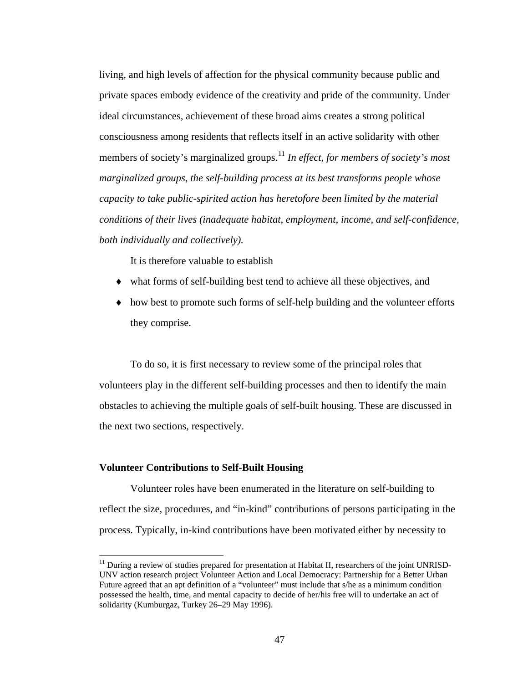living, and high levels of affection for the physical community because public and private spaces embody evidence of the creativity and pride of the community. Under ideal circumstances, achievement of these broad aims creates a strong political consciousness among residents that reflects itself in an active solidarity with other members of society's marginalized groups.<sup>[11](#page-59-0)</sup> *In effect, for members of society's most marginalized groups, the self-building process at its best transforms people whose capacity to take public-spirited action has heretofore been limited by the material conditions of their lives (inadequate habitat, employment, income, and self-confidence, both individually and collectively).* 

It is therefore valuable to establish

- ♦ what forms of self-building best tend to achieve all these objectives, and
- ♦ how best to promote such forms of self-help building and the volunteer efforts they comprise.

To do so, it is first necessary to review some of the principal roles that volunteers play in the different self-building processes and then to identify the main obstacles to achieving the multiple goals of self-built housing. These are discussed in the next two sections, respectively.

#### **Volunteer Contributions to Self-Built Housing**

 $\overline{a}$ 

Volunteer roles have been enumerated in the literature on self-building to reflect the size, procedures, and "in-kind" contributions of persons participating in the process. Typically, in-kind contributions have been motivated either by necessity to

<span id="page-59-0"></span> $11$  During a review of studies prepared for presentation at Habitat II, researchers of the joint UNRISD-UNV action research project Volunteer Action and Local Democracy: Partnership for a Better Urban Future agreed that an apt definition of a "volunteer" must include that s/he as a minimum condition possessed the health, time, and mental capacity to decide of her/his free will to undertake an act of solidarity (Kumburgaz, Turkey 26–29 May 1996).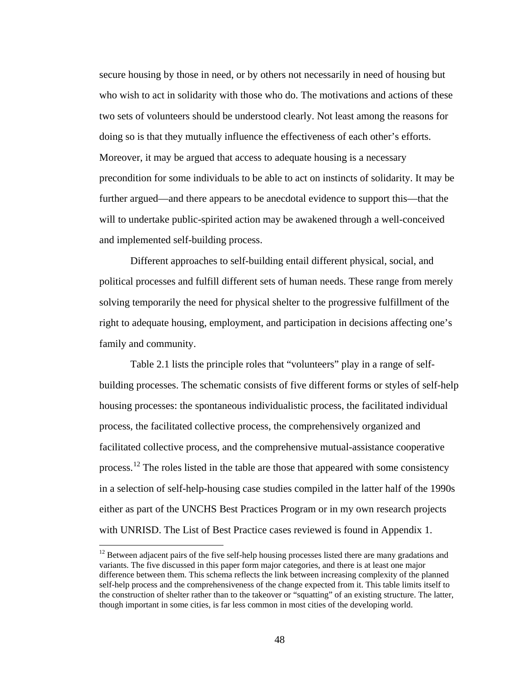secure housing by those in need, or by others not necessarily in need of housing but who wish to act in solidarity with those who do. The motivations and actions of these two sets of volunteers should be understood clearly. Not least among the reasons for doing so is that they mutually influence the effectiveness of each other's efforts. Moreover, it may be argued that access to adequate housing is a necessary precondition for some individuals to be able to act on instincts of solidarity. It may be further argued—and there appears to be anecdotal evidence to support this—that the will to undertake public-spirited action may be awakened through a well-conceived and implemented self-building process.

Different approaches to self-building entail different physical, social, and political processes and fulfill different sets of human needs. These range from merely solving temporarily the need for physical shelter to the progressive fulfillment of the right to adequate housing, employment, and participation in decisions affecting one's family and community.

Table 2.1 lists the principle roles that "volunteers" play in a range of selfbuilding processes. The schematic consists of five different forms or styles of self-help housing processes: the spontaneous individualistic process, the facilitated individual process, the facilitated collective process, the comprehensively organized and facilitated collective process, and the comprehensive mutual-assistance cooperative process.<sup>[12](#page-60-0)</sup> The roles listed in the table are those that appeared with some consistency in a selection of self-help-housing case studies compiled in the latter half of the 1990s either as part of the UNCHS Best Practices Program or in my own research projects with UNRISD. The List of Best Practice cases reviewed is found in Appendix 1.

<span id="page-60-0"></span> $12$  Between adjacent pairs of the five self-help housing processes listed there are many gradations and variants. The five discussed in this paper form major categories, and there is at least one major difference between them. This schema reflects the link between increasing complexity of the planned self-help process and the comprehensiveness of the change expected from it. This table limits itself to the construction of shelter rather than to the takeover or "squatting" of an existing structure. The latter, though important in some cities, is far less common in most cities of the developing world.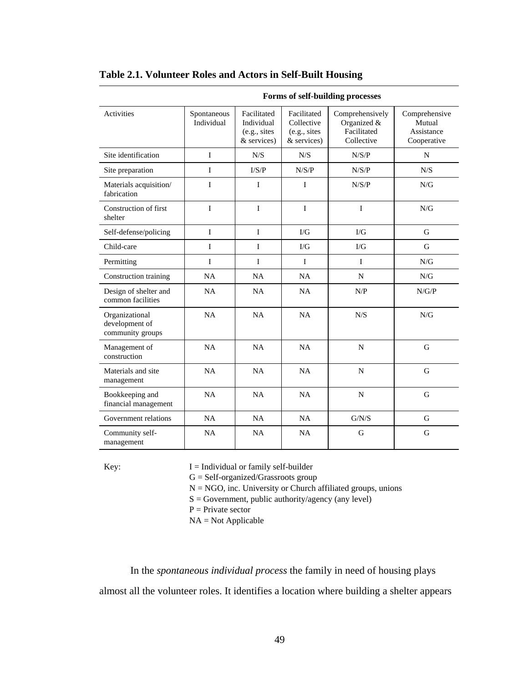|                                                      | Forms of self-building processes |                                                           |                                                           |                                                             |                                                      |
|------------------------------------------------------|----------------------------------|-----------------------------------------------------------|-----------------------------------------------------------|-------------------------------------------------------------|------------------------------------------------------|
| <b>Activities</b>                                    | Spontaneous<br>Individual        | Facilitated<br>Individual<br>(e.g., sites)<br>& services) | Facilitated<br>Collective<br>(e.g., sites)<br>& services) | Comprehensively<br>Organized &<br>Facilitated<br>Collective | Comprehensive<br>Mutual<br>Assistance<br>Cooperative |
| Site identification                                  | T                                | N/S                                                       | N/S                                                       | N/S/P                                                       | N                                                    |
| Site preparation                                     | T                                | I/S/P                                                     | N/S/P                                                     | N/S/P                                                       | N/S                                                  |
| Materials acquisition/<br>fabrication                | I                                | I                                                         | $\mathbf I$                                               | N/S/P                                                       | ${\rm N/G}$                                          |
| Construction of first<br>shelter                     | T                                | I                                                         | $\mathbf{I}$                                              | I                                                           | N/G                                                  |
| Self-defense/policing                                | I                                | I                                                         | $\Gamma/G$                                                | I/G                                                         | G                                                    |
| Child-care                                           | T                                | T                                                         | $\rm{I/G}$                                                | $\rm UG$                                                    | G                                                    |
| Permitting                                           | $\mathbf{I}$                     | T                                                         | $\mathbf{I}$                                              | $\mathbf{I}$                                                | N/G                                                  |
| Construction training                                | NA                               | NA                                                        | NA                                                        | $\mathbf N$                                                 | N/G                                                  |
| Design of shelter and<br>common facilities           | NA                               | NA                                                        | NA                                                        | N/P                                                         | N/G/P                                                |
| Organizational<br>development of<br>community groups | NA                               | NA                                                        | <b>NA</b>                                                 | N/S                                                         | N/G                                                  |
| Management of<br>construction                        | NA                               | NA                                                        | NA                                                        | ${\bf N}$                                                   | $\mathbf G$                                          |
| Materials and site<br>management                     | <b>NA</b>                        | <b>NA</b>                                                 | <b>NA</b>                                                 | N                                                           | G                                                    |
| Bookkeeping and<br>financial management              | NA                               | NA                                                        | NA                                                        | ${\bf N}$                                                   | $\mathbf G$                                          |
| Government relations                                 | NA                               | NA                                                        | <b>NA</b>                                                 | ${\rm G/N/S}$                                               | G                                                    |
| Community self-<br>management                        | NA                               | NA                                                        | NA                                                        | G                                                           | G                                                    |

### **Table 2.1. Volunteer Roles and Actors in Self-Built Housing**

Key:  $I = Individual or family self-builder$ 

G = Self-organized/Grassroots group

 $N = NGO$ , inc. University or Church affiliated groups, unions

 $S = Government$ , public authority/agency (any level)

 $P =$ Private sector

 $NA = Not Applicable$ 

In the *spontaneous individual process* the family in need of housing plays almost all the volunteer roles. It identifies a location where building a shelter appears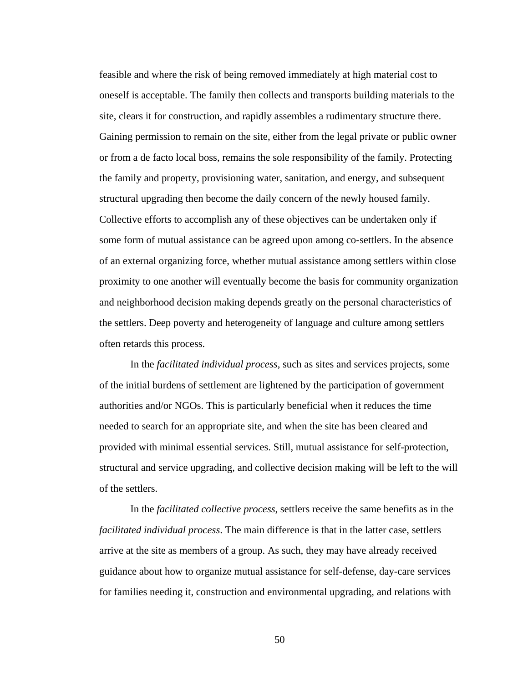feasible and where the risk of being removed immediately at high material cost to oneself is acceptable. The family then collects and transports building materials to the site, clears it for construction, and rapidly assembles a rudimentary structure there. Gaining permission to remain on the site, either from the legal private or public owner or from a de facto local boss, remains the sole responsibility of the family. Protecting the family and property, provisioning water, sanitation, and energy, and subsequent structural upgrading then become the daily concern of the newly housed family. Collective efforts to accomplish any of these objectives can be undertaken only if some form of mutual assistance can be agreed upon among co-settlers. In the absence of an external organizing force, whether mutual assistance among settlers within close proximity to one another will eventually become the basis for community organization and neighborhood decision making depends greatly on the personal characteristics of the settlers. Deep poverty and heterogeneity of language and culture among settlers often retards this process.

In the *facilitated individual process*, such as sites and services projects, some of the initial burdens of settlement are lightened by the participation of government authorities and/or NGOs. This is particularly beneficial when it reduces the time needed to search for an appropriate site, and when the site has been cleared and provided with minimal essential services. Still, mutual assistance for self-protection, structural and service upgrading, and collective decision making will be left to the will of the settlers.

In the *facilitated collective process*, settlers receive the same benefits as in the *facilitated individual process*. The main difference is that in the latter case, settlers arrive at the site as members of a group. As such, they may have already received guidance about how to organize mutual assistance for self-defense, day-care services for families needing it, construction and environmental upgrading, and relations with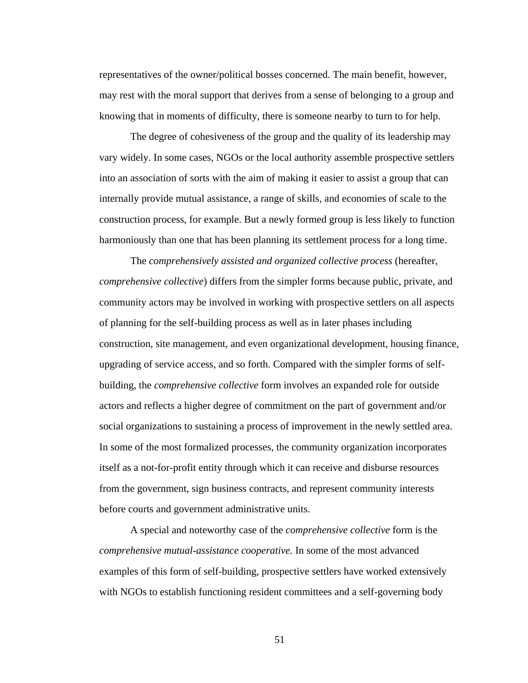representatives of the owner/political bosses concerned. The main benefit, however, may rest with the moral support that derives from a sense of belonging to a group and knowing that in moments of difficulty, there is someone nearby to turn to for help.

The degree of cohesiveness of the group and the quality of its leadership may vary widely. In some cases, NGOs or the local authority assemble prospective settlers into an association of sorts with the aim of making it easier to assist a group that can internally provide mutual assistance, a range of skills, and economies of scale to the construction process, for example. But a newly formed group is less likely to function harmoniously than one that has been planning its settlement process for a long time.

The *comprehensively assisted and organized collective process* (hereafter, *comprehensive collective*) differs from the simpler forms because public, private, and community actors may be involved in working with prospective settlers on all aspects of planning for the self-building process as well as in later phases including construction, site management, and even organizational development, housing finance, upgrading of service access, and so forth. Compared with the simpler forms of selfbuilding, the *comprehensive collective* form involves an expanded role for outside actors and reflects a higher degree of commitment on the part of government and/or social organizations to sustaining a process of improvement in the newly settled area. In some of the most formalized processes, the community organization incorporates itself as a not-for-profit entity through which it can receive and disburse resources from the government, sign business contracts, and represent community interests before courts and government administrative units.

A special and noteworthy case of the *comprehensive collective* form is the *comprehensive mutual-assistance cooperative.* In some of the most advanced examples of this form of self-building, prospective settlers have worked extensively with NGOs to establish functioning resident committees and a self-governing body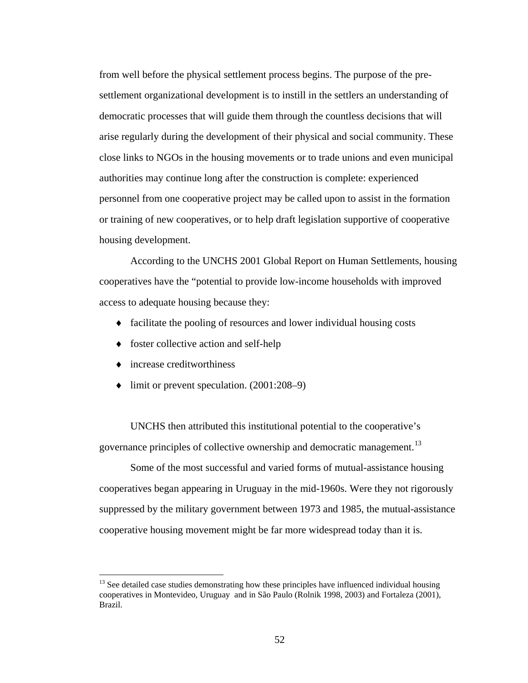from well before the physical settlement process begins. The purpose of the presettlement organizational development is to instill in the settlers an understanding of democratic processes that will guide them through the countless decisions that will arise regularly during the development of their physical and social community. These close links to NGOs in the housing movements or to trade unions and even municipal authorities may continue long after the construction is complete: experienced personnel from one cooperative project may be called upon to assist in the formation or training of new cooperatives, or to help draft legislation supportive of cooperative housing development.

According to the UNCHS 2001 Global Report on Human Settlements, housing cooperatives have the "potential to provide low-income households with improved access to adequate housing because they:

- ♦ facilitate the pooling of resources and lower individual housing costs
- ♦ foster collective action and self-help
- ♦ increase creditworthiness

 $\overline{a}$ 

♦ limit or prevent speculation. (2001:208–9)

UNCHS then attributed this institutional potential to the cooperative's governance principles of collective ownership and democratic management.<sup>[13](#page-64-0)</sup>

Some of the most successful and varied forms of mutual-assistance housing cooperatives began appearing in Uruguay in the mid-1960s. Were they not rigorously suppressed by the military government between 1973 and 1985, the mutual-assistance cooperative housing movement might be far more widespread today than it is.

<span id="page-64-0"></span> $<sup>13</sup>$  See detailed case studies demonstrating how these principles have influenced individual housing</sup> cooperatives in Montevideo, Uruguay and in São Paulo (Rolnik 1998, 2003) and Fortaleza (2001), Brazil.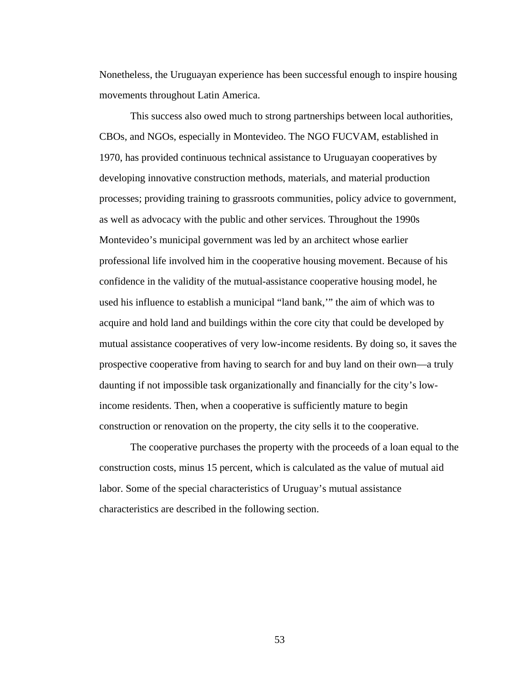Nonetheless, the Uruguayan experience has been successful enough to inspire housing movements throughout Latin America.

This success also owed much to strong partnerships between local authorities, CBOs, and NGOs, especially in Montevideo. The NGO FUCVAM, established in 1970, has provided continuous technical assistance to Uruguayan cooperatives by developing innovative construction methods, materials, and material production processes; providing training to grassroots communities, policy advice to government, as well as advocacy with the public and other services. Throughout the 1990s Montevideo's municipal government was led by an architect whose earlier professional life involved him in the cooperative housing movement. Because of his confidence in the validity of the mutual-assistance cooperative housing model, he used his influence to establish a municipal "land bank,'" the aim of which was to acquire and hold land and buildings within the core city that could be developed by mutual assistance cooperatives of very low-income residents. By doing so, it saves the prospective cooperative from having to search for and buy land on their own—a truly daunting if not impossible task organizationally and financially for the city's lowincome residents. Then, when a cooperative is sufficiently mature to begin construction or renovation on the property, the city sells it to the cooperative.

The cooperative purchases the property with the proceeds of a loan equal to the construction costs, minus 15 percent, which is calculated as the value of mutual aid labor. Some of the special characteristics of Uruguay's mutual assistance characteristics are described in the following section.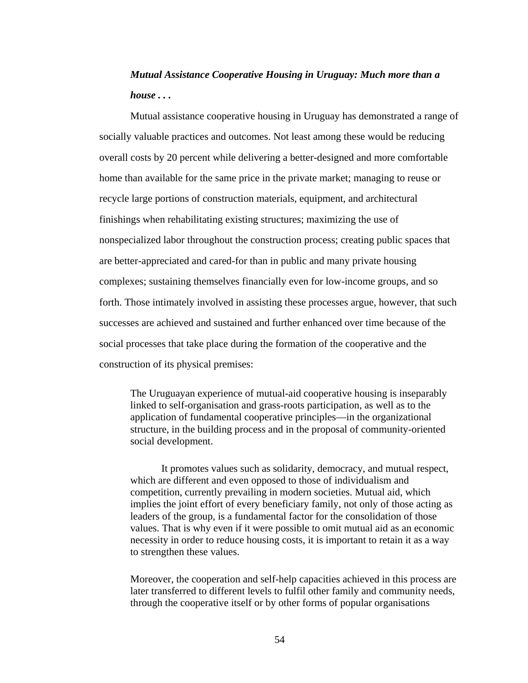# *Mutual Assistance Cooperative Housing in Uruguay: Much more than a house . . .*

Mutual assistance cooperative housing in Uruguay has demonstrated a range of socially valuable practices and outcomes. Not least among these would be reducing overall costs by 20 percent while delivering a better-designed and more comfortable home than available for the same price in the private market; managing to reuse or recycle large portions of construction materials, equipment, and architectural finishings when rehabilitating existing structures; maximizing the use of nonspecialized labor throughout the construction process; creating public spaces that are better-appreciated and cared-for than in public and many private housing complexes; sustaining themselves financially even for low-income groups, and so forth. Those intimately involved in assisting these processes argue, however, that such successes are achieved and sustained and further enhanced over time because of the social processes that take place during the formation of the cooperative and the construction of its physical premises:

The Uruguayan experience of mutual-aid cooperative housing is inseparably linked to self-organisation and grass-roots participation, as well as to the application of fundamental cooperative principles—in the organizational structure, in the building process and in the proposal of community-oriented social development.

It promotes values such as solidarity, democracy, and mutual respect, which are different and even opposed to those of individualism and competition, currently prevailing in modern societies. Mutual aid, which implies the joint effort of every beneficiary family, not only of those acting as leaders of the group, is a fundamental factor for the consolidation of those values. That is why even if it were possible to omit mutual aid as an economic necessity in order to reduce housing costs, it is important to retain it as a way to strengthen these values.

Moreover, the cooperation and self-help capacities achieved in this process are later transferred to different levels to fulfil other family and community needs, through the cooperative itself or by other forms of popular organisations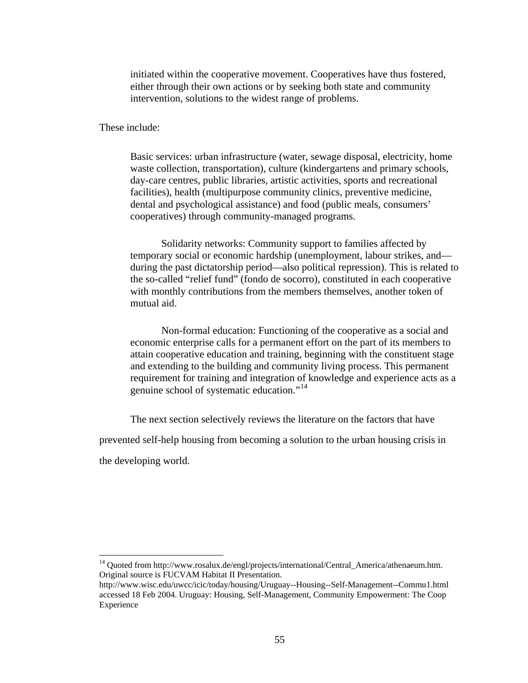initiated within the cooperative movement. Cooperatives have thus fostered, either through their own actions or by seeking both state and community intervention, solutions to the widest range of problems.

These include:

Basic services: urban infrastructure (water, sewage disposal, electricity, home waste collection, transportation), culture (kindergartens and primary schools, day-care centres, public libraries, artistic activities, sports and recreational facilities), health (multipurpose community clinics, preventive medicine, dental and psychological assistance) and food (public meals, consumers' cooperatives) through community-managed programs.

Solidarity networks: Community support to families affected by temporary social or economic hardship (unemployment, labour strikes, and during the past dictatorship period—also political repression). This is related to the so-called "relief fund" (fondo de socorro), constituted in each cooperative with monthly contributions from the members themselves, another token of mutual aid.

Non-formal education: Functioning of the cooperative as a social and economic enterprise calls for a permanent effort on the part of its members to attain cooperative education and training, beginning with the constituent stage and extending to the building and community living process. This permanent requirement for training and integration of knowledge and experience acts as a genuine school of systematic education."<sup>[14](#page-67-0)</sup>

The next section selectively reviews the literature on the factors that have prevented self-help housing from becoming a solution to the urban housing crisis in

the developing world.

<span id="page-67-0"></span><sup>&</sup>lt;sup>14</sup> Ouoted from http://www.rosalux.de/engl/projects/international/Central\_America/athenaeum.htm. Original source is FUCVAM Habitat II Presentation.

http://www.wisc.edu/uwcc/icic/today/housing/Uruguay--Housing--Self-Management--Commu1.html accessed 18 Feb 2004. Uruguay: Housing, Self-Management, Community Empowerment: The Coop Experience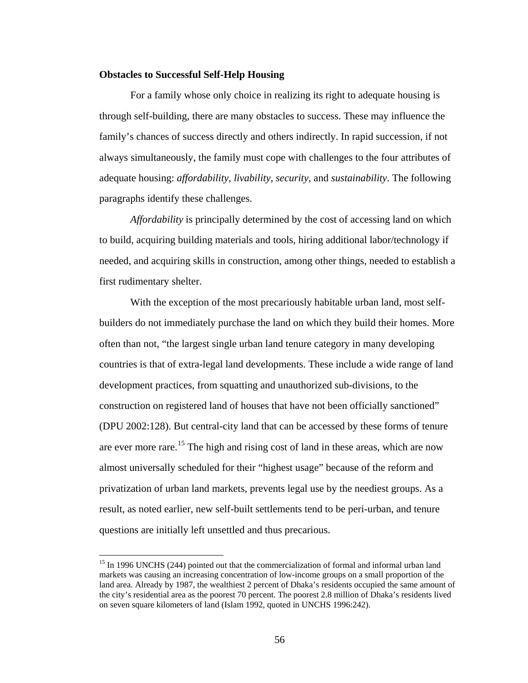#### **Obstacles to Successful Self-Help Housing**

For a family whose only choice in realizing its right to adequate housing is through self-building, there are many obstacles to success. These may influence the family's chances of success directly and others indirectly. In rapid succession, if not always simultaneously, the family must cope with challenges to the four attributes of adequate housing: *affordability*, *livability*, *security,* and *sustainability*. The following paragraphs identify these challenges.

*Affordability* is principally determined by the cost of accessing land on which to build, acquiring building materials and tools, hiring additional labor/technology if needed, and acquiring skills in construction, among other things, needed to establish a first rudimentary shelter.

With the exception of the most precariously habitable urban land, most selfbuilders do not immediately purchase the land on which they build their homes. More often than not, "the largest single urban land tenure category in many developing countries is that of extra-legal land developments. These include a wide range of land development practices, from squatting and unauthorized sub-divisions, to the construction on registered land of houses that have not been officially sanctioned" (DPU 2002:128). But central-city land that can be accessed by these forms of tenure are ever more rare.<sup>[1](#page-68-0)5</sup> The high and rising cost of land in these areas, which are now almost universally scheduled for their "highest usage" because of the reform and privatization of urban land markets, prevents legal use by the neediest groups. As a result, as noted earlier, new self-built settlements tend to be peri-urban, and tenure questions are initially left unsettled and thus precarious.

<span id="page-68-0"></span><sup>&</sup>lt;sup>15</sup> In 1996 UNCHS (244) pointed out that the commercialization of formal and informal urban land markets was causing an increasing concentration of low-income groups on a small proportion of the land area. Already by 1987, the wealthiest 2 percent of Dhaka's residents occupied the same amount of the city's residential area as the poorest 70 percent. The poorest 2.8 million of Dhaka's residents lived on seven square kilometers of land (Islam 1992, quoted in UNCHS 1996:242).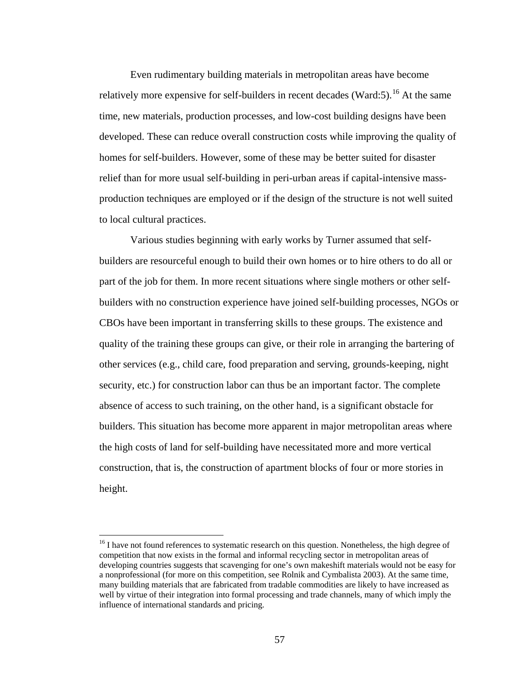Even rudimentary building materials in metropolitan areas have become relatively more expensive for self-builders in recent decades (Ward:5).<sup>[1](#page-69-0)6</sup> At the same time, new materials, production processes, and low-cost building designs have been developed. These can reduce overall construction costs while improving the quality of homes for self-builders. However, some of these may be better suited for disaster relief than for more usual self-building in peri-urban areas if capital-intensive massproduction techniques are employed or if the design of the structure is not well suited to local cultural practices.

Various studies beginning with early works by Turner assumed that selfbuilders are resourceful enough to build their own homes or to hire others to do all or part of the job for them. In more recent situations where single mothers or other selfbuilders with no construction experience have joined self-building processes, NGOs or CBOs have been important in transferring skills to these groups. The existence and quality of the training these groups can give, or their role in arranging the bartering of other services (e.g., child care, food preparation and serving, grounds-keeping, night security, etc.) for construction labor can thus be an important factor. The complete absence of access to such training, on the other hand, is a significant obstacle for builders. This situation has become more apparent in major metropolitan areas where the high costs of land for self-building have necessitated more and more vertical construction, that is, the construction of apartment blocks of four or more stories in height.

<span id="page-69-0"></span><sup>&</sup>lt;sup>16</sup> I have not found references to systematic research on this question. Nonetheless, the high degree of competition that now exists in the formal and informal recycling sector in metropolitan areas of developing countries suggests that scavenging for one's own makeshift materials would not be easy for a nonprofessional (for more on this competition, see Rolnik and Cymbalista 2003). At the same time, many building materials that are fabricated from tradable commodities are likely to have increased as well by virtue of their integration into formal processing and trade channels, many of which imply the influence of international standards and pricing.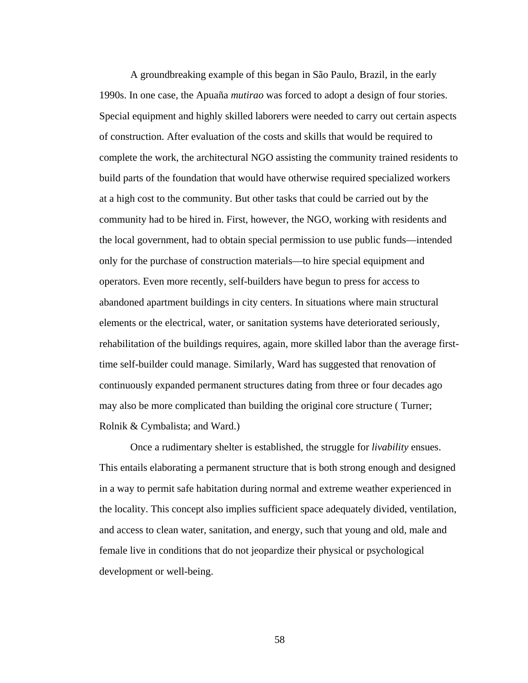A groundbreaking example of this began in São Paulo, Brazil, in the early 1990s. In one case, the Apuaña *mutirao* was forced to adopt a design of four stories. Special equipment and highly skilled laborers were needed to carry out certain aspects of construction. After evaluation of the costs and skills that would be required to complete the work, the architectural NGO assisting the community trained residents to build parts of the foundation that would have otherwise required specialized workers at a high cost to the community. But other tasks that could be carried out by the community had to be hired in. First, however, the NGO, working with residents and the local government, had to obtain special permission to use public funds—intended only for the purchase of construction materials—to hire special equipment and operators. Even more recently, self-builders have begun to press for access to abandoned apartment buildings in city centers. In situations where main structural elements or the electrical, water, or sanitation systems have deteriorated seriously, rehabilitation of the buildings requires, again, more skilled labor than the average firsttime self-builder could manage. Similarly, Ward has suggested that renovation of continuously expanded permanent structures dating from three or four decades ago may also be more complicated than building the original core structure ( Turner; Rolnik & Cymbalista; and Ward.)

Once a rudimentary shelter is established, the struggle for *livability* ensues. This entails elaborating a permanent structure that is both strong enough and designed in a way to permit safe habitation during normal and extreme weather experienced in the locality. This concept also implies sufficient space adequately divided, ventilation, and access to clean water, sanitation, and energy, such that young and old, male and female live in conditions that do not jeopardize their physical or psychological development or well-being.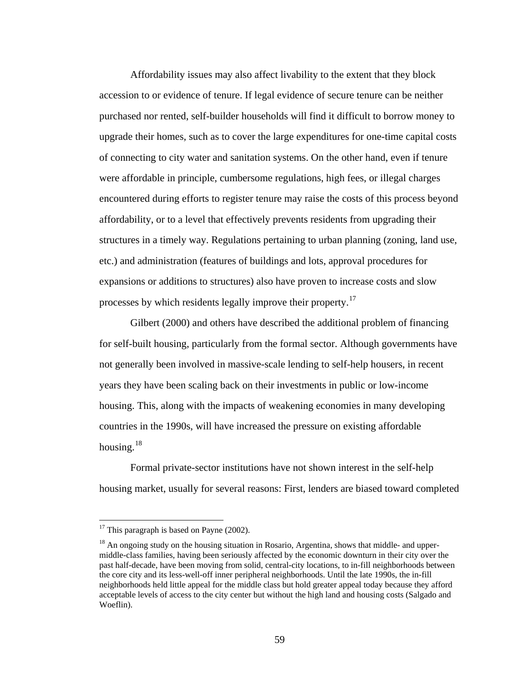Affordability issues may also affect livability to the extent that they block accession to or evidence of tenure. If legal evidence of secure tenure can be neither purchased nor rented, self-builder households will find it difficult to borrow money to upgrade their homes, such as to cover the large expenditures for one-time capital costs of connecting to city water and sanitation systems. On the other hand, even if tenure were affordable in principle, cumbersome regulations, high fees, or illegal charges encountered during efforts to register tenure may raise the costs of this process beyond affordability, or to a level that effectively prevents residents from upgrading their structures in a timely way. Regulations pertaining to urban planning (zoning, land use, etc.) and administration (features of buildings and lots, approval procedures for expansions or additions to structures) also have proven to increase costs and slow processes by which residents legally improve their property.<sup>[1](#page-71-0)7</sup>

Gilbert (2000) and others have described the additional problem of financing for self-built housing, particularly from the formal sector. Although governments have not generally been involved in massive-scale lending to self-help housers, in recent years they have been scaling back on their investments in public or low-income housing. This, along with the impacts of weakening economies in many developing countries in the 1990s, will have increased the pressure on existing affordable housing.[18](#page-71-1)

Formal private-sector institutions have not shown interest in the self-help housing market, usually for several reasons: First, lenders are biased toward completed

<span id="page-71-0"></span> $17$  This paragraph is based on Payne (2002).

<span id="page-71-1"></span> $18$  An ongoing study on the housing situation in Rosario, Argentina, shows that middle- and uppermiddle-class families, having been seriously affected by the economic downturn in their city over the past half-decade, have been moving from solid, central-city locations, to in-fill neighborhoods between the core city and its less-well-off inner peripheral neighborhoods. Until the late 1990s, the in-fill neighborhoods held little appeal for the middle class but hold greater appeal today because they afford acceptable levels of access to the city center but without the high land and housing costs (Salgado and Woeflin).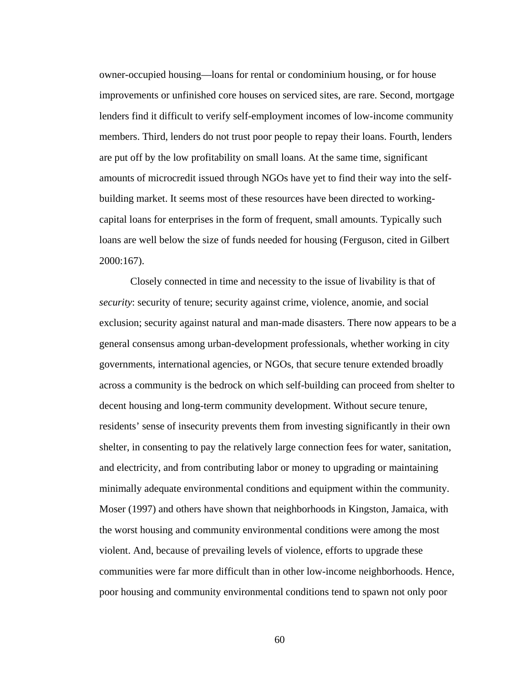owner-occupied housing—loans for rental or condominium housing, or for house improvements or unfinished core houses on serviced sites, are rare. Second, mortgage lenders find it difficult to verify self-employment incomes of low-income community members. Third, lenders do not trust poor people to repay their loans. Fourth, lenders are put off by the low profitability on small loans. At the same time, significant amounts of microcredit issued through NGOs have yet to find their way into the selfbuilding market. It seems most of these resources have been directed to workingcapital loans for enterprises in the form of frequent, small amounts. Typically such loans are well below the size of funds needed for housing (Ferguson, cited in Gilbert 2000:167).

Closely connected in time and necessity to the issue of livability is that of *security*: security of tenure; security against crime, violence, anomie, and social exclusion; security against natural and man-made disasters. There now appears to be a general consensus among urban-development professionals, whether working in city governments, international agencies, or NGOs, that secure tenure extended broadly across a community is the bedrock on which self-building can proceed from shelter to decent housing and long-term community development. Without secure tenure, residents' sense of insecurity prevents them from investing significantly in their own shelter, in consenting to pay the relatively large connection fees for water, sanitation, and electricity, and from contributing labor or money to upgrading or maintaining minimally adequate environmental conditions and equipment within the community. Moser (1997) and others have shown that neighborhoods in Kingston, Jamaica, with the worst housing and community environmental conditions were among the most violent. And, because of prevailing levels of violence, efforts to upgrade these communities were far more difficult than in other low-income neighborhoods. Hence, poor housing and community environmental conditions tend to spawn not only poor

60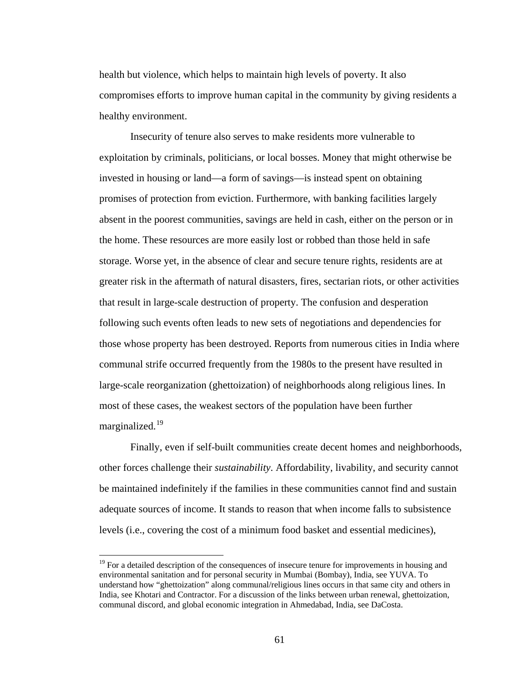health but violence, which helps to maintain high levels of poverty. It also compromises efforts to improve human capital in the community by giving residents a healthy environment.

Insecurity of tenure also serves to make residents more vulnerable to exploitation by criminals, politicians, or local bosses. Money that might otherwise be invested in housing or land—a form of savings—is instead spent on obtaining promises of protection from eviction. Furthermore, with banking facilities largely absent in the poorest communities, savings are held in cash, either on the person or in the home. These resources are more easily lost or robbed than those held in safe storage. Worse yet, in the absence of clear and secure tenure rights, residents are at greater risk in the aftermath of natural disasters, fires, sectarian riots, or other activities that result in large-scale destruction of property. The confusion and desperation following such events often leads to new sets of negotiations and dependencies for those whose property has been destroyed. Reports from numerous cities in India where communal strife occurred frequently from the 1980s to the present have resulted in large-scale reorganization (ghettoization) of neighborhoods along religious lines. In most of these cases, the weakest sectors of the population have been further marginalized.<sup>[1](#page-73-0)9</sup>

Finally, even if self-built communities create decent homes and neighborhoods, other forces challenge their *sustainability*. Affordability, livability, and security cannot be maintained indefinitely if the families in these communities cannot find and sustain adequate sources of income. It stands to reason that when income falls to subsistence levels (i.e., covering the cost of a minimum food basket and essential medicines),

<span id="page-73-0"></span> $19$  For a detailed description of the consequences of insecure tenure for improvements in housing and environmental sanitation and for personal security in Mumbai (Bombay), India, see YUVA. To understand how "ghettoization" along communal/religious lines occurs in that same city and others in India, see Khotari and Contractor. For a discussion of the links between urban renewal, ghettoization, communal discord, and global economic integration in Ahmedabad, India, see DaCosta.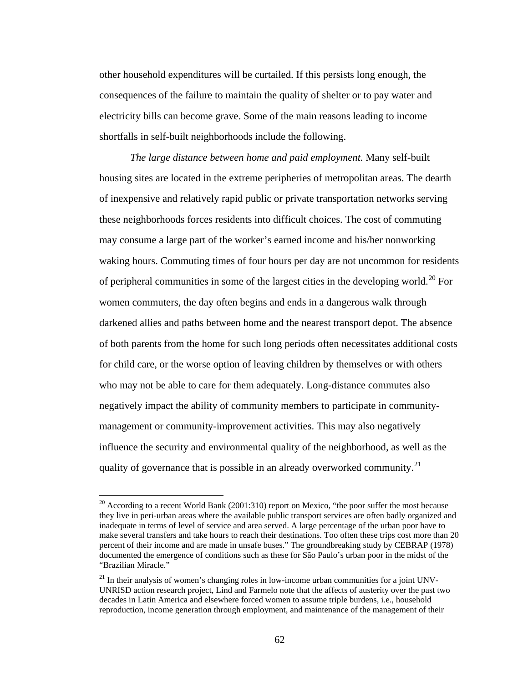other household expenditures will be curtailed. If this persists long enough, the consequences of the failure to maintain the quality of shelter or to pay water and electricity bills can become grave. Some of the main reasons leading to income shortfalls in self-built neighborhoods include the following.

*The large distance between home and paid employment.* Many self-built housing sites are located in the extreme peripheries of metropolitan areas. The dearth of inexpensive and relatively rapid public or private transportation networks serving these neighborhoods forces residents into difficult choices. The cost of commuting may consume a large part of the worker's earned income and his/her nonworking waking hours. Commuting times of four hours per day are not uncommon for residents of peripheral communities in some of the largest cities in the developing world.<sup>[2](#page-74-0)0</sup> For women commuters, the day often begins and ends in a dangerous walk through darkened allies and paths between home and the nearest transport depot. The absence of both parents from the home for such long periods often necessitates additional costs for child care, or the worse option of leaving children by themselves or with others who may not be able to care for them adequately. Long-distance commutes also negatively impact the ability of community members to participate in communitymanagement or community-improvement activities. This may also negatively influence the security and environmental quality of the neighborhood, as well as the quality of governance that is possible in an already overworked community.<sup>[21](#page-74-1)</sup>

<span id="page-74-0"></span> $20$  According to a recent World Bank (2001:310) report on Mexico, "the poor suffer the most because they live in peri-urban areas where the available public transport services are often badly organized and inadequate in terms of level of service and area served. A large percentage of the urban poor have to make several transfers and take hours to reach their destinations. Too often these trips cost more than 20 percent of their income and are made in unsafe buses." The groundbreaking study by CEBRAP (1978) documented the emergence of conditions such as these for São Paulo's urban poor in the midst of the "Brazilian Miracle."

<span id="page-74-1"></span> $21$  In their analysis of women's changing roles in low-income urban communities for a joint UNV-UNRISD action research project, Lind and Farmelo note that the affects of austerity over the past two decades in Latin America and elsewhere forced women to assume triple burdens, i.e., household reproduction, income generation through employment, and maintenance of the management of their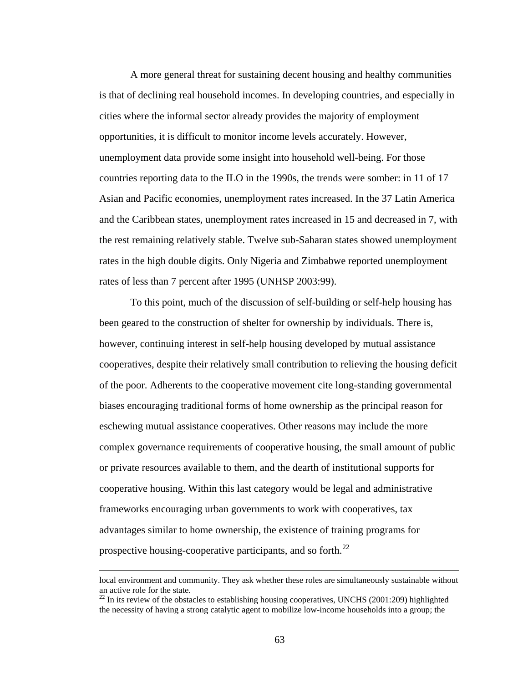A more general threat for sustaining decent housing and healthy communities is that of declining real household incomes. In developing countries, and especially in cities where the informal sector already provides the majority of employment opportunities, it is difficult to monitor income levels accurately. However, unemployment data provide some insight into household well-being. For those countries reporting data to the ILO in the 1990s, the trends were somber: in 11 of 17 Asian and Pacific economies, unemployment rates increased. In the 37 Latin America and the Caribbean states, unemployment rates increased in 15 and decreased in 7, with the rest remaining relatively stable. Twelve sub-Saharan states showed unemployment rates in the high double digits. Only Nigeria and Zimbabwe reported unemployment rates of less than 7 percent after 1995 (UNHSP 2003:99).

To this point, much of the discussion of self-building or self-help housing has been geared to the construction of shelter for ownership by individuals. There is, however, continuing interest in self-help housing developed by mutual assistance cooperatives, despite their relatively small contribution to relieving the housing deficit of the poor. Adherents to the cooperative movement cite long-standing governmental biases encouraging traditional forms of home ownership as the principal reason for eschewing mutual assistance cooperatives. Other reasons may include the more complex governance requirements of cooperative housing, the small amount of public or private resources available to them, and the dearth of institutional supports for cooperative housing. Within this last category would be legal and administrative frameworks encouraging urban governments to work with cooperatives, tax advantages similar to home ownership, the existence of training programs for prospective housing-cooperative participants, and so forth.<sup>[2](#page-75-0)2</sup>

local environment and community. They ask whether these roles are simultaneously sustainable without an active role for the state.<br><sup>22</sup> In its review of the obstacles to establishing housing cooperatives, UNCHS (2001:209) highlighted

<span id="page-75-0"></span>the necessity of having a strong catalytic agent to mobilize low-income households into a group; the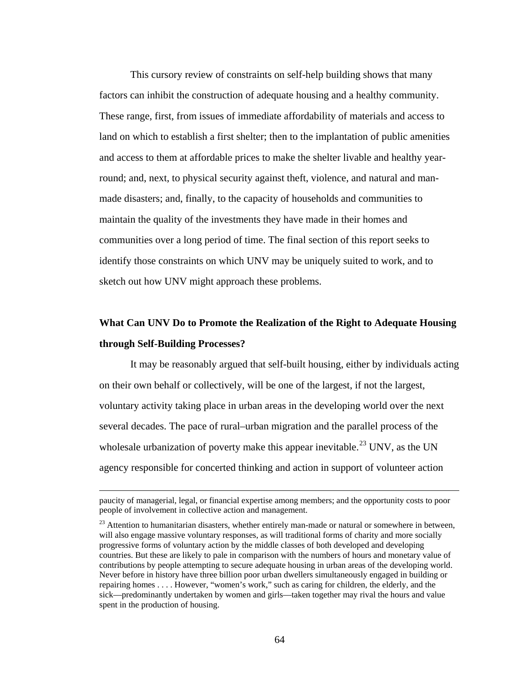This cursory review of constraints on self-help building shows that many factors can inhibit the construction of adequate housing and a healthy community. These range, first, from issues of immediate affordability of materials and access to land on which to establish a first shelter; then to the implantation of public amenities and access to them at affordable prices to make the shelter livable and healthy yearround; and, next, to physical security against theft, violence, and natural and manmade disasters; and, finally, to the capacity of households and communities to maintain the quality of the investments they have made in their homes and communities over a long period of time. The final section of this report seeks to identify those constraints on which UNV may be uniquely suited to work, and to sketch out how UNV might approach these problems.

# **What Can UNV Do to Promote the Realization of the Right to Adequate Housing through Self-Building Processes?**

It may be reasonably argued that self-built housing, either by individuals acting on their own behalf or collectively, will be one of the largest, if not the largest, voluntary activity taking place in urban areas in the developing world over the next several decades. The pace of rural–urban migration and the parallel process of the wholesale urbanization of poverty make this appear inevitable.<sup>[23](#page-76-0)</sup> UNV, as the UN agency responsible for concerted thinking and action in support of volunteer action

paucity of managerial, legal, or financial expertise among members; and the opportunity costs to poor people of involvement in collective action and management.

<span id="page-76-0"></span><sup>&</sup>lt;sup>23</sup> Attention to humanitarian disasters, whether entirely man-made or natural or somewhere in between, will also engage massive voluntary responses, as will traditional forms of charity and more socially progressive forms of voluntary action by the middle classes of both developed and developing countries. But these are likely to pale in comparison with the numbers of hours and monetary value of contributions by people attempting to secure adequate housing in urban areas of the developing world. Never before in history have three billion poor urban dwellers simultaneously engaged in building or repairing homes . . . . However, "women's work," such as caring for children, the elderly, and the sick—predominantly undertaken by women and girls—taken together may rival the hours and value spent in the production of housing.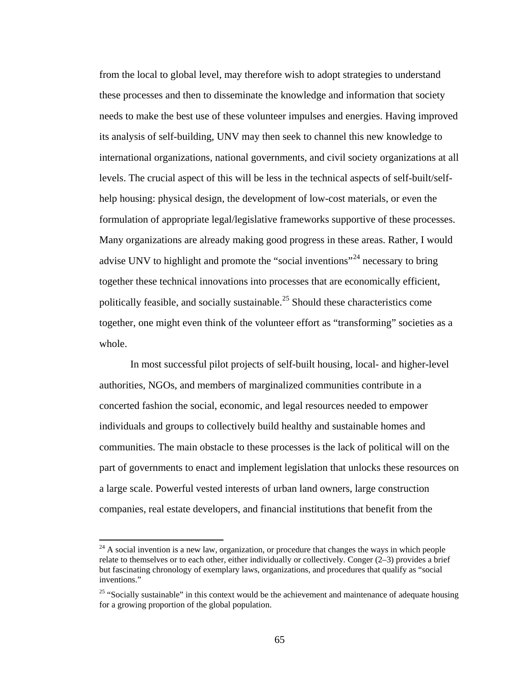from the local to global level, may therefore wish to adopt strategies to understand these processes and then to disseminate the knowledge and information that society needs to make the best use of these volunteer impulses and energies. Having improved its analysis of self-building, UNV may then seek to channel this new knowledge to international organizations, national governments, and civil society organizations at all levels. The crucial aspect of this will be less in the technical aspects of self-built/selfhelp housing: physical design, the development of low-cost materials, or even the formulation of appropriate legal/legislative frameworks supportive of these processes. Many organizations are already making good progress in these areas. Rather, I would advise UNV to highlight and promote the "social inventions"<sup>[24](#page-77-0)</sup> necessary to bring together these technical innovations into processes that are economically efficient, politically feasible, and socially sustainable.[25](#page-77-1) Should these characteristics come together, one might even think of the volunteer effort as "transforming" societies as a whole.

In most successful pilot projects of self-built housing, local- and higher-level authorities, NGOs, and members of marginalized communities contribute in a concerted fashion the social, economic, and legal resources needed to empower individuals and groups to collectively build healthy and sustainable homes and communities. The main obstacle to these processes is the lack of political will on the part of governments to enact and implement legislation that unlocks these resources on a large scale. Powerful vested interests of urban land owners, large construction companies, real estate developers, and financial institutions that benefit from the

<span id="page-77-0"></span> $24$  A social invention is a new law, organization, or procedure that changes the ways in which people relate to themselves or to each other, either individually or collectively. Conger (2–3) provides a brief but fascinating chronology of exemplary laws, organizations, and procedures that qualify as "social inventions."

<span id="page-77-1"></span><sup>&</sup>lt;sup>25</sup> "Socially sustainable" in this context would be the achievement and maintenance of adequate housing for a growing proportion of the global population.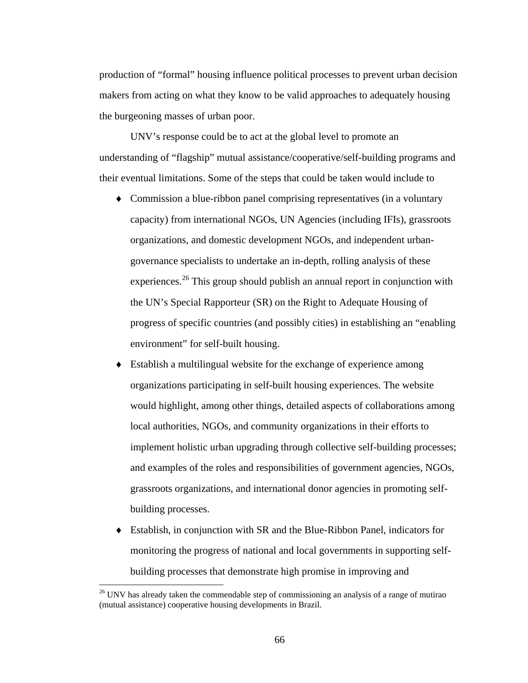production of "formal" housing influence political processes to prevent urban decision makers from acting on what they know to be valid approaches to adequately housing the burgeoning masses of urban poor.

UNV's response could be to act at the global level to promote an understanding of "flagship" mutual assistance/cooperative/self-building programs and their eventual limitations. Some of the steps that could be taken would include to

- ♦ Commission a blue-ribbon panel comprising representatives (in a voluntary capacity) from international NGOs, UN Agencies (including IFIs), grassroots organizations, and domestic development NGOs, and independent urbangovernance specialists to undertake an in-depth, rolling analysis of these experiences.<sup>[2](#page-78-0)6</sup> This group should publish an annual report in conjunction with the UN's Special Rapporteur (SR) on the Right to Adequate Housing of progress of specific countries (and possibly cities) in establishing an "enabling environment" for self-built housing.
- Establish a multilingual website for the exchange of experience among organizations participating in self-built housing experiences. The website would highlight, among other things, detailed aspects of collaborations among local authorities, NGOs, and community organizations in their efforts to implement holistic urban upgrading through collective self-building processes; and examples of the roles and responsibilities of government agencies, NGOs, grassroots organizations, and international donor agencies in promoting selfbuilding processes.
- ♦ Establish, in conjunction with SR and the Blue-Ribbon Panel, indicators for monitoring the progress of national and local governments in supporting selfbuilding processes that demonstrate high promise in improving and

<span id="page-78-0"></span><sup>&</sup>lt;sup>26</sup> UNV has already taken the commendable step of commissioning an analysis of a range of mutirao (mutual assistance) cooperative housing developments in Brazil.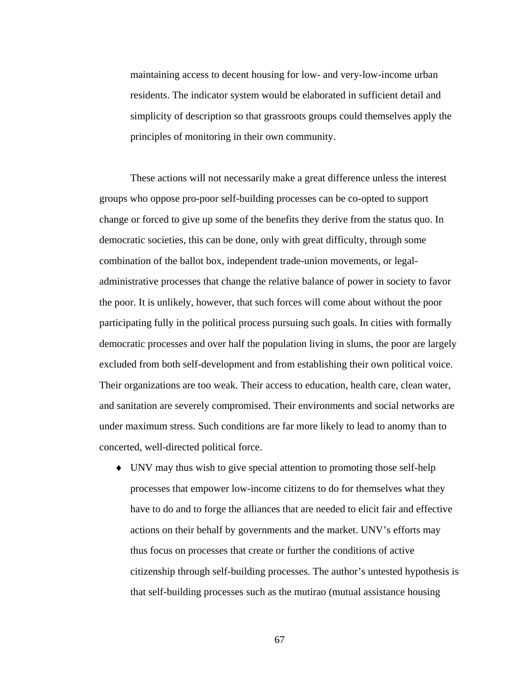maintaining access to decent housing for low- and very-low-income urban residents. The indicator system would be elaborated in sufficient detail and simplicity of description so that grassroots groups could themselves apply the principles of monitoring in their own community.

These actions will not necessarily make a great difference unless the interest groups who oppose pro-poor self-building processes can be co-opted to support change or forced to give up some of the benefits they derive from the status quo. In democratic societies, this can be done, only with great difficulty, through some combination of the ballot box, independent trade-union movements, or legaladministrative processes that change the relative balance of power in society to favor the poor. It is unlikely, however, that such forces will come about without the poor participating fully in the political process pursuing such goals. In cities with formally democratic processes and over half the population living in slums, the poor are largely excluded from both self-development and from establishing their own political voice. Their organizations are too weak. Their access to education, health care, clean water, and sanitation are severely compromised. Their environments and social networks are under maximum stress. Such conditions are far more likely to lead to anomy than to concerted, well-directed political force.

♦ UNV may thus wish to give special attention to promoting those self-help processes that empower low-income citizens to do for themselves what they have to do and to forge the alliances that are needed to elicit fair and effective actions on their behalf by governments and the market. UNV's efforts may thus focus on processes that create or further the conditions of active citizenship through self-building processes. The author's untested hypothesis is that self-building processes such as the mutirao (mutual assistance housing

67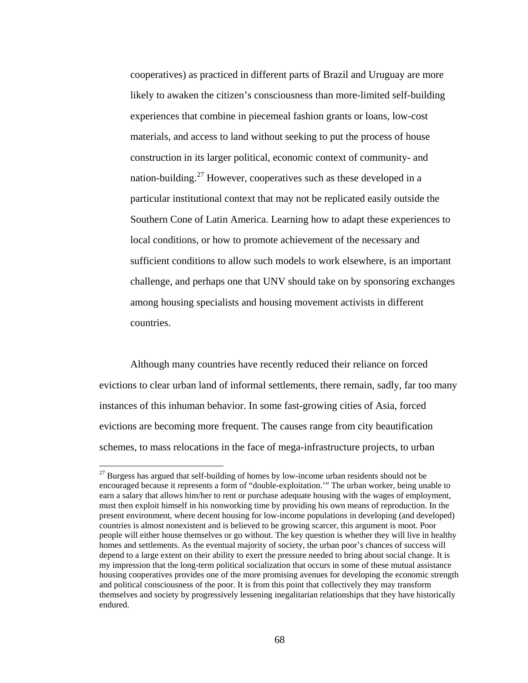cooperatives) as practiced in different parts of Brazil and Uruguay are more likely to awaken the citizen's consciousness than more-limited self-building experiences that combine in piecemeal fashion grants or loans, low-cost materials, and access to land without seeking to put the process of house construction in its larger political, economic context of community- and nation-building.<sup>[27](#page-80-0)</sup> However, cooperatives such as these developed in a particular institutional context that may not be replicated easily outside the Southern Cone of Latin America. Learning how to adapt these experiences to local conditions, or how to promote achievement of the necessary and sufficient conditions to allow such models to work elsewhere, is an important challenge, and perhaps one that UNV should take on by sponsoring exchanges among housing specialists and housing movement activists in different countries.

Although many countries have recently reduced their reliance on forced evictions to clear urban land of informal settlements, there remain, sadly, far too many instances of this inhuman behavior. In some fast-growing cities of Asia, forced evictions are becoming more frequent. The causes range from city beautification schemes, to mass relocations in the face of mega-infrastructure projects, to urban

<span id="page-80-0"></span> $27$  Burgess has argued that self-building of homes by low-income urban residents should not be encouraged because it represents a form of "double-exploitation.'" The urban worker, being unable to earn a salary that allows him/her to rent or purchase adequate housing with the wages of employment, must then exploit himself in his nonworking time by providing his own means of reproduction. In the present environment, where decent housing for low-income populations in developing (and developed) countries is almost nonexistent and is believed to be growing scarcer, this argument is moot. Poor people will either house themselves or go without. The key question is whether they will live in healthy homes and settlements. As the eventual majority of society, the urban poor's chances of success will depend to a large extent on their ability to exert the pressure needed to bring about social change. It is my impression that the long-term political socialization that occurs in some of these mutual assistance housing cooperatives provides one of the more promising avenues for developing the economic strength and political consciousness of the poor. It is from this point that collectively they may transform themselves and society by progressively lessening inegalitarian relationships that they have historically endured.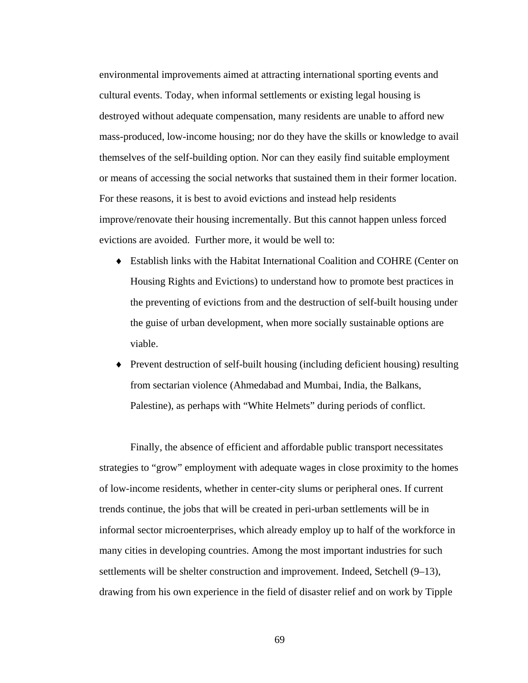environmental improvements aimed at attracting international sporting events and cultural events. Today, when informal settlements or existing legal housing is destroyed without adequate compensation, many residents are unable to afford new mass-produced, low-income housing; nor do they have the skills or knowledge to avail themselves of the self-building option. Nor can they easily find suitable employment or means of accessing the social networks that sustained them in their former location. For these reasons, it is best to avoid evictions and instead help residents improve/renovate their housing incrementally. But this cannot happen unless forced evictions are avoided. Further more, it would be well to:

- ♦ Establish links with the Habitat International Coalition and COHRE (Center on Housing Rights and Evictions) to understand how to promote best practices in the preventing of evictions from and the destruction of self-built housing under the guise of urban development, when more socially sustainable options are viable.
- **Prevent destruction of self-built housing (including deficient housing) resulting** from sectarian violence (Ahmedabad and Mumbai, India, the Balkans, Palestine), as perhaps with "White Helmets" during periods of conflict.

Finally, the absence of efficient and affordable public transport necessitates strategies to "grow" employment with adequate wages in close proximity to the homes of low-income residents, whether in center-city slums or peripheral ones. If current trends continue, the jobs that will be created in peri-urban settlements will be in informal sector microenterprises, which already employ up to half of the workforce in many cities in developing countries. Among the most important industries for such settlements will be shelter construction and improvement. Indeed, Setchell (9–13), drawing from his own experience in the field of disaster relief and on work by Tipple

69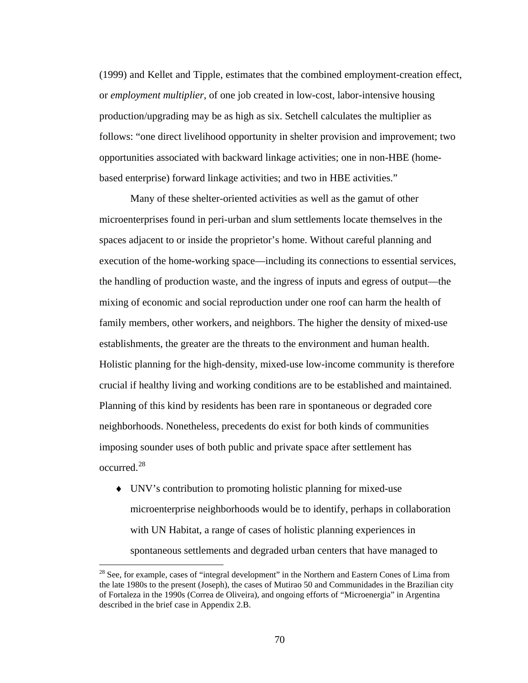(1999) and Kellet and Tipple, estimates that the combined employment-creation effect, or *employment multiplier*, of one job created in low-cost, labor-intensive housing production/upgrading may be as high as six. Setchell calculates the multiplier as follows: "one direct livelihood opportunity in shelter provision and improvement; two opportunities associated with backward linkage activities; one in non-HBE (homebased enterprise) forward linkage activities; and two in HBE activities."

Many of these shelter-oriented activities as well as the gamut of other microenterprises found in peri-urban and slum settlements locate themselves in the spaces adjacent to or inside the proprietor's home. Without careful planning and execution of the home-working space—including its connections to essential services, the handling of production waste, and the ingress of inputs and egress of output—the mixing of economic and social reproduction under one roof can harm the health of family members, other workers, and neighbors. The higher the density of mixed-use establishments, the greater are the threats to the environment and human health. Holistic planning for the high-density, mixed-use low-income community is therefore crucial if healthy living and working conditions are to be established and maintained. Planning of this kind by residents has been rare in spontaneous or degraded core neighborhoods. Nonetheless, precedents do exist for both kinds of communities imposing sounder uses of both public and private space after settlement has occurred.[28](#page-82-0)

♦ UNV's contribution to promoting holistic planning for mixed-use microenterprise neighborhoods would be to identify, perhaps in collaboration with UN Habitat, a range of cases of holistic planning experiences in spontaneous settlements and degraded urban centers that have managed to

<span id="page-82-0"></span> $28$  See, for example, cases of "integral development" in the Northern and Eastern Cones of Lima from the late 1980s to the present (Joseph), the cases of Mutirao 50 and Communidades in the Brazilian city of Fortaleza in the 1990s (Correa de Oliveira), and ongoing efforts of "Microenergia" in Argentina described in the brief case in Appendix 2.B.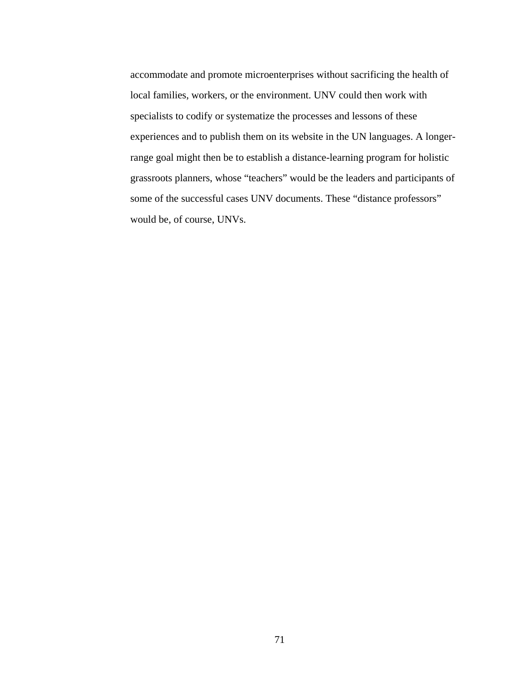accommodate and promote microenterprises without sacrificing the health of local families, workers, or the environment. UNV could then work with specialists to codify or systematize the processes and lessons of these experiences and to publish them on its website in the UN languages. A longerrange goal might then be to establish a distance-learning program for holistic grassroots planners, whose "teachers" would be the leaders and participants of some of the successful cases UNV documents. These "distance professors" would be, of course, UNVs.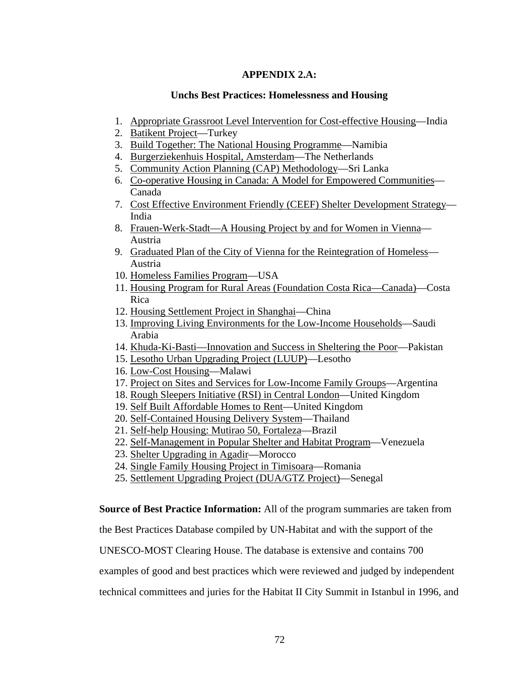## **APPENDIX 2.A:**

## **Unchs Best Practices: Homelessness and Housing**

- 1. [Appropriate Grassroot Level Intervention for Cost-effective Housing](http://www.vcn.bc.ca/citizens-handbook/unesco/most/asia4.html)—India
- 2. [Batikent Project—](http://www.vcn.bc.ca/citizens-handbook/unesco/most/easteur1.html)Turkey
- 3. [Build Together: The National Housing Programme](http://www.vcn.bc.ca/citizens-handbook/unesco/most/africa5.html)—Namibia
- 4. [Burgerziekenhuis Hospital, Amsterdam](http://www.vcn.bc.ca/citizens-handbook/unesco/most/westeu13.html)—The Netherlands
- 5. [Community Action Planning \(CAP\) Methodology—](http://www.vcn.bc.ca/citizens-handbook/unesco/most/asia2.html)Sri Lanka
- 6. [Co-operative Housing in Canada: A Model for Empowered Communities—](http://www.vcn.bc.ca/citizens-handbook/unesco/most/usa3.html) Canada
- 7. [Cost Effective Environment Friendly \(CEEF\) Shelter Development Strategy—](http://www.vcn.bc.ca/citizens-handbook/unesco/most/asia5.html) India
- 8. [Frauen-Werk-Stadt—A Housing Project by and for Women in Vienna—](http://www.vcn.bc.ca/citizens-handbook/unesco/most/westeu19.html) Austria
- 9. [Graduated Plan of the City of Vienna for the Reintegration of Homeless—](http://www.vcn.bc.ca/citizens-handbook/unesco/most/westeur1.html) Austria
- 10. [Homeless Families Program](http://www.vcn.bc.ca/citizens-handbook/unesco/most/usa5.html)—USA
- 11. [Housing Program for Rural Areas \(Foundation Costa Rica—Canada\)—](http://www.vcn.bc.ca/citizens-handbook/unesco/most/centram5.html)Costa Rica
- 12. [Housing Settlement Project in Shanghai](http://www.vcn.bc.ca/citizens-handbook/unesco/most/asia7.html)—China
- 13. [Improving Living Environments for the Low-Income Households](http://www.vcn.bc.ca/citizens-handbook/unesco/most/mideast3.html)—Saudi Arabia
- 14. [Khuda-Ki-Basti—Innovation and Success in Sheltering the Poor](http://www.vcn.bc.ca/citizens-handbook/unesco/most/asia9.html)—Pakistan
- 15. [Lesotho Urban Upgrading Project \(LUUP\)](http://www.vcn.bc.ca/citizens-handbook/unesco/most/africa8.html)—Lesotho
- 16. [Low-Cost Housing—](http://www.vcn.bc.ca/citizens-handbook/unesco/most/africa10.html)Malawi
- 17. [Project on Sites and Services for Low-Income Family Groups—](http://www.vcn.bc.ca/citizens-handbook/unesco/most/southam1.html)Argentina
- 18. [Rough Sleepers Initiative \(RSI\) in Central London—](http://www.vcn.bc.ca/citizens-handbook/unesco/most/westeu18.html)United Kingdom
- 19. [Self Built Affordable Homes to Rent](http://www.vcn.bc.ca/citizens-handbook/unesco/most/westeur8.html)—United Kingdom
- 20. [Self-Contained Housing Delivery System—](http://www.vcn.bc.ca/citizens-handbook/unesco/most/asia10.html)Thailand
- 21. [Self-help Housing: Mutirao 50, Fortaleza—](http://www.vcn.bc.ca/citizens-handbook/unesco/most/southam2.html)Brazil
- 22. [Self-Management in Popular Shelter and Habitat Program—](http://www.vcn.bc.ca/citizens-handbook/unesco/most/southa12.html)Venezuela
- 23. [Shelter Upgrading in Agadir](http://www.vcn.bc.ca/citizens-handbook/unesco/most/africa3.html)—Morocco
- 24. [Single Family Housing Project in Timisoara—](http://www.vcn.bc.ca/citizens-handbook/unesco/most/easteur3.html)Romania
- 25. [Settlement Upgrading Project \(DUA/GTZ Project\)—](http://www.vcn.bc.ca/citizens-handbook/unesco/most/africa15.html)Senegal

**Source of Best Practice Information:** All of the program summaries are taken from

the Best Practices Database compiled by UN-Habitat and with the support of the

UNESCO-MOST Clearing House. The database is extensive and contains 700

examples of good and best practices which were reviewed and judged by independent

technical committees and juries for the Habitat II City Summit in Istanbul in 1996, and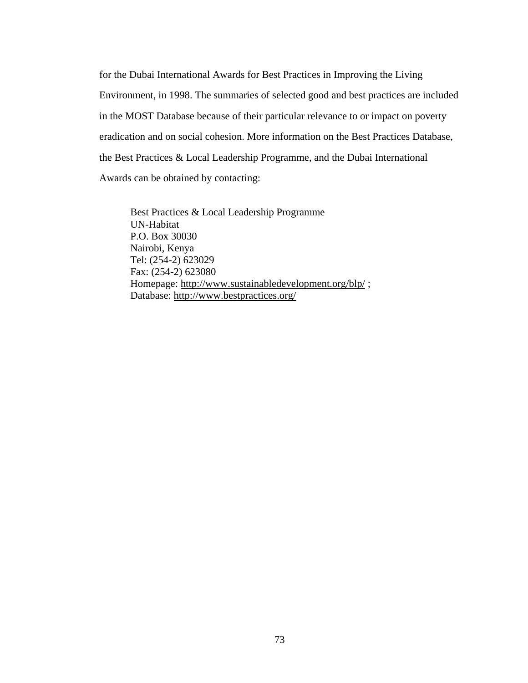for the Dubai International Awards for Best Practices in Improving the Living Environment, in 1998. The summaries of selected good and best practices are included in the MOST Database because of their particular relevance to or impact on poverty eradication and on social cohesion. More information on the Best Practices Database, the Best Practices & Local Leadership Programme, and the Dubai International Awards can be obtained by contacting:

Best Practices & Local Leadership Programme UN-Habitat P.O. Box 30030 Nairobi, Kenya Tel: (254-2) 623029 Fax: (254-2) 623080 Homepage: <http://www.sustainabledevelopment.org/blp/>; Database:<http://www.bestpractices.org/>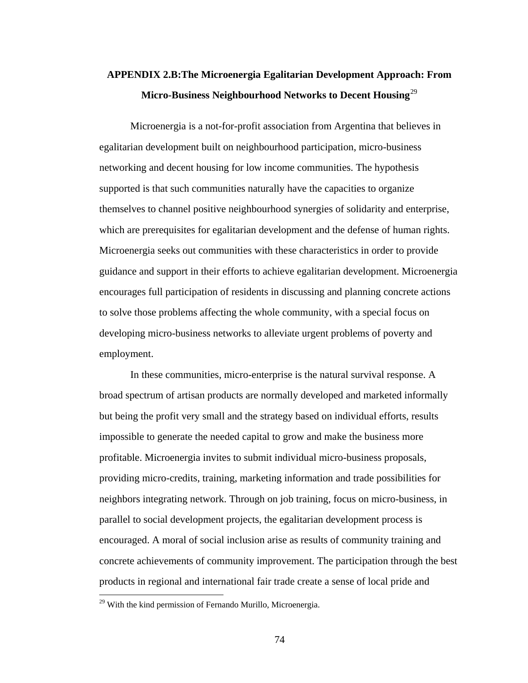# **APPENDIX 2.B:The Microenergia Egalitarian Development Approach: From Micro-Business Neighbourhood Networks to Decent Housing**[2](#page-86-0)9

Microenergia is a not-for-profit association from Argentina that believes in egalitarian development built on neighbourhood participation, micro-business networking and decent housing for low income communities. The hypothesis supported is that such communities naturally have the capacities to organize themselves to channel positive neighbourhood synergies of solidarity and enterprise, which are prerequisites for egalitarian development and the defense of human rights. Microenergia seeks out communities with these characteristics in order to provide guidance and support in their efforts to achieve egalitarian development. Microenergia encourages full participation of residents in discussing and planning concrete actions to solve those problems affecting the whole community, with a special focus on developing micro-business networks to alleviate urgent problems of poverty and employment.

In these communities, micro-enterprise is the natural survival response. A broad spectrum of artisan products are normally developed and marketed informally but being the profit very small and the strategy based on individual efforts, results impossible to generate the needed capital to grow and make the business more profitable. Microenergia invites to submit individual micro-business proposals, providing micro-credits, training, marketing information and trade possibilities for neighbors integrating network. Through on job training, focus on micro-business, in parallel to social development projects, the egalitarian development process is encouraged. A moral of social inclusion arise as results of community training and concrete achievements of community improvement. The participation through the best products in regional and international fair trade create a sense of local pride and

<span id="page-86-0"></span> $29$  With the kind permission of Fernando Murillo, Microenergia.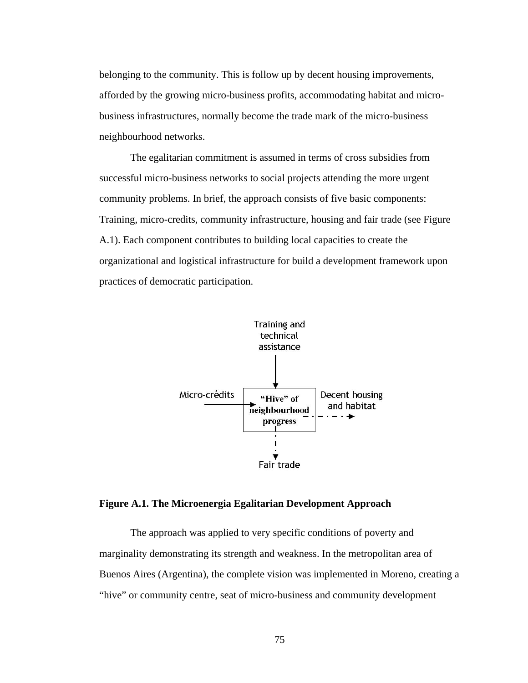belonging to the community. This is follow up by decent housing improvements, afforded by the growing micro-business profits, accommodating habitat and microbusiness infrastructures, normally become the trade mark of the micro-business neighbourhood networks.

The egalitarian commitment is assumed in terms of cross subsidies from successful micro-business networks to social projects attending the more urgent community problems. In brief, the approach consists of five basic components: Training, micro-credits, community infrastructure, housing and fair trade (see Figure A.1). Each component contributes to building local capacities to create the organizational and logistical infrastructure for build a development framework upon practices of democratic participation.



## **Figure A.1. The Microenergia Egalitarian Development Approach**

The approach was applied to very specific conditions of poverty and marginality demonstrating its strength and weakness. In the metropolitan area of Buenos Aires (Argentina), the complete vision was implemented in Moreno, creating a "hive" or community centre, seat of micro-business and community development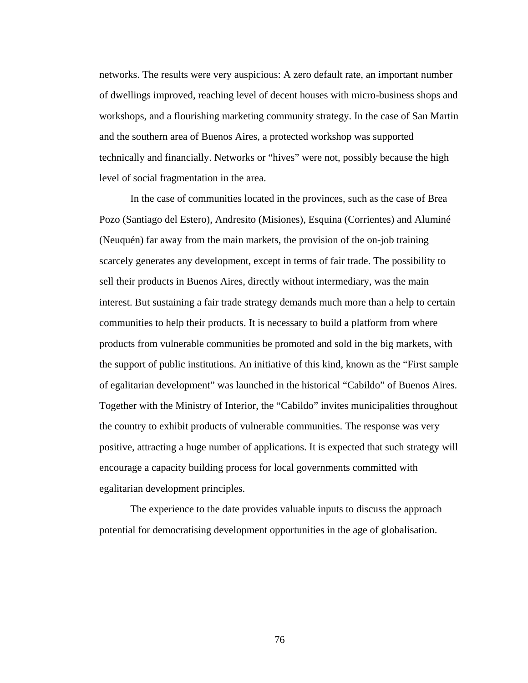networks. The results were very auspicious: A zero default rate, an important number of dwellings improved, reaching level of decent houses with micro-business shops and workshops, and a flourishing marketing community strategy. In the case of San Martin and the southern area of Buenos Aires, a protected workshop was supported technically and financially. Networks or "hives" were not, possibly because the high level of social fragmentation in the area.

In the case of communities located in the provinces, such as the case of Brea Pozo (Santiago del Estero), Andresito (Misiones), Esquina (Corrientes) and Aluminé (Neuquén) far away from the main markets, the provision of the on-job training scarcely generates any development, except in terms of fair trade. The possibility to sell their products in Buenos Aires, directly without intermediary, was the main interest. But sustaining a fair trade strategy demands much more than a help to certain communities to help their products. It is necessary to build a platform from where products from vulnerable communities be promoted and sold in the big markets, with the support of public institutions. An initiative of this kind, known as the "First sample of egalitarian development" was launched in the historical "Cabildo" of Buenos Aires. Together with the Ministry of Interior, the "Cabildo" invites municipalities throughout the country to exhibit products of vulnerable communities. The response was very positive, attracting a huge number of applications. It is expected that such strategy will encourage a capacity building process for local governments committed with egalitarian development principles.

The experience to the date provides valuable inputs to discuss the approach potential for democratising development opportunities in the age of globalisation.

76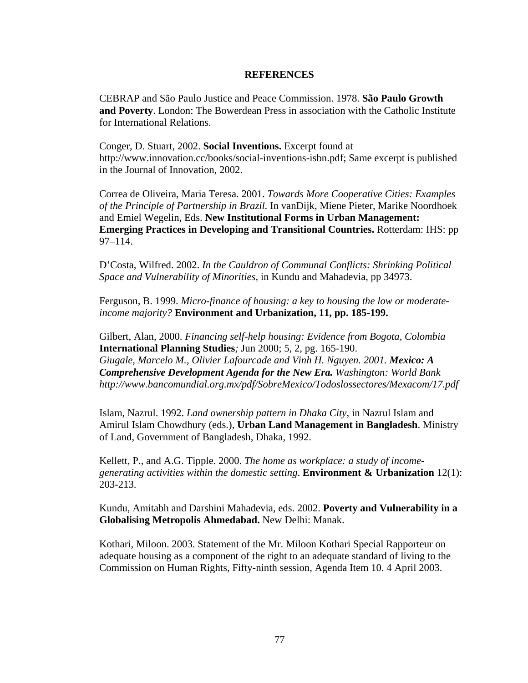## **REFERENCES**

CEBRAP and São Paulo Justice and Peace Commission. 1978. **São Paulo Growth and Poverty**. London: The Bowerdean Press in association with the Catholic Institute for International Relations.

Conger, D. Stuart, 2002. **Social Inventions.** Excerpt found at http://www.innovation.cc/books/social-inventions-isbn.pdf; Same excerpt is published in the Journal of Innovation, 2002.

Correa de Oliveira, Maria Teresa. 2001. *Towards More Cooperative Cities: Examples of the Principle of Partnership in Brazil.* In vanDijk, Miene Pieter, Marike Noordhoek and Emiel Wegelin, Eds. **New Institutional Forms in Urban Management: Emerging Practices in Developing and Transitional Countries.** Rotterdam: IHS: pp 97–114.

D'Costa, Wilfred. 2002. *In the Cauldron of Communal Conflicts: Shrinking Political Space and Vulnerability of Minorities,* in Kundu and Mahadevia, pp 34973.

Ferguson, B. 1999. *Micro-finance of housing: a key to housing the low or moderateincome majority?* **Environment and Urbanization, 11, pp. 185-199.** 

Gilbert, Alan, 2000. *Financing self-help housing: Evidence from Bogota, Colombia*  **International Planning Studies***;* Jun 2000; 5, 2, pg. 165-190. *Giugale, Marcelo M., Olivier Lafourcade and Vinh H. Nguyen. 2001. Mexico: A Comprehensive Development Agenda for the New Era. Washington: World Bank http://www.bancomundial.org.mx/pdf/SobreMexico/Todoslossectores/Mexacom/17.pdf* 

Islam, Nazrul. 1992. *Land ownership pattern in Dhaka City*, in Nazrul Islam and Amirul Islam Chowdhury (eds.), **Urban Land Management in Bangladesh**. Ministry of Land, Government of Bangladesh, Dhaka, 1992.

Kellett, P., and A.G. Tipple. 2000. *The home as workplace: a study of incomegenerating activities within the domestic setting*. **Environment & Urbanization** 12(1): 203-213.

Kundu, Amitabh and Darshini Mahadevia, eds. 2002. **Poverty and Vulnerability in a Globalising Metropolis Ahmedabad.** New Delhi: Manak.

Kothari, Miloon. 2003. Statement of the Mr. Miloon Kothari Special Rapporteur on adequate housing as a component of the right to an adequate standard of living to the Commission on Human Rights, Fifty-ninth session, Agenda Item 10. 4 April 2003.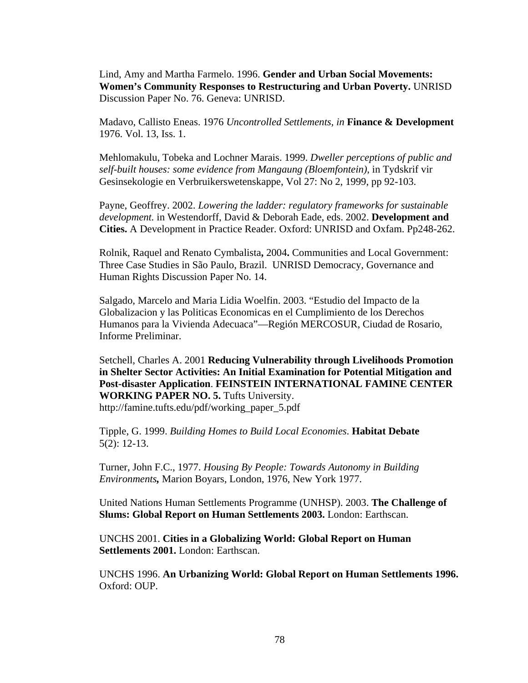Lind, Amy and Martha Farmelo. 1996. **Gender and Urban Social Movements: Women's Community Responses to Restructuring and Urban Poverty.** UNRISD Discussion Paper No. 76. Geneva: UNRISD.

Madavo, Callisto Eneas. 1976 *Uncontrolled Settlements, in* **Finance & Development**  1976. Vol. 13, Iss. 1.

Mehlomakulu, Tobeka and Lochner Marais. 1999. *Dweller perceptions of public and self-built houses: some evidence from Mangaung (Bloemfontein)*, in Tydskrif vir Gesinsekologie en Verbruikerswetenskappe, Vol 27: No 2, 1999, pp 92-103.

Payne, Geoffrey. 2002. *Lowering the ladder: regulatory frameworks for sustainable development.* in Westendorff, David & Deborah Eade, eds. 2002. **Development and Cities.** A Development in Practice Reader. Oxford: UNRISD and Oxfam. Pp248-262.

Rolnik, Raquel and Renato Cymbalista**,** 2004**.** Communities and Local Government: Three Case Studies in São Paulo, Brazil.UNRISD Democracy, Governance and Human Rights Discussion Paper No. 14.

Salgado, Marcelo and Maria Lidia Woelfin. 2003. "Estudio del Impacto de la Globalizacion y las Politicas Economicas en el Cumplimiento de los Derechos Humanos para la Vivienda Adecuaca"—Región MERCOSUR, Ciudad de Rosario, Informe Preliminar.

Setchell, Charles A. 2001 **Reducing Vulnerability through Livelihoods Promotion in Shelter Sector Activities: An Initial Examination for Potential Mitigation and Post-disaster Application**. **FEINSTEIN INTERNATIONAL FAMINE CENTER WORKING PAPER NO. 5.** Tufts University. http://famine.tufts.edu/pdf/working\_paper\_5.pdf

Tipple, G. 1999. *Building Homes to Build Local Economies*. **Habitat Debate** 5(2): 12-13.

Turner, John F.C., 1977. *Housing By People: Towards Autonomy in Building Environments,* Marion Boyars, London, 1976, New York 1977.

United Nations Human Settlements Programme (UNHSP). 2003. **The Challenge of Slums: Global Report on Human Settlements 2003.** London: Earthscan.

UNCHS 2001. **Cities in a Globalizing World: Global Report on Human Settlements 2001.** London: Earthscan.

UNCHS 1996. **An Urbanizing World: Global Report on Human Settlements 1996.**  Oxford: OUP.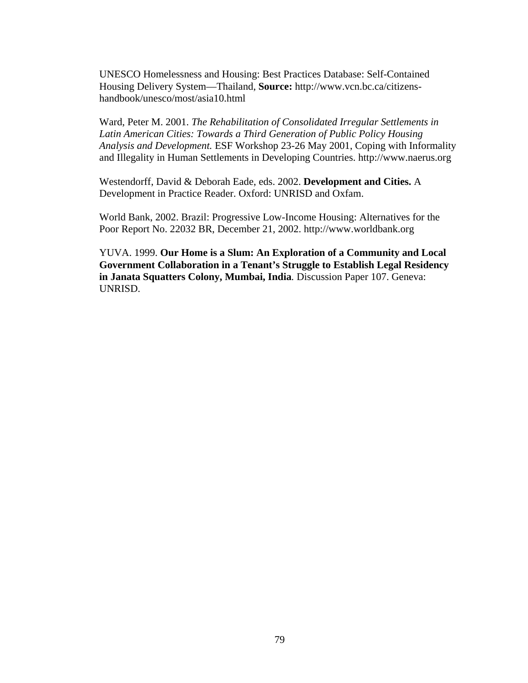UNESCO Homelessness and Housing: Best Practices Database: Self-Contained Housing Delivery System—Thailand, **Source:** http://www.vcn.bc.ca/citizenshandbook/unesco/most/asia10.html

Ward, Peter M. 2001. *The Rehabilitation of Consolidated Irregular Settlements in Latin American Cities: Towards a Third Generation of Public Policy Housing Analysis and Development.* ESF Workshop 23-26 May 2001, Coping with Informality and Illegality in Human Settlements in Developing Countries. http://www.naerus.org

Westendorff, David & Deborah Eade, eds. 2002. **Development and Cities.** A Development in Practice Reader. Oxford: UNRISD and Oxfam.

World Bank, 2002. Brazil: Progressive Low-Income Housing: Alternatives for the Poor Report No. 22032 BR, December 21, 2002. http://www.worldbank.org

YUVA. 1999. **Our Home is a Slum: An Exploration of a Community and Local Government Collaboration in a Tenant's Struggle to Establish Legal Residency in Janata Squatters Colony, Mumbai, India***.* Discussion Paper 107. Geneva: UNRISD.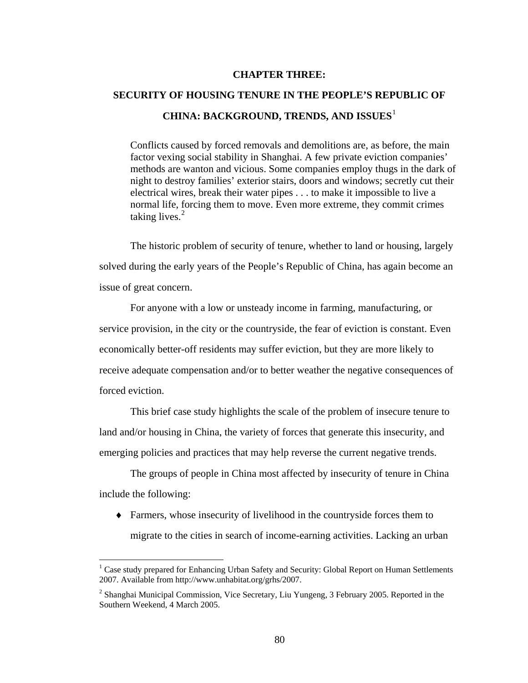## **CHAPTER THREE:**

# **SECURITY OF HOUSING TENURE IN THE PEOPLE'S REPUBLIC OF CHINA: BACKGROUND, TRENDS, AND ISSUES**[1](#page-92-0)

Conflicts caused by forced removals and demolitions are, as before, the main factor vexing social stability in Shanghai. A few private eviction companies' methods are wanton and vicious. Some companies employ thugs in the dark of night to destroy families' exterior stairs, doors and windows; secretly cut their electrical wires, break their water pipes . . . to make it impossible to live a normal life, forcing them to move. Even more extreme, they commit crimes taking lives. $2$ 

The historic problem of security of tenure, whether to land or housing, largely solved during the early years of the People's Republic of China, has again become an issue of great concern.

For anyone with a low or unsteady income in farming, manufacturing, or service provision, in the city or the countryside, the fear of eviction is constant. Even economically better-off residents may suffer eviction, but they are more likely to receive adequate compensation and/or to better weather the negative consequences of forced eviction.

This brief case study highlights the scale of the problem of insecure tenure to land and/or housing in China, the variety of forces that generate this insecurity, and emerging policies and practices that may help reverse the current negative trends.

The groups of people in China most affected by insecurity of tenure in China include the following:

♦ Farmers, whose insecurity of livelihood in the countryside forces them to migrate to the cities in search of income-earning activities. Lacking an urban

<span id="page-92-0"></span><sup>&</sup>lt;sup>1</sup> Case study prepared for Enhancing Urban Safety and Security: Global Report on Human Settlements 2007. Available from http://www.unhabitat.org/grhs/2007.

<span id="page-92-1"></span><sup>&</sup>lt;sup>2</sup> Shanghai Municipal Commission, Vice Secretary, Liu Yungeng, 3 February 2005. Reported in the Southern Weekend, 4 March 2005.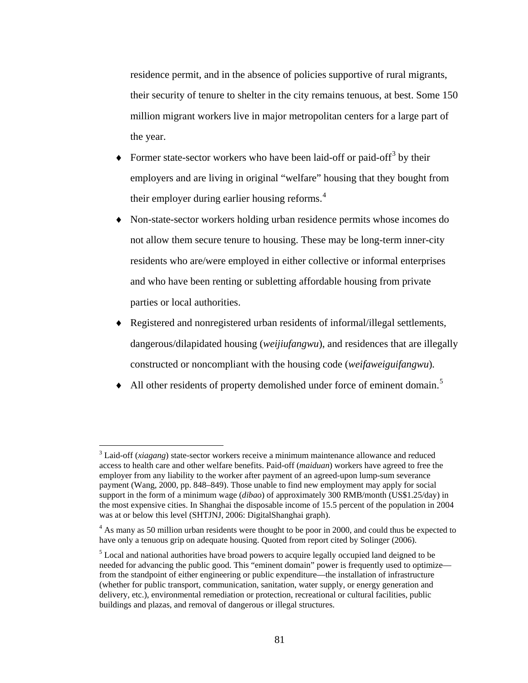residence permit, and in the absence of policies supportive of rural migrants, their security of tenure to shelter in the city remains tenuous, at best. Some 150 million migrant workers live in major metropolitan centers for a large part of the year.

- $\blacklozenge$  Former state-sector workers who have been laid-off or paid-off<sup>[3](#page-93-0)</sup> by their employers and are living in original "welfare" housing that they bought from their employer during earlier housing reforms.<sup>[4](#page-93-1)</sup>
- Non-state-sector workers holding urban residence permits whose incomes do not allow them secure tenure to housing. These may be long-term inner-city residents who are/were employed in either collective or informal enterprises and who have been renting or subletting affordable housing from private parties or local authorities.
- ♦ Registered and nonregistered urban residents of informal/illegal settlements*,*  dangerous/dilapidated housing (*weijiufangwu*), and residences that are illegally constructed or noncompliant with the housing code (*weifaweiguifangwu*)*.*
- All other residents of property demolished under force of eminent domain.<sup>[5](#page-93-2)</sup>

<span id="page-93-0"></span><sup>&</sup>lt;sup>3</sup> Laid-off (*xiagang*) state-sector workers receive a minimum maintenance allowance and reduced access to health care and other welfare benefits. Paid-off (*maiduan*) workers have agreed to free the employer from any liability to the worker after payment of an agreed-upon lump-sum severance payment (Wang, 2000, pp. 848–849). Those unable to find new employment may apply for social support in the form of a minimum wage (*dibao*) of approximately 300 RMB/month (US\$1.25/day) in the most expensive cities. In Shanghai the disposable income of 15.5 percent of the population in 2004 was at or below this level (SHTJNJ, 2006: DigitalShanghai graph).

<span id="page-93-1"></span><sup>&</sup>lt;sup>4</sup> As many as 50 million urban residents were thought to be poor in 2000, and could thus be expected to have only a tenuous grip on adequate housing. Quoted from report cited by Solinger (2006).

<span id="page-93-2"></span> $<sup>5</sup>$  Local and national authorities have broad powers to acquire legally occupied land deigned to be</sup> needed for advancing the public good. This "eminent domain" power is frequently used to optimize from the standpoint of either engineering or public expenditure—the installation of infrastructure (whether for public transport, communication, sanitation, water supply, or energy generation and delivery, etc.), environmental remediation or protection, recreational or cultural facilities, public buildings and plazas, and removal of dangerous or illegal structures.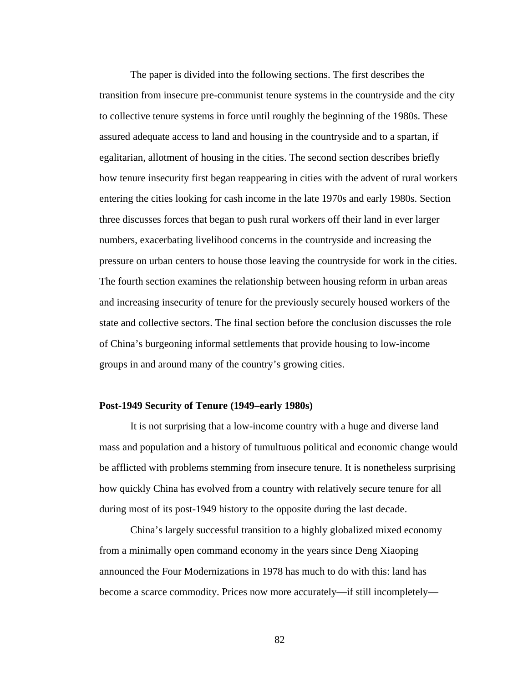The paper is divided into the following sections. The first describes the transition from insecure pre-communist tenure systems in the countryside and the city to collective tenure systems in force until roughly the beginning of the 1980s. These assured adequate access to land and housing in the countryside and to a spartan, if egalitarian, allotment of housing in the cities. The second section describes briefly how tenure insecurity first began reappearing in cities with the advent of rural workers entering the cities looking for cash income in the late 1970s and early 1980s. Section three discusses forces that began to push rural workers off their land in ever larger numbers, exacerbating livelihood concerns in the countryside and increasing the pressure on urban centers to house those leaving the countryside for work in the cities. The fourth section examines the relationship between housing reform in urban areas and increasing insecurity of tenure for the previously securely housed workers of the state and collective sectors. The final section before the conclusion discusses the role of China's burgeoning informal settlements that provide housing to low-income groups in and around many of the country's growing cities.

## **Post-1949 Security of Tenure (1949–early 1980s)**

It is not surprising that a low-income country with a huge and diverse land mass and population and a history of tumultuous political and economic change would be afflicted with problems stemming from insecure tenure. It is nonetheless surprising how quickly China has evolved from a country with relatively secure tenure for all during most of its post-1949 history to the opposite during the last decade.

China's largely successful transition to a highly globalized mixed economy from a minimally open command economy in the years since Deng Xiaoping announced the Four Modernizations in 1978 has much to do with this: land has become a scarce commodity. Prices now more accurately—if still incompletely—

82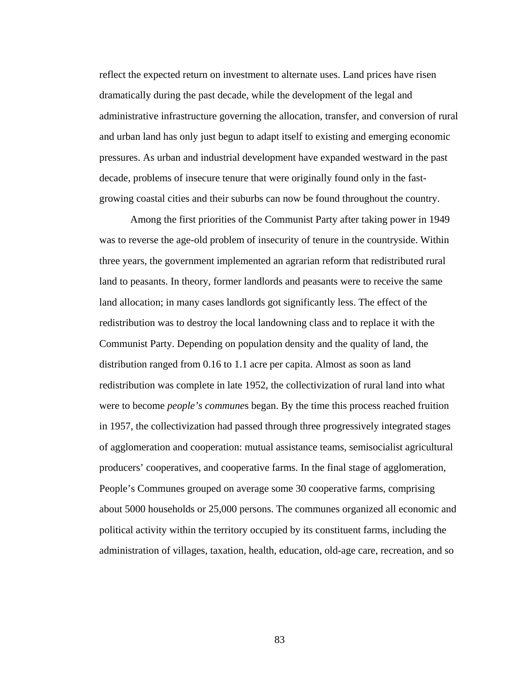reflect the expected return on investment to alternate uses. Land prices have risen dramatically during the past decade, while the development of the legal and administrative infrastructure governing the allocation, transfer, and conversion of rural and urban land has only just begun to adapt itself to existing and emerging economic pressures. As urban and industrial development have expanded westward in the past decade, problems of insecure tenure that were originally found only in the fastgrowing coastal cities and their suburbs can now be found throughout the country.

Among the first priorities of the Communist Party after taking power in 1949 was to reverse the age-old problem of insecurity of tenure in the countryside. Within three years, the government implemented an agrarian reform that redistributed rural land to peasants. In theory, former landlords and peasants were to receive the same land allocation; in many cases landlords got significantly less. The effect of the redistribution was to destroy the local landowning class and to replace it with the Communist Party. Depending on population density and the quality of land, the distribution ranged from 0.16 to 1.1 acre per capita. Almost as soon as land redistribution was complete in late 1952, the collectivization of rural land into what were to become *people's commune*s began. By the time this process reached fruition in 1957, the collectivization had passed through three progressively integrated stages of agglomeration and cooperation: mutual assistance teams, semisocialist agricultural producers' cooperatives, and cooperative farms. In the final stage of agglomeration, People's Communes grouped on average some 30 cooperative farms, comprising about 5000 households or 25,000 persons. The communes organized all economic and political activity within the territory occupied by its constituent farms, including the administration of villages, taxation, health, education, old-age care, recreation, and so

83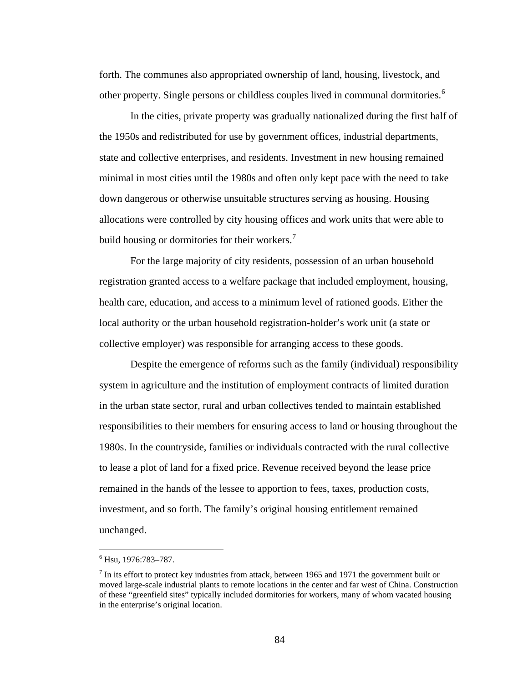forth. The communes also appropriated ownership of land, housing, livestock, and other property. Single persons or childless couples lived in communal dormitories.[6](#page-96-0)

In the cities, private property was gradually nationalized during the first half of the 1950s and redistributed for use by government offices, industrial departments, state and collective enterprises, and residents. Investment in new housing remained minimal in most cities until the 1980s and often only kept pace with the need to take down dangerous or otherwise unsuitable structures serving as housing. Housing allocations were controlled by city housing offices and work units that were able to build housing or dormitories for their workers.<sup>[7](#page-96-1)</sup>

For the large majority of city residents, possession of an urban household registration granted access to a welfare package that included employment, housing, health care, education, and access to a minimum level of rationed goods. Either the local authority or the urban household registration*-*holder's work unit (a state or collective employer) was responsible for arranging access to these goods.

Despite the emergence of reforms such as the family (individual) responsibility system in agriculture and the institution of employment contracts of limited duration in the urban state sector, rural and urban collectives tended to maintain established responsibilities to their members for ensuring access to land or housing throughout the 1980s. In the countryside, families or individuals contracted with the rural collective to lease a plot of land for a fixed price. Revenue received beyond the lease price remained in the hands of the lessee to apportion to fees, taxes, production costs, investment, and so forth. The family's original housing entitlement remained unchanged.

<sup>6</sup> Hsu, 1976:783–787.

<span id="page-96-1"></span><span id="page-96-0"></span> $<sup>7</sup>$  In its effort to protect key industries from attack, between 1965 and 1971 the government built or</sup> moved large-scale industrial plants to remote locations in the center and far west of China. Construction of these "greenfield sites" typically included dormitories for workers, many of whom vacated housing in the enterprise's original location.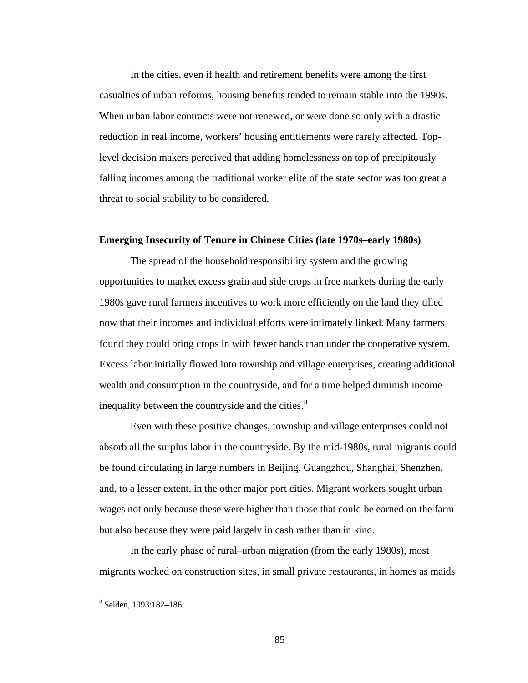In the cities, even if health and retirement benefits were among the first casualties of urban reforms, housing benefits tended to remain stable into the 1990s. When urban labor contracts were not renewed, or were done so only with a drastic reduction in real income, workers' housing entitlements were rarely affected. Toplevel decision makers perceived that adding homelessness on top of precipitously falling incomes among the traditional worker elite of the state sector was too great a threat to social stability to be considered.

## **Emerging Insecurity of Tenure in Chinese Cities (late 1970s–early 1980s)**

The spread of the household responsibility system and the growing opportunities to market excess grain and side crops in free markets during the early 1980s gave rural farmers incentives to work more efficiently on the land they tilled now that their incomes and individual efforts were intimately linked. Many farmers found they could bring crops in with fewer hands than under the cooperative system. Excess labor initially flowed into township and village enterprises, creating additional wealth and consumption in the countryside, and for a time helped diminish income inequality between the countryside and the cities.<sup>[8](#page-97-0)</sup>

Even with these positive changes, township and village enterprises could not absorb all the surplus labor in the countryside. By the mid-1980s, rural migrants could be found circulating in large numbers in Beijing, Guangzhou, Shanghai, Shenzhen, and, to a lesser extent, in the other major port cities. Migrant workers sought urban wages not only because these were higher than those that could be earned on the farm but also because they were paid largely in cash rather than in kind.

In the early phase of rural–urban migration (from the early 1980s), most migrants worked on construction sites, in small private restaurants, in homes as maids

<span id="page-97-0"></span><sup>8</sup> Selden, 1993:182–186.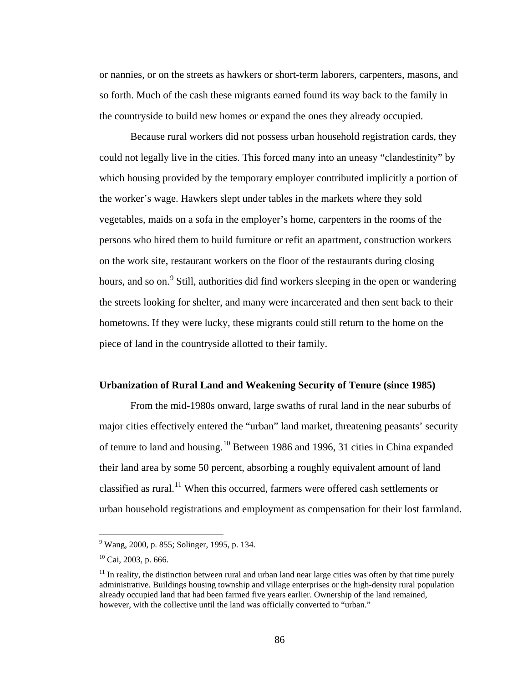or nannies, or on the streets as hawkers or short-term laborers, carpenters, masons, and so forth. Much of the cash these migrants earned found its way back to the family in the countryside to build new homes or expand the ones they already occupied.

Because rural workers did not possess urban household registration cards, they could not legally live in the cities. This forced many into an uneasy "clandestinity" by which housing provided by the temporary employer contributed implicitly a portion of the worker's wage. Hawkers slept under tables in the markets where they sold vegetables, maids on a sofa in the employer's home, carpenters in the rooms of the persons who hired them to build furniture or refit an apartment, construction workers on the work site, restaurant workers on the floor of the restaurants during closing hours, and so on.<sup>[9](#page-98-0)</sup> Still, authorities did find workers sleeping in the open or wandering the streets looking for shelter, and many were incarcerated and then sent back to their hometowns. If they were lucky, these migrants could still return to the home on the piece of land in the countryside allotted to their family.

## **Urbanization of Rural Land and Weakening Security of Tenure (since 1985)**

From the mid-1980s onward, large swaths of rural land in the near suburbs of major cities effectively entered the "urban" land market, threatening peasants' security of tenure to land and housing.[1](#page-98-1)0 Between 1986 and 1996, 31 cities in China expanded their land area by some 50 percent, absorbing a roughly equivalent amount of land classified as rural.<sup>[11](#page-98-2)</sup> When this occurred, farmers were offered cash settlements or urban household registrations and employment as compensation for their lost farmland.

<span id="page-98-0"></span><sup>&</sup>lt;sup>9</sup> Wang, 2000, p. 855; Solinger, 1995, p. 134.

<span id="page-98-1"></span> $10$  Cai, 2003, p. 666.

<span id="page-98-2"></span> $11$  In reality, the distinction between rural and urban land near large cities was often by that time purely administrative. Buildings housing township and village enterprises or the high-density rural population already occupied land that had been farmed five years earlier. Ownership of the land remained, however, with the collective until the land was officially converted to "urban."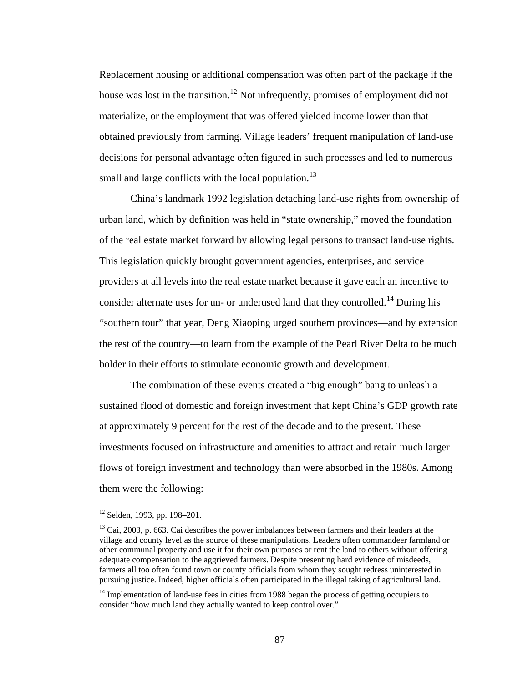Replacement housing or additional compensation was often part of the package if the house was lost in the transition.<sup>[1](#page-99-0)2</sup> Not infrequently, promises of employment did not materialize, or the employment that was offered yielded income lower than that obtained previously from farming. Village leaders' frequent manipulation of land-use decisions for personal advantage often figured in such processes and led to numerous small and large conflicts with the local population.<sup>[1](#page-99-1)3</sup>

China's landmark 1992 legislation detaching land-use rights from ownership of urban land, which by definition was held in "state ownership," moved the foundation of the real estate market forward by allowing legal persons to transact land-use rights. This legislation quickly brought government agencies, enterprises, and service providers at all levels into the real estate market because it gave each an incentive to consider alternate uses for un- or underused land that they controlled.<sup>[14](#page-99-2)</sup> During his "southern tour" that year, Deng Xiaoping urged southern provinces—and by extension the rest of the country—to learn from the example of the Pearl River Delta to be much bolder in their efforts to stimulate economic growth and development.

The combination of these events created a "big enough" bang to unleash a sustained flood of domestic and foreign investment that kept China's GDP growth rate at approximately 9 percent for the rest of the decade and to the present. These investments focused on infrastructure and amenities to attract and retain much larger flows of foreign investment and technology than were absorbed in the 1980s. Among them were the following:

<sup>&</sup>lt;sup>12</sup> Selden, 1993, pp. 198–201.

<span id="page-99-1"></span><span id="page-99-0"></span><sup>&</sup>lt;sup>13</sup> Cai, 2003, p. 663. Cai describes the power imbalances between farmers and their leaders at the village and county level as the source of these manipulations. Leaders often commandeer farmland or other communal property and use it for their own purposes or rent the land to others without offering adequate compensation to the aggrieved farmers. Despite presenting hard evidence of misdeeds, farmers all too often found town or county officials from whom they sought redress uninterested in pursuing justice. Indeed, higher officials often participated in the illegal taking of agricultural land.

<span id="page-99-2"></span><sup>&</sup>lt;sup>14</sup> Implementation of land-use fees in cities from 1988 began the process of getting occupiers to consider "how much land they actually wanted to keep control over."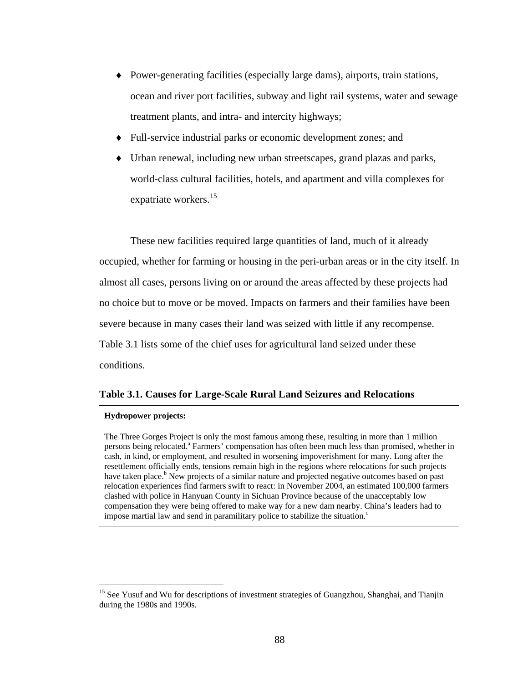- ♦ Power-generating facilities (especially large dams), airports, train stations, ocean and river port facilities, subway and light rail systems, water and sewage treatment plants, and intra- and intercity highways;
- Full-service industrial parks or economic development zones; and
- ♦ Urban renewal, including new urban streetscapes, grand plazas and parks, world-class cultural facilities, hotels, and apartment and villa complexes for expatriate workers.<sup>[15](#page-100-0)</sup>

These new facilities required large quantities of land, much of it already occupied, whether for farming or housing in the peri-urban areas or in the city itself. In almost all cases, persons living on or around the areas affected by these projects had no choice but to move or be moved. Impacts on farmers and their families have been severe because in many cases their land was seized with little if any recompense. Table 3.1 lists some of the chief uses for agricultural land seized under these conditions.

## **Table 3.1. Causes for Large-Scale Rural Land Seizures and Relocations**

#### **Hydropower projects:**

 $\overline{a}$ 

The Three Gorges Project is only the most famous among these, resulting in more than 1 million persons being relocated.<sup>a</sup> Farmers' compensation has often been much less than promised, whether in cash, in kind, or employment, and resulted in worsening impoverishment for many. Long after the resettlement officially ends, tensions remain high in the regions where relocations for such projects have taken place.<sup>b</sup> New projects of a similar nature and projected negative outcomes based on past relocation experiences find farmers swift to react: in November 2004, an estimated 100,000 farmers clashed with police in Hanyuan County in Sichuan Province because of the unacceptably low compensation they were being offered to make way for a new dam nearby. China's leaders had to impose martial law and send in paramilitary police to stabilize the situation. $c$ 

<span id="page-100-0"></span><sup>&</sup>lt;sup>15</sup> See Yusuf and Wu for descriptions of investment strategies of Guangzhou, Shanghai, and Tianjin during the 1980s and 1990s.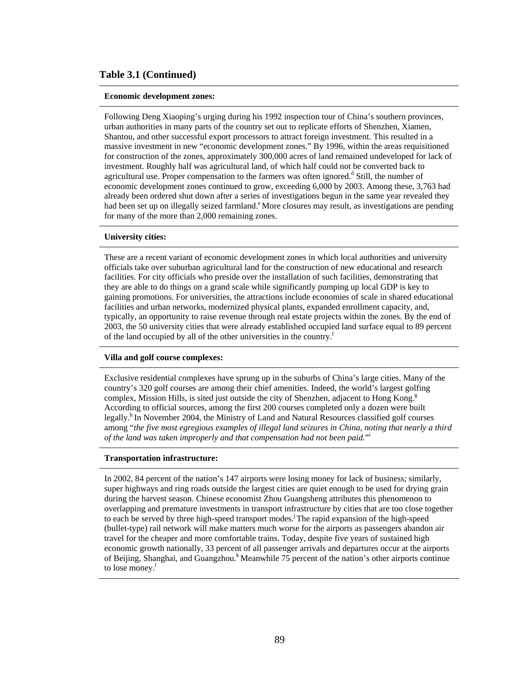## **Table 3.1 (Continued)**

#### **Economic development zones:**

Following Deng Xiaoping's urging during his 1992 inspection tour of China's southern provinces, urban authorities in many parts of the country set out to replicate efforts of Shenzhen, Xiamen, Shantou, and other successful export processors to attract foreign investment. This resulted in a massive investment in new "economic development zones." By 1996, within the areas requisitioned for construction of the zones, approximately 300,000 acres of land remained undeveloped for lack of investment. Roughly half was agricultural land, of which half could not be converted back to agricultural use. Proper compensation to the farmers was often ignored.<sup>d</sup> Still, the number of economic development zones continued to grow, exceeding 6,000 by 2003. Among these, 3,763 had already been ordered shut down after a series of investigations begun in the same year revealed they had been set up on illegally seized farmland.<sup>e</sup> More closures may result, as investigations are pending for many of the more than 2,000 remaining zones.

#### **University cities:**

These are a recent variant of economic development zones in which local authorities and university officials take over suburban agricultural land for the construction of new educational and research facilities. For city officials who preside over the installation of such facilities, demonstrating that they are able to do things on a grand scale while significantly pumping up local GDP is key to gaining promotions. For universities, the attractions include economies of scale in shared educational facilities and urban networks, modernized physical plants, expanded enrollment capacity, and, typically, an opportunity to raise revenue through real estate projects within the zones. By the end of 2003, the 50 university cities that were already established occupied land surface equal to 89 percent of the land occupied by all of the other universities in the country.<sup>f</sup>

#### **Villa and golf course complexes:**

Exclusive residential complexes have sprung up in the suburbs of China's large cities. Many of the country's 320 golf courses are among their chief amenities. Indeed, the world's largest golfing complex, Mission Hills, is sited just outside the city of Shenzhen, adjacent to Hong Kong. $g$ According to official sources, among the first 200 courses completed only a dozen were built legally.<sup>h</sup> In November 2004, the Ministry of Land and Natural Resources classified golf courses among "*the five most egregious examples of illegal land seizures in China, noting that nearly a third of the land was taken improperly and that compensation had not been paid.*" i

#### **Transportation infrastructure:**

In 2002, 84 percent of the nation's 147 airports were losing money for lack of business; similarly, super highways and ring roads outside the largest cities are quiet enough to be used for drying grain during the harvest season. Chinese economist Zhou Guangsheng attributes this phenomenon to overlapping and premature investments in transport infrastructure by cities that are too close together to each be served by three high-speed transport modes.<sup>j</sup> The rapid expansion of the high-speed (bullet-type) rail network will make matters much worse for the airports as passengers abandon air travel for the cheaper and more comfortable trains. Today, despite five years of sustained high economic growth nationally, 33 percent of all passenger arrivals and departures occur at the airports of Beijing, Shanghai, and Guangzhou.<sup>k</sup> Meanwhile 75 percent of the nation's other airports continue to lose money. $\frac{1}{1}$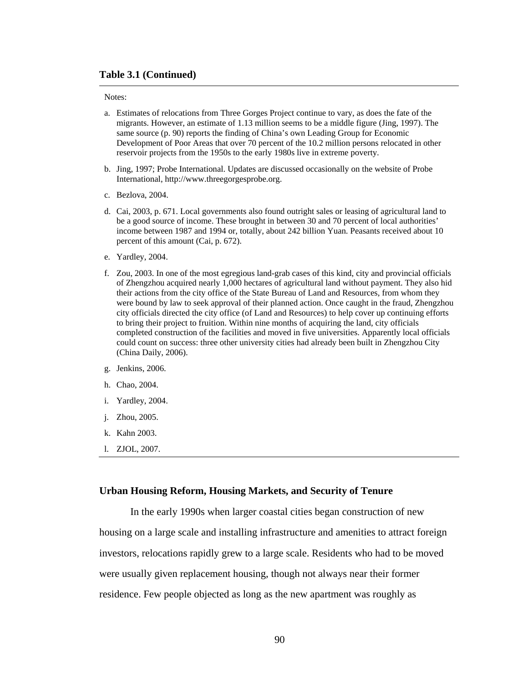#### **Table 3.1 (Continued)**

#### Notes:

- a. Estimates of relocations from Three Gorges Project continue to vary, as does the fate of the migrants. However, an estimate of 1.13 million seems to be a middle figure (Jing, 1997). The same source (p. 90) reports the finding of China's own Leading Group for Economic Development of Poor Areas that over 70 percent of the 10.2 million persons relocated in other reservoir projects from the 1950s to the early 1980s live in extreme poverty.
- b. Jing, 1997; Probe International. Updates are discussed occasionally on the website of Probe International, http://www.threegorgesprobe.org.
- c. Bezlova, 2004.
- d. Cai, 2003, p. 671. Local governments also found outright sales or leasing of agricultural land to be a good source of income. These brought in between 30 and 70 percent of local authorities' income between 1987 and 1994 or, totally, about 242 billion Yuan. Peasants received about 10 percent of this amount (Cai, p. 672).
- e. Yardley, 2004.
- f. Zou, 2003. In one of the most egregious land-grab cases of this kind, city and provincial officials of Zhengzhou acquired nearly 1,000 hectares of agricultural land without payment. They also hid their actions from the city office of the State Bureau of Land and Resources, from whom they were bound by law to seek approval of their planned action. Once caught in the fraud, Zhengzhou city officials directed the city office (of Land and Resources) to help cover up continuing efforts to bring their project to fruition. Within nine months of acquiring the land, city officials completed construction of the facilities and moved in five universities. Apparently local officials could count on success: three other university cities had already been built in Zhengzhou City (China Daily, 2006).
- g. Jenkins, 2006.
- h. Chao, 2004.
- i. Yardley, 2004.
- j. Zhou, 2005.
- k. Kahn 2003.
- l. ZJOL, 2007.

#### **Urban Housing Reform, Housing Markets, and Security of Tenure**

In the early 1990s when larger coastal cities began construction of new housing on a large scale and installing infrastructure and amenities to attract foreign investors, relocations rapidly grew to a large scale. Residents who had to be moved were usually given replacement housing, though not always near their former residence. Few people objected as long as the new apartment was roughly as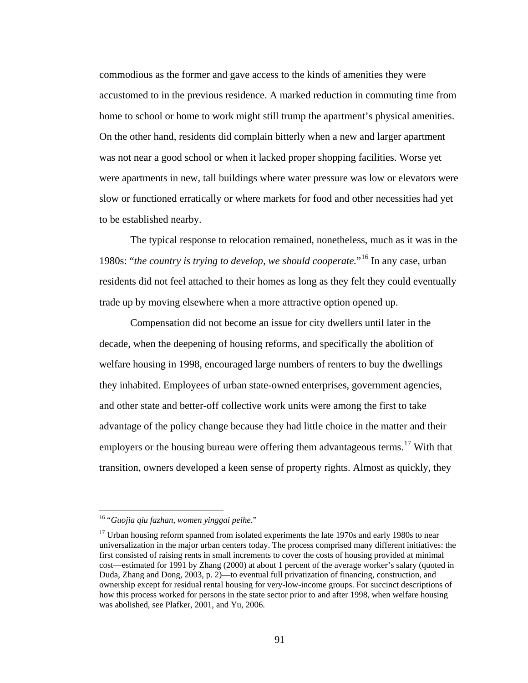commodious as the former and gave access to the kinds of amenities they were accustomed to in the previous residence. A marked reduction in commuting time from home to school or home to work might still trump the apartment's physical amenities. On the other hand, residents did complain bitterly when a new and larger apartment was not near a good school or when it lacked proper shopping facilities. Worse yet were apartments in new, tall buildings where water pressure was low or elevators were slow or functioned erratically or where markets for food and other necessities had yet to be established nearby.

The typical response to relocation remained, nonetheless, much as it was in the 1980s: "*the country is trying to develop, we should cooperate.*"[1](#page-103-0)6 In any case, urban residents did not feel attached to their homes as long as they felt they could eventually trade up by moving elsewhere when a more attractive option opened up.

Compensation did not become an issue for city dwellers until later in the decade, when the deepening of housing reforms, and specifically the abolition of welfare housing in 1998, encouraged large numbers of renters to buy the dwellings they inhabited. Employees of urban state-owned enterprises, government agencies, and other state and better-off collective work units were among the first to take advantage of the policy change because they had little choice in the matter and their employers or the housing bureau were offering them advantageous terms.<sup>[17](#page-103-1)</sup> With that transition, owners developed a keen sense of property rights. Almost as quickly, they

<span id="page-103-0"></span><sup>16 &</sup>quot;*Guojia qiu fazhan, women yinggai peihe*."

<span id="page-103-1"></span><sup>&</sup>lt;sup>17</sup> Urban housing reform spanned from isolated experiments the late 1970s and early 1980s to near universalization in the major urban centers today. The process comprised many different initiatives: the first consisted of raising rents in small increments to cover the costs of housing provided at minimal cost—estimated for 1991 by Zhang (2000) at about 1 percent of the average worker's salary (quoted in Duda, Zhang and Dong, 2003, p. 2)—to eventual full privatization of financing, construction, and ownership except for residual rental housing for very-low-income groups. For succinct descriptions of how this process worked for persons in the state sector prior to and after 1998, when welfare housing was abolished, see Plafker, 2001, and Yu, 2006.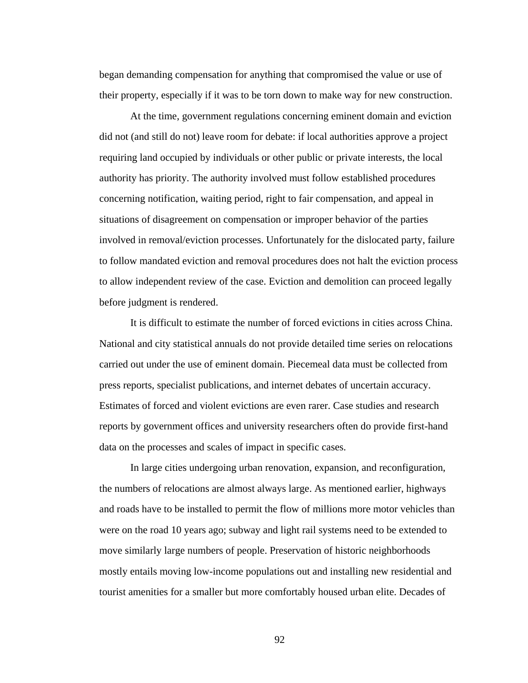began demanding compensation for anything that compromised the value or use of their property, especially if it was to be torn down to make way for new construction.

At the time, government regulations concerning eminent domain and eviction did not (and still do not) leave room for debate: if local authorities approve a project requiring land occupied by individuals or other public or private interests, the local authority has priority. The authority involved must follow established procedures concerning notification, waiting period, right to fair compensation, and appeal in situations of disagreement on compensation or improper behavior of the parties involved in removal/eviction processes. Unfortunately for the dislocated party, failure to follow mandated eviction and removal procedures does not halt the eviction process to allow independent review of the case. Eviction and demolition can proceed legally before judgment is rendered.

It is difficult to estimate the number of forced evictions in cities across China. National and city statistical annuals do not provide detailed time series on relocations carried out under the use of eminent domain. Piecemeal data must be collected from press reports, specialist publications, and internet debates of uncertain accuracy. Estimates of forced and violent evictions are even rarer. Case studies and research reports by government offices and university researchers often do provide first-hand data on the processes and scales of impact in specific cases.

In large cities undergoing urban renovation, expansion, and reconfiguration, the numbers of relocations are almost always large. As mentioned earlier, highways and roads have to be installed to permit the flow of millions more motor vehicles than were on the road 10 years ago; subway and light rail systems need to be extended to move similarly large numbers of people. Preservation of historic neighborhoods mostly entails moving low-income populations out and installing new residential and tourist amenities for a smaller but more comfortably housed urban elite. Decades of

92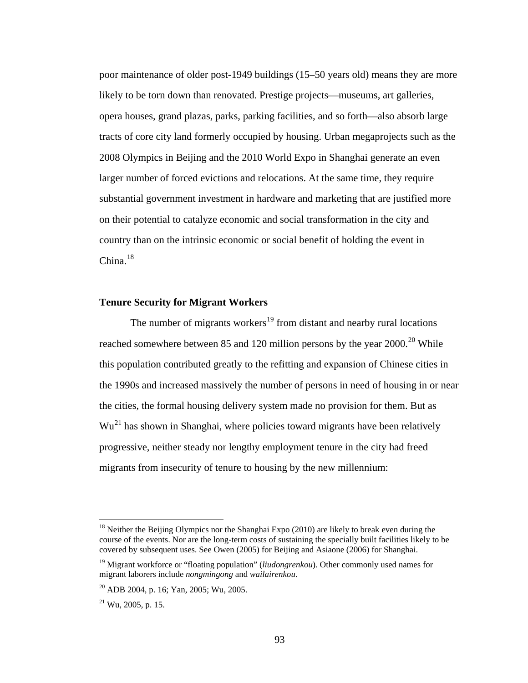poor maintenance of older post-1949 buildings (15–50 years old) means they are more likely to be torn down than renovated. Prestige projects—museums, art galleries, opera houses, grand plazas, parks, parking facilities, and so forth—also absorb large tracts of core city land formerly occupied by housing. Urban megaprojects such as the 2008 Olympics in Beijing and the 2010 World Expo in Shanghai generate an even larger number of forced evictions and relocations. At the same time, they require substantial government investment in hardware and marketing that are justified more on their potential to catalyze economic and social transformation in the city and country than on the intrinsic economic or social benefit of holding the event in China. $18$  $18$ 

## **Tenure Security for Migrant Workers**

The number of migrants workers<sup>[19](#page-105-1)</sup> from distant and nearby rural locations reached somewhere between 85 and 1[20](#page-105-2) million persons by the year  $2000$ .<sup>20</sup> While this population contributed greatly to the refitting and expansion of Chinese cities in the 1990s and increased massively the number of persons in need of housing in or near the cities, the formal housing delivery system made no provision for them. But as Wu[2](#page-105-3)1 has shown in Shanghai, where policies toward migrants have been relatively progressive, neither steady nor lengthy employment tenure in the city had freed migrants from insecurity of tenure to housing by the new millennium:

<span id="page-105-0"></span><sup>&</sup>lt;sup>18</sup> Neither the Beijing Olympics nor the Shanghai Expo  $(2010)$  are likely to break even during the course of the events. Nor are the long-term costs of sustaining the specially built facilities likely to be covered by subsequent uses. See Owen (2005) for Beijing and Asiaone (2006) for Shanghai.

<span id="page-105-1"></span><sup>19</sup> Migrant workforce or "floating population" (*liudongrenkou*). Other commonly used names for migrant laborers include *nongmingong* and *wailairenkou*.

<span id="page-105-2"></span><sup>20</sup> ADB 2004, p. 16; Yan, 2005; Wu, 2005.

<span id="page-105-3"></span> $^{21}$  Wu, 2005, p. 15.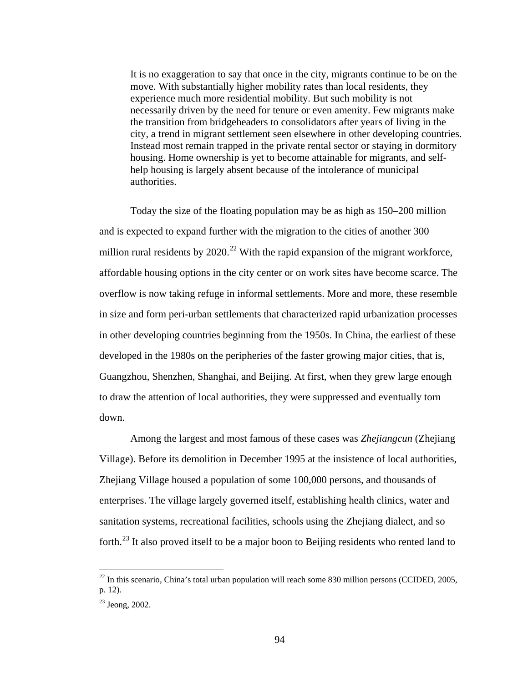It is no exaggeration to say that once in the city, migrants continue to be on the move. With substantially higher mobility rates than local residents, they experience much more residential mobility. But such mobility is not necessarily driven by the need for tenure or even amenity. Few migrants make the transition from bridgeheaders to consolidators after years of living in the city, a trend in migrant settlement seen elsewhere in other developing countries. Instead most remain trapped in the private rental sector or staying in dormitory housing. Home ownership is yet to become attainable for migrants, and selfhelp housing is largely absent because of the intolerance of municipal authorities.

Today the size of the floating population may be as high as 150–200 million and is expected to expand further with the migration to the cities of another 300 million rural residents by  $2020$ <sup>[22](#page-106-0)</sup> With the rapid expansion of the migrant workforce, affordable housing options in the city center or on work sites have become scarce. The overflow is now taking refuge in informal settlements. More and more, these resemble in size and form peri-urban settlements that characterized rapid urbanization processes in other developing countries beginning from the 1950s. In China, the earliest of these developed in the 1980s on the peripheries of the faster growing major cities, that is, Guangzhou, Shenzhen, Shanghai, and Beijing. At first, when they grew large enough to draw the attention of local authorities, they were suppressed and eventually torn down.

Among the largest and most famous of these cases was *Zhejiangcun* (Zhejiang Village). Before its demolition in December 1995 at the insistence of local authorities, Zhejiang Village housed a population of some 100,000 persons, and thousands of enterprises. The village largely governed itself, establishing health clinics, water and sanitation systems, recreational facilities, schools using the Zhejiang dialect, and so forth.<sup>[2](#page-106-1)3</sup> It also proved itself to be a major boon to Beijing residents who rented land to

<span id="page-106-0"></span> $^{22}$  In this scenario, China's total urban population will reach some 830 million persons (CCIDED, 2005, p. 12).

<span id="page-106-1"></span><sup>23</sup> Jeong, 2002.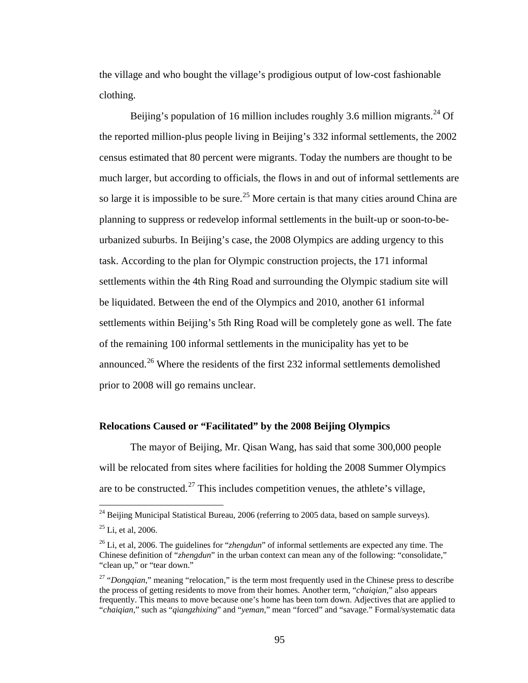the village and who bought the village's prodigious output of low-cost fashionable clothing.

Beijing's population of 16 million includes roughly 3.6 million migrants.<sup>[24](#page-107-0)</sup> Of the reported million-plus people living in Beijing's 332 informal settlements, the 2002 census estimated that 80 percent were migrants. Today the numbers are thought to be much larger, but according to officials, the flows in and out of informal settlements are so large it is impossible to be sure.<sup>[25](#page-107-1)</sup> More certain is that many cities around China are planning to suppress or redevelop informal settlements in the built-up or soon-to-beurbanized suburbs. In Beijing's case, the 2008 Olympics are adding urgency to this task. According to the plan for Olympic construction projects, the 171 informal settlements within the 4th Ring Road and surrounding the Olympic stadium site will be liquidated. Between the end of the Olympics and 2010, another 61 informal settlements within Beijing's 5th Ring Road will be completely gone as well. The fate of the remaining 100 informal settlements in the municipality has yet to be announced.<sup>[26](#page-107-2)</sup> Where the residents of the first 232 informal settlements demolished prior to 2008 will go remains unclear.

## **Relocations Caused or "Facilitated" by the 2008 Beijing Olympics**

The mayor of Beijing, Mr. Qisan Wang, has said that some 300,000 people will be relocated from sites where facilities for holding the 2008 Summer Olympics are to be constructed.<sup>[2](#page-107-3)7</sup> This includes competition venues, the athlete's village,

<span id="page-107-0"></span> $24$  Beijing Municipal Statistical Bureau, 2006 (referring to 2005 data, based on sample surveys).

<span id="page-107-1"></span> $25$  Li, et al, 2006.

<span id="page-107-2"></span><sup>26</sup> Li, et al, 2006. The guidelines for "*zhengdun*" of informal settlements are expected any time. The Chinese definition of "*zhengdun*" in the urban context can mean any of the following: "consolidate," "clean up," or "tear down."

<span id="page-107-3"></span><sup>&</sup>lt;sup>27</sup> "*Dongqian*," meaning "relocation," is the term most frequently used in the Chinese press to describe the process of getting residents to move from their homes. Another term, "*chaiqian,*" also appears frequently. This means to move because one's home has been torn down. Adjectives that are applied to "*chaiqian,*" such as "*qiangzhixing*" and "*yeman,*" mean "forced" and "savage." Formal/systematic data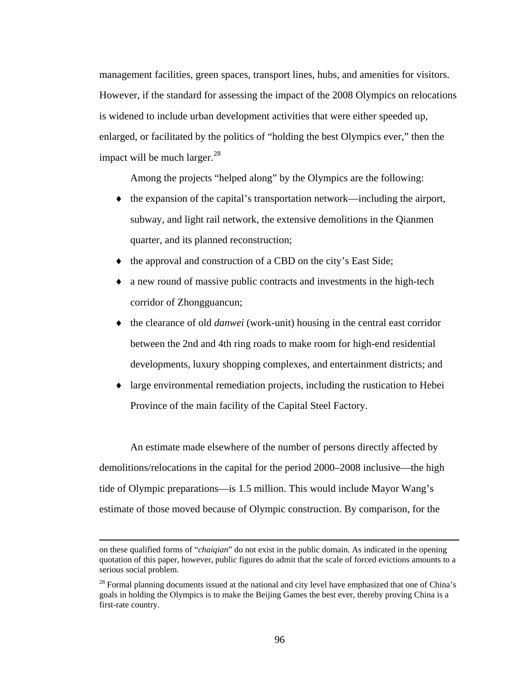management facilities, green spaces, transport lines, hubs, and amenities for visitors. However, if the standard for assessing the impact of the 2008 Olympics on relocations is widened to include urban development activities that were either speeded up, enlarged, or facilitated by the politics of "holding the best Olympics ever," then the impact will be much larger.<sup>[2](#page-108-0)8</sup>

Among the projects "helped along" by the Olympics are the following:

- ♦ the expansion of the capital's transportation network—including the airport, subway, and light rail network, the extensive demolitions in the Qianmen quarter, and its planned reconstruction;
- ♦ the approval and construction of a CBD on the city's East Side;
- ♦ a new round of massive public contracts and investments in the high-tech corridor of Zhongguancun;
- ♦ the clearance of old *danwei* (work-unit) housing in the central east corridor between the 2nd and 4th ring roads to make room for high-end residential developments, luxury shopping complexes, and entertainment districts; and
- ♦ large environmental remediation projects, including the rustication to Hebei Province of the main facility of the Capital Steel Factory.

An estimate made elsewhere of the number of persons directly affected by demolitions/relocations in the capital for the period 2000–2008 inclusive—the high tide of Olympic preparations—is 1.5 million. This would include Mayor Wang's estimate of those moved because of Olympic construction. By comparison, for the

on these qualified forms of "*chaiqian*" do not exist in the public domain. As indicated in the opening quotation of this paper, however, public figures do admit that the scale of forced evictions amounts to a serious social problem.

<span id="page-108-0"></span><sup>&</sup>lt;sup>28</sup> Formal planning documents issued at the national and city level have emphasized that one of China's goals in holding the Olympics is to make the Beijing Games the best ever, thereby proving China is a first-rate country.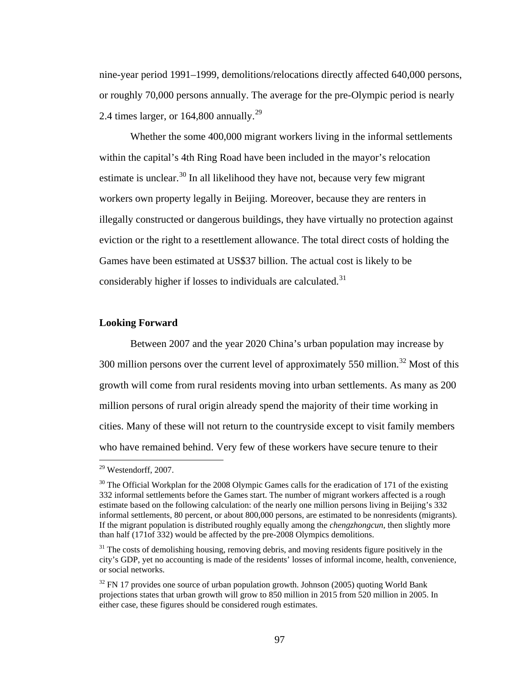nine-year period 1991–1999, demolitions/relocations directly affected 640,000 persons, or roughly 70,000 persons annually. The average for the pre-Olympic period is nearly [2](#page-109-0).4 times larger, or  $164,800$  annually.<sup>29</sup>

Whether the some 400,000 migrant workers living in the informal settlements within the capital's 4th Ring Road have been included in the mayor's relocation estimate is unclear. $30$  $30$  In all likelihood they have not, because very few migrant workers own property legally in Beijing. Moreover, because they are renters in illegally constructed or dangerous buildings, they have virtually no protection against eviction or the right to a resettlement allowance. The total direct costs of holding the Games have been estimated at US\$37 billion. The actual cost is likely to be considerably higher if losses to individuals are calculated.<sup>[31](#page-109-2)</sup>

## **Looking Forward**

Between 2007 and the year 2020 China's urban population may increase by [3](#page-109-3)00 million persons over the current level of approximately 550 million.<sup>32</sup> Most of this growth will come from rural residents moving into urban settlements. As many as 200 million persons of rural origin already spend the majority of their time working in cities. Many of these will not return to the countryside except to visit family members who have remained behind. Very few of these workers have secure tenure to their

<span id="page-109-0"></span><sup>29</sup> Westendorff, 2007.

<span id="page-109-1"></span> $30$  The Official Workplan for the 2008 Olympic Games calls for the eradication of 171 of the existing 332 informal settlements before the Games start. The number of migrant workers affected is a rough estimate based on the following calculation: of the nearly one million persons living in Beijing's 332 informal settlements, 80 percent, or about 800,000 persons, are estimated to be nonresidents (migrants). If the migrant population is distributed roughly equally among the *chengzhongcun*, then slightly more than half (171of 332) would be affected by the pre-2008 Olympics demolitions.

<span id="page-109-2"></span><sup>&</sup>lt;sup>31</sup> The costs of demolishing housing, removing debris, and moving residents figure positively in the city's GDP, yet no accounting is made of the residents' losses of informal income, health, convenience, or social networks.

<span id="page-109-3"></span> $32$  FN 17 provides one source of urban population growth. Johnson (2005) quoting World Bank projections states that urban growth will grow to 850 million in 2015 from 520 million in 2005. In either case, these figures should be considered rough estimates.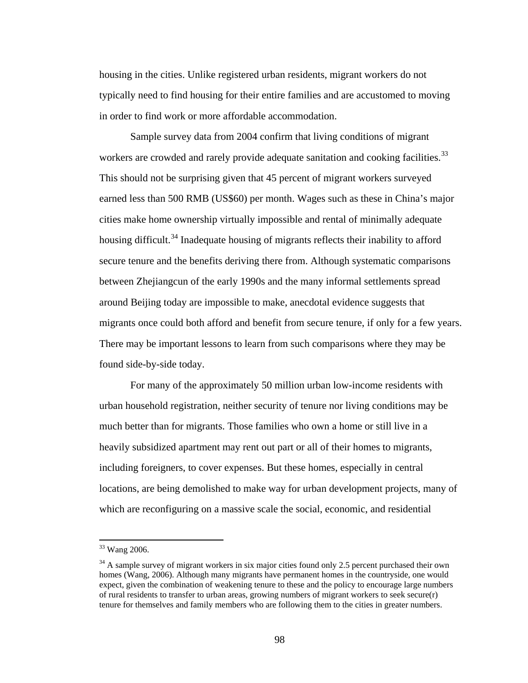housing in the cities. Unlike registered urban residents, migrant workers do not typically need to find housing for their entire families and are accustomed to moving in order to find work or more affordable accommodation.

Sample survey data from 2004 confirm that living conditions of migrant workers are crowded and rarely provide adequate sanitation and cooking facilities.<sup>[33](#page-110-0)</sup> This should not be surprising given that 45 percent of migrant workers surveyed earned less than 500 RMB (US\$60) per month. Wages such as these in China's major cities make home ownership virtually impossible and rental of minimally adequate housing difficult.<sup>[3](#page-110-1)4</sup> Inadequate housing of migrants reflects their inability to afford secure tenure and the benefits deriving there from. Although systematic comparisons between Zhejiangcun of the early 1990s and the many informal settlements spread around Beijing today are impossible to make, anecdotal evidence suggests that migrants once could both afford and benefit from secure tenure, if only for a few years. There may be important lessons to learn from such comparisons where they may be found side-by-side today.

For many of the approximately 50 million urban low-income residents with urban household registration, neither security of tenure nor living conditions may be much better than for migrants. Those families who own a home or still live in a heavily subsidized apartment may rent out part or all of their homes to migrants, including foreigners, to cover expenses. But these homes, especially in central locations, are being demolished to make way for urban development projects, many of which are reconfiguring on a massive scale the social, economic, and residential

<span id="page-110-0"></span><sup>33</sup> Wang 2006.

<span id="page-110-1"></span><sup>&</sup>lt;sup>34</sup> A sample survey of migrant workers in six major cities found only 2.5 percent purchased their own homes (Wang, 2006). Although many migrants have permanent homes in the countryside, one would expect, given the combination of weakening tenure to these and the policy to encourage large numbers of rural residents to transfer to urban areas, growing numbers of migrant workers to seek secure(r) tenure for themselves and family members who are following them to the cities in greater numbers.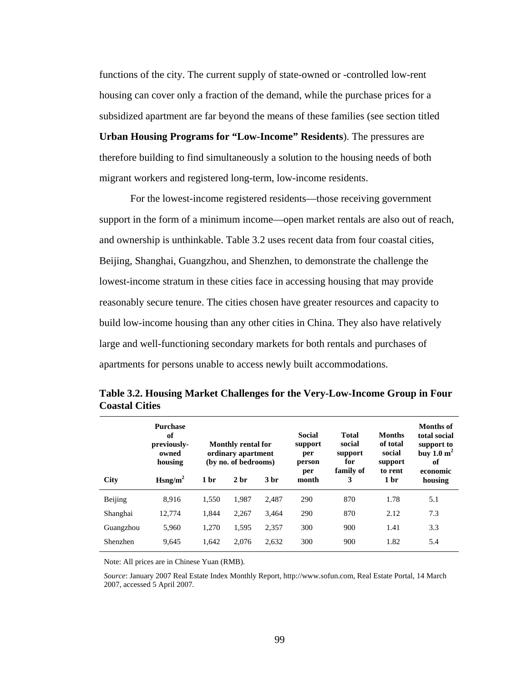functions of the city. The current supply of state-owned or -controlled low-rent housing can cover only a fraction of the demand, while the purchase prices for a subsidized apartment are far beyond the means of these families (see section titled **Urban Housing Programs for "Low-Income" Residents**). The pressures are

therefore building to find simultaneously a solution to the housing needs of both migrant workers and registered long-term, low-income residents.

For the lowest-income registered residents—those receiving government support in the form of a minimum income—open market rentals are also out of reach, and ownership is unthinkable. Table 3.2 uses recent data from four coastal cities, Beijing, Shanghai, Guangzhou, and Shenzhen, to demonstrate the challenge the lowest-income stratum in these cities face in accessing housing that may provide reasonably secure tenure. The cities chosen have greater resources and capacity to build low-income housing than any other cities in China. They also have relatively large and well-functioning secondary markets for both rentals and purchases of apartments for persons unable to access newly built accommodations.

|             | <b>Purchase</b><br>of<br>previously-<br>owned<br>housing | <b>Monthly rental for</b><br>ordinary apartment<br>(by no. of bedrooms) |                 |                 | <b>Social</b><br>support<br>per<br>person<br>per | <b>Total</b><br>social<br>support<br>for<br>family of | <b>Months</b><br>of total<br>social<br>support<br>to rent | <b>Months of</b><br>total social<br>support to<br>buy $1.0 \text{ m}^2$<br>of<br>economic |
|-------------|----------------------------------------------------------|-------------------------------------------------------------------------|-----------------|-----------------|--------------------------------------------------|-------------------------------------------------------|-----------------------------------------------------------|-------------------------------------------------------------------------------------------|
| <b>City</b> | $H\text{sng/m}^2$                                        | 1 <sub>hr</sub>                                                         | 2 <sub>hr</sub> | 3 <sub>hr</sub> | month                                            | 3                                                     | 1 <sub>hr</sub>                                           | housing                                                                                   |
| Beijing     | 8.916                                                    | 1.550                                                                   | 1.987           | 2.487           | 290                                              | 870                                                   | 1.78                                                      | 5.1                                                                                       |
| Shanghai    | 12.774                                                   | 1.844                                                                   | 2.267           | 3.464           | 290                                              | 870                                                   | 2.12                                                      | 7.3                                                                                       |
| Guangzhou   | 5.960                                                    | 1.270                                                                   | 1.595           | 2.357           | 300                                              | 900                                                   | 1.41                                                      | 3.3                                                                                       |
| Shenzhen    | 9.645                                                    | 1.642                                                                   | 2.076           | 2.632           | 300                                              | 900                                                   | 1.82                                                      | 5.4                                                                                       |

**Table 3.2. Housing Market Challenges for the Very-Low-Income Group in Four Coastal Cities** 

Note: All prices are in Chinese Yuan (RMB).

*Source*: January 2007 Real Estate Index Monthly Report, [http://www.sofun.com,](http://www.sofun.com/) Real Estate Portal, 14 March 2007, accessed 5 April 2007.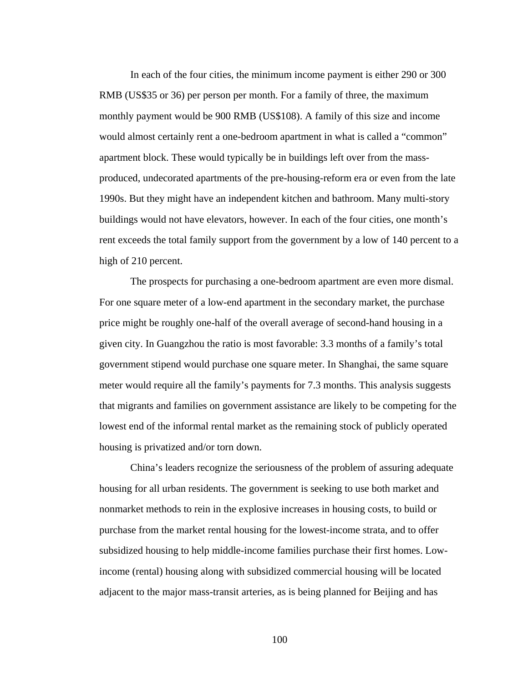In each of the four cities, the minimum income payment is either 290 or 300 RMB (US\$35 or 36) per person per month. For a family of three, the maximum monthly payment would be 900 RMB (US\$108). A family of this size and income would almost certainly rent a one-bedroom apartment in what is called a "common" apartment block. These would typically be in buildings left over from the massproduced, undecorated apartments of the pre-housing-reform era or even from the late 1990s. But they might have an independent kitchen and bathroom. Many multi-story buildings would not have elevators, however. In each of the four cities, one month's rent exceeds the total family support from the government by a low of 140 percent to a high of 210 percent.

The prospects for purchasing a one-bedroom apartment are even more dismal. For one square meter of a low-end apartment in the secondary market, the purchase price might be roughly one-half of the overall average of second-hand housing in a given city. In Guangzhou the ratio is most favorable: 3.3 months of a family's total government stipend would purchase one square meter. In Shanghai, the same square meter would require all the family's payments for 7.3 months. This analysis suggests that migrants and families on government assistance are likely to be competing for the lowest end of the informal rental market as the remaining stock of publicly operated housing is privatized and/or torn down.

China's leaders recognize the seriousness of the problem of assuring adequate housing for all urban residents. The government is seeking to use both market and nonmarket methods to rein in the explosive increases in housing costs, to build or purchase from the market rental housing for the lowest-income strata, and to offer subsidized housing to help middle-income families purchase their first homes. Lowincome (rental) housing along with subsidized commercial housing will be located adjacent to the major mass-transit arteries, as is being planned for Beijing and has

100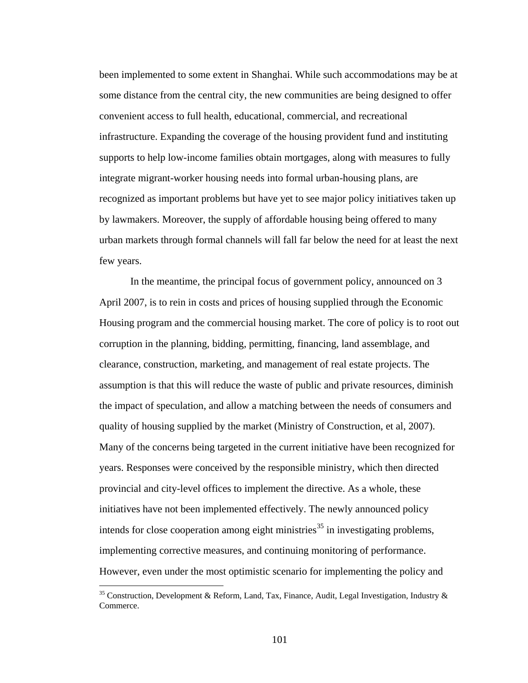been implemented to some extent in Shanghai. While such accommodations may be at some distance from the central city, the new communities are being designed to offer convenient access to full health, educational, commercial, and recreational infrastructure. Expanding the coverage of the housing provident fund and instituting supports to help low-income families obtain mortgages, along with measures to fully integrate migrant-worker housing needs into formal urban-housing plans, are recognized as important problems but have yet to see major policy initiatives taken up by lawmakers. Moreover, the supply of affordable housing being offered to many urban markets through formal channels will fall far below the need for at least the next few years.

In the meantime, the principal focus of government policy, announced on 3 April 2007, is to rein in costs and prices of housing supplied through the Economic Housing program and the commercial housing market. The core of policy is to root out corruption in the planning, bidding, permitting, financing, land assemblage, and clearance, construction, marketing, and management of real estate projects. The assumption is that this will reduce the waste of public and private resources, diminish the impact of speculation, and allow a matching between the needs of consumers and quality of housing supplied by the market (Ministry of Construction, et al, 2007). Many of the concerns being targeted in the current initiative have been recognized for years. Responses were conceived by the responsible ministry, which then directed provincial and city-level offices to implement the directive. As a whole, these initiatives have not been implemented effectively. The newly announced policy intends for close cooperation among eight ministries<sup>[35](#page-113-0)</sup> in investigating problems, implementing corrective measures, and continuing monitoring of performance. However, even under the most optimistic scenario for implementing the policy and

<span id="page-113-0"></span> $35$  Construction, Development & Reform, Land, Tax, Finance, Audit, Legal Investigation, Industry & Commerce.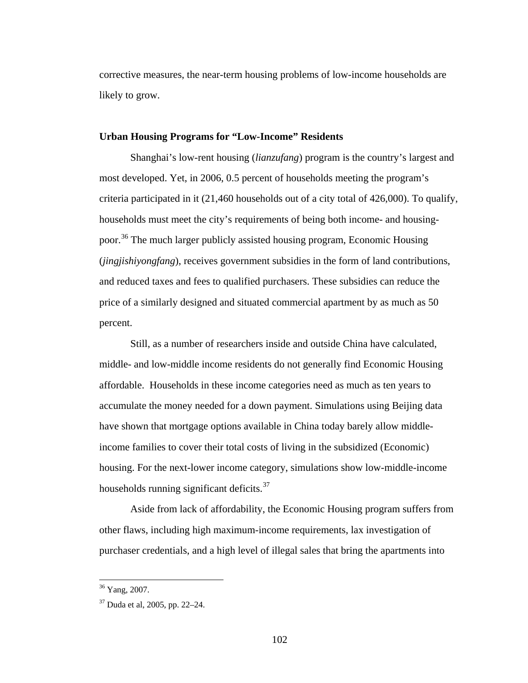corrective measures, the near-term housing problems of low-income households are likely to grow.

## **Urban Housing Programs for "Low-Income" Residents**

Shanghai's low-rent housing (*lianzufang*) program is the country's largest and most developed. Yet, in 2006, 0.5 percent of households meeting the program's criteria participated in it (21,460 households out of a city total of 426,000). To qualify, households must meet the city's requirements of being both income- and housingpoor.[36](#page-114-0) The much larger publicly assisted housing program, Economic Housing (*jingjishiyongfang*), receives government subsidies in the form of land contributions, and reduced taxes and fees to qualified purchasers. These subsidies can reduce the price of a similarly designed and situated commercial apartment by as much as 50 percent.

Still, as a number of researchers inside and outside China have calculated, middle- and low-middle income residents do not generally find Economic Housing affordable. Households in these income categories need as much as ten years to accumulate the money needed for a down payment. Simulations using Beijing data have shown that mortgage options available in China today barely allow middleincome families to cover their total costs of living in the subsidized (Economic) housing. For the next-lower income category, simulations show low-middle-income households running significant deficits.<sup>[3](#page-114-1)7</sup>

Aside from lack of affordability, the Economic Housing program suffers from other flaws, including high maximum-income requirements, lax investigation of purchaser credentials, and a high level of illegal sales that bring the apartments into

<sup>&</sup>lt;sup>36</sup> Yang, 2007.

<span id="page-114-1"></span><span id="page-114-0"></span><sup>37</sup> Duda et al, 2005, pp. 22–24.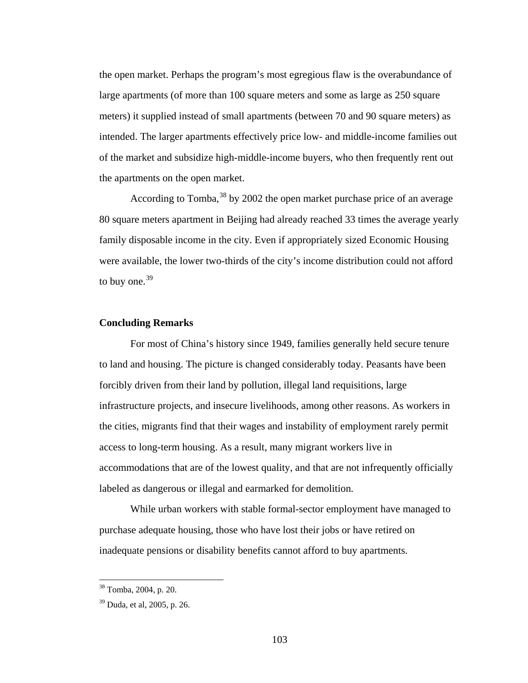the open market. Perhaps the program's most egregious flaw is the overabundance of large apartments (of more than 100 square meters and some as large as 250 square meters) it supplied instead of small apartments (between 70 and 90 square meters) as intended. The larger apartments effectively price low- and middle-income families out of the market and subsidize high-middle-income buyers, who then frequently rent out the apartments on the open market.

According to Tomba,<sup>[38](#page-115-0)</sup> by 2002 the open market purchase price of an average 80 square meters apartment in Beijing had already reached 33 times the average yearly family disposable income in the city. Even if appropriately sized Economic Housing were available, the lower two-thirds of the city's income distribution could not afford to buy one.<sup>[3](#page-115-1)9</sup>

## **Concluding Remarks**

For most of China's history since 1949, families generally held secure tenure to land and housing. The picture is changed considerably today. Peasants have been forcibly driven from their land by pollution, illegal land requisitions, large infrastructure projects, and insecure livelihoods, among other reasons. As workers in the cities, migrants find that their wages and instability of employment rarely permit access to long-term housing. As a result, many migrant workers live in accommodations that are of the lowest quality, and that are not infrequently officially labeled as dangerous or illegal and earmarked for demolition.

While urban workers with stable formal-sector employment have managed to purchase adequate housing, those who have lost their jobs or have retired on inadequate pensions or disability benefits cannot afford to buy apartments.

<span id="page-115-0"></span><sup>38</sup> Tomba, 2004, p. 20.

<span id="page-115-1"></span><sup>39</sup> Duda, et al, 2005, p. 26.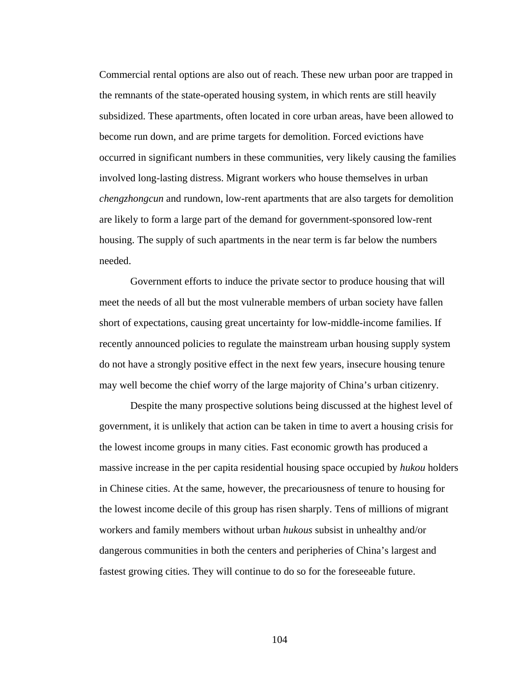Commercial rental options are also out of reach. These new urban poor are trapped in the remnants of the state-operated housing system, in which rents are still heavily subsidized. These apartments, often located in core urban areas, have been allowed to become run down, and are prime targets for demolition. Forced evictions have occurred in significant numbers in these communities, very likely causing the families involved long-lasting distress. Migrant workers who house themselves in urban *chengzhongcun* and rundown, low-rent apartments that are also targets for demolition are likely to form a large part of the demand for government-sponsored low-rent housing. The supply of such apartments in the near term is far below the numbers needed.

Government efforts to induce the private sector to produce housing that will meet the needs of all but the most vulnerable members of urban society have fallen short of expectations, causing great uncertainty for low-middle-income families. If recently announced policies to regulate the mainstream urban housing supply system do not have a strongly positive effect in the next few years, insecure housing tenure may well become the chief worry of the large majority of China's urban citizenry.

Despite the many prospective solutions being discussed at the highest level of government, it is unlikely that action can be taken in time to avert a housing crisis for the lowest income groups in many cities. Fast economic growth has produced a massive increase in the per capita residential housing space occupied by *hukou* holders in Chinese cities. At the same, however, the precariousness of tenure to housing for the lowest income decile of this group has risen sharply. Tens of millions of migrant workers and family members without urban *hukous* subsist in unhealthy and/or dangerous communities in both the centers and peripheries of China's largest and fastest growing cities. They will continue to do so for the foreseeable future.

104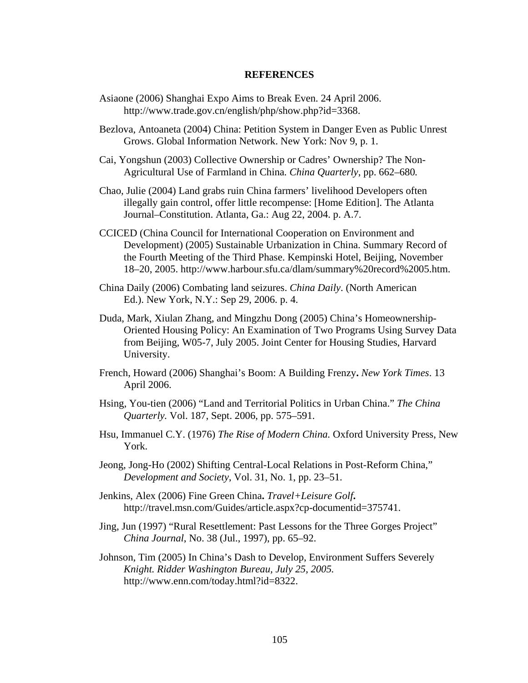## **REFERENCES**

- Asiaone (2006) Shanghai Expo Aims to Break Even. 24 April 2006. http://www.trade.gov.cn/english/php/show.php?id=3368.
- Bezlova, Antoaneta (2004) China: Petition System in Danger Even as Public Unrest Grows. Global Information Network. New York: Nov 9, p. 1.
- Cai, Yongshun (2003) Collective Ownership or Cadres' Ownership? The Non-Agricultural Use of Farmland in China*. China Quarterly*, pp. 662–680*.*
- Chao, Julie (2004) Land grabs ruin China farmers' livelihood Developers often illegally gain control, offer little recompense: [Home Edition]. The Atlanta Journal–Constitution. Atlanta, Ga.: Aug 22, 2004. p. A.7.
- CCICED (China Council for International Cooperation on Environment and Development) (2005) Sustainable Urbanization in China. Summary Record of the Fourth Meeting of the Third Phase. Kempinski Hotel, Beijing, November 18–20, 2005. http://www.harbour.sfu.ca/dlam/summary%20record%2005.htm.
- China Daily (2006) Combating land seizures. *China Daily*. (North American Ed.). New York, N.Y.: Sep 29, 2006. p. 4.
- Duda, Mark, Xiulan Zhang, and Mingzhu Dong (2005) China's Homeownership-Oriented Housing Policy: An Examination of Two Programs Using Survey Data from Beijing, W05-7, July 2005. Joint Center for Housing Studies, Harvard University.
- French, Howard (2006) Shanghai's Boom: A Building Frenzy**.** *New York Times*. 13 April 2006.
- Hsing, You-tien (2006) "Land and Territorial Politics in Urban China." *The China Quarterly.* Vol. 187, Sept. 2006, pp. 575–591.
- Hsu, Immanuel C.Y. (1976) *The Rise of Modern China.* Oxford University Press, New York.
- Jeong, Jong-Ho (2002) Shifting Central-Local Relations in Post-Reform China," *Development and Society*, Vol. 31, No. 1, pp. 23–51.
- Jenkins, Alex (2006) Fine Green China**.** *Travel+Leisure Golf***.** http://travel.msn.com/Guides/article.aspx?cp-documentid=375741.
- Jing, Jun (1997) "Rural Resettlement: Past Lessons for the Three Gorges Project" *China Journal*, No. 38 (Jul., 1997), pp. 65–92.
- Johnson, Tim (2005) In China's Dash to Develop, Environment Suffers Severely *Knight. Ridder Washington Bureau, July 25, 2005.* http://www.enn.com/today.html?id=8322.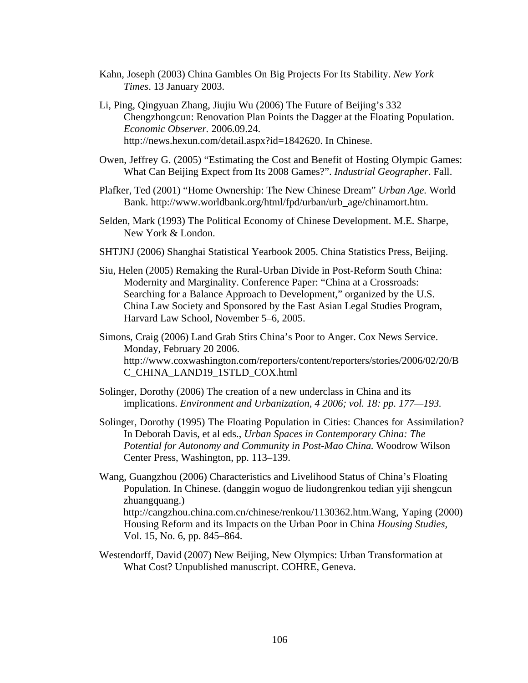- Kahn, Joseph (2003) China Gambles On Big Projects For Its Stability. *New York Times*. 13 January 2003.
- Li, Ping, Qingyuan Zhang, Jiujiu Wu (2006) The Future of Beijing's 332 Chengzhongcun: Renovation Plan Points the Dagger at the Floating Population. *Economic Observer.* 2006.09.24. http://news.hexun.com/detail.aspx?id=1842620. In Chinese.
- Owen, Jeffrey G. (2005) "Estimating the Cost and Benefit of Hosting Olympic Games: What Can Beijing Expect from Its 2008 Games?". *Industrial Geographer*. Fall.
- Plafker, Ted (2001) "Home Ownership: The New Chinese Dream" *Urban Age.* World Bank. http://www.worldbank.org/html/fpd/urban/urb\_age/chinamort.htm.
- Selden, Mark (1993) The Political Economy of Chinese Development. M.E. Sharpe, New York & London.
- SHTJNJ (2006) Shanghai Statistical Yearbook 2005. China Statistics Press, Beijing.
- Siu, Helen (2005) Remaking the Rural-Urban Divide in Post-Reform South China: Modernity and Marginality. Conference Paper: "China at a Crossroads: Searching for a Balance Approach to Development," organized by the U.S. China Law Society and Sponsored by the East Asian Legal Studies Program, Harvard Law School, November 5–6, 2005.
- Simons, Craig (2006) Land Grab Stirs China's Poor to Anger. Cox News Service. Monday, February 20 2006. http://www.coxwashington.com/reporters/content/reporters/stories/2006/02/20/B C\_CHINA\_LAND19\_1STLD\_COX.html
- Solinger, Dorothy (2006) The creation of a new underclass in China and its implications. *Environment and Urbanization, 4 2006; vol. 18: pp. 177—193.*
- Solinger, Dorothy (1995) The Floating Population in Cities: Chances for Assimilation? In Deborah Davis, et al eds., *Urban Spaces in Contemporary China: The Potential for Autonomy and Community in Post-Mao China.* Woodrow Wilson Center Press, Washington, pp. 113–139.
- Wang, Guangzhou (2006) Characteristics and Livelihood Status of China's Floating Population. In Chinese. (danggin woguo de liudongrenkou tedian yiji shengcun zhuangquang.) http://cangzhou.china.com.cn/chinese/renkou/1130362.htm.Wang, Yaping (2000) Housing Reform and its Impacts on the Urban Poor in China *Housing Studies,*  Vol. 15, No. 6, pp. 845–864.
- Westendorff, David (2007) New Beijing, New Olympics: Urban Transformation at What Cost? Unpublished manuscript. COHRE, Geneva.